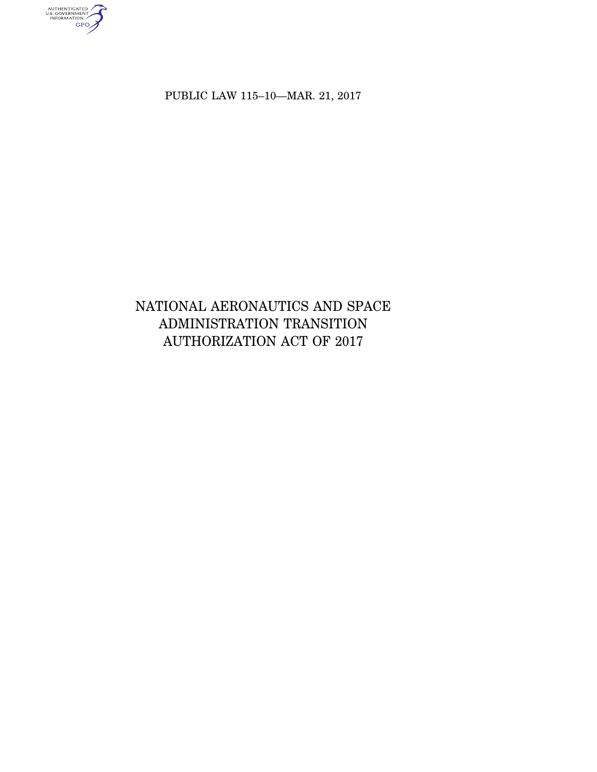authenticated<br>u.s. government<br>information<br>GPO

PUBLIC LAW 115–10—MAR. 21, 2017

# NATIONAL AERONAUTICS AND SPACE ADMINISTRATION TRANSITION AUTHORIZATION ACT OF 2017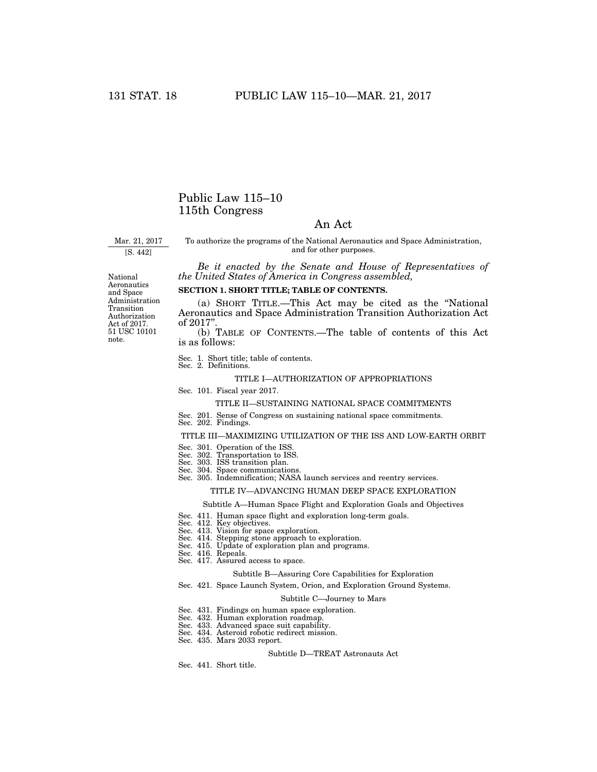# Public Law 115–10 115th Congress

# An Act

Mar. 21, 2017

[S. 442]

To authorize the programs of the National Aeronautics and Space Administration, and for other purposes.

*Be it enacted by the Senate and House of Representatives of the United States of America in Congress assembled,* 

# **SECTION 1. SHORT TITLE; TABLE OF CONTENTS.**

(a) SHORT TITLE.—This Act may be cited as the ''National Aeronautics and Space Administration Transition Authorization Act of 2017"

(b) TABLE OF CONTENTS.—The table of contents of this Act is as follows:

Sec. 1. Short title; table of contents. Sec. 2. Definitions.

### TITLE I—AUTHORIZATION OF APPROPRIATIONS

### Sec. 101. Fiscal year 2017.

#### TITLE II—SUSTAINING NATIONAL SPACE COMMITMENTS

#### Sec. 201. Sense of Congress on sustaining national space commitments.

Sec. 202. Findings.

## TITLE III—MAXIMIZING UTILIZATION OF THE ISS AND LOW-EARTH ORBIT

- Sec. 301. Operation of the ISS
- Sec. 302. Transportation to ISS.
- Sec. 303. ISS transition plan.
- 
- Sec. 304. Space communications. Sec. 305. Indemnification; NASA launch services and reentry services.

#### TITLE IV—ADVANCING HUMAN DEEP SPACE EXPLORATION

#### Subtitle A—Human Space Flight and Exploration Goals and Objectives

- Sec. 411. Human space flight and exploration long-term goals. Sec. 412. Key objectives.
- 
- 
- Sec. 413. Vision for space exploration. Sec. 414. Stepping stone approach to exploration. Sec. 415. Update of exploration plan and programs.
- 
- Sec. 416. Repeals.
- Sec. 417. Assured access to space.

#### Subtitle B—Assuring Core Capabilities for Exploration

Sec. 421. Space Launch System, Orion, and Exploration Ground Systems.

#### Subtitle C—Journey to Mars

- Sec. 431. Findings on human space exploration.
- Sec. 432. Human exploration roadmap.
- Sec. 433. Advanced space suit capability.
- Sec. 434. Asteroid robotic redirect mission.
- Sec. 435. Mars 2033 report.

#### Subtitle D—TREAT Astronauts Act

Sec. 441. Short title.

National Aeronautics and Space Administration Transition Authorization Act of 2017. 51 USC 10101 note.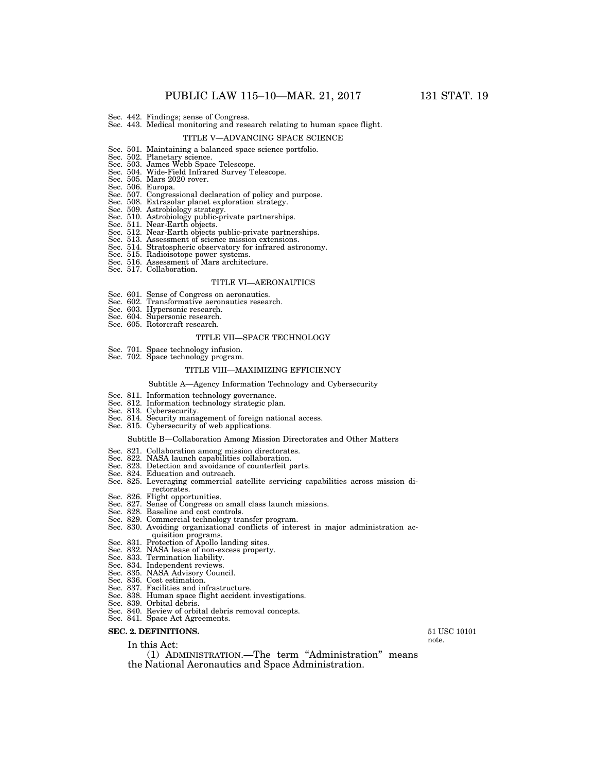Sec. 442. Findings; sense of Congress. Sec. 443. Medical monitoring and research relating to human space flight.

#### TITLE V—ADVANCING SPACE SCIENCE

- Sec. 501. Maintaining a balanced space science portfolio. Sec. 502. Planetary science.
- 
- 
- Sec. 503. James Webb Space Telescope. Sec. 504. Wide-Field Infrared Survey Telescope. Sec. 505. Mars 2020 rover.
- 
- Sec. 506. Europa.
- Sec. 507. Congressional declaration of policy and purpose.
- Sec. 508. Extrasolar planet exploration strategy.
- Sec. 509. Astrobiology strategy.
- 
- 
- Sec. 510. Astrobiology public-private partnerships. Sec. 511. Near-Earth objects. Sec. 512. Near-Earth objects public-private partnerships. Sec. 513. Assessment of science mission extensions.
- Sec. 514. Stratospheric observatory for infrared astronomy.
- 
- Sec. 515. Radioisotope power systems. Sec. 516. Assessment of Mars architecture. Sec. 517. Collaboration.
- 

#### TITLE VI—AERONAUTICS

- Sec. 601. Sense of Congress on aeronautics.
- Sec. 602. Transformative aeronautics research.
- Sec. 603. Hypersonic research. Sec. 604. Supersonic research.
- 
- Sec. 605. Rotorcraft research.

#### TITLE VII—SPACE TECHNOLOGY

Sec. 701. Space technology infusion. Sec. 702. Space technology program.

#### TITLE VIII—MAXIMIZING EFFICIENCY

#### Subtitle A—Agency Information Technology and Cybersecurity

- 
- Sec. 811. Information technology governance. Sec. 812. Information technology strategic plan. Sec. 813. Cybersecurity.
- 
- Sec. 814. Security management of foreign national access. Sec. 815. Cybersecurity of web applications.
- 

#### Subtitle B—Collaboration Among Mission Directorates and Other Matters

- Sec. 821. Collaboration among mission directorates.
- 
- Sec. 822. NASA launch capabilities collaboration. Sec. 823. Detection and avoidance of counterfeit parts.
- Sec. 824. Education and outreach.
- Sec. 825. Leveraging commercial satellite servicing capabilities across mission directorates.
- 
- Sec. 826. Flight opportunities. Sec. 827. Sense of Congress on small class launch missions.
- Sec. 828. Baseline and cost controls.
- Sec. 829. Commercial technology transfer program.
- Sec. 830. Avoiding organizational conflicts of interest in major administration acquisition programs.
- Sec. 831. Protection of Apollo landing sites.
- Sec. 832. NASA lease of non-excess property. Sec. 833. Termination liability.
- 
- Sec. 834. Independent reviews.
- Sec. 835. NASA Advisory Council.
- Sec. 836. Cost estimation.
- 
- Sec. 837. Facilities and infrastructure. Sec. 838. Human space flight accident investigations.
- 
- Sec. 839. Orbital debris. Sec. 840. Review of orbital debris removal concepts.
- Sec. 841. Space Act Agreements.

### **SEC. 2. DEFINITIONS.**

In this Act:

(1) ADMINISTRATION.—The term ''Administration'' means the National Aeronautics and Space Administration.

51 USC 10101 note.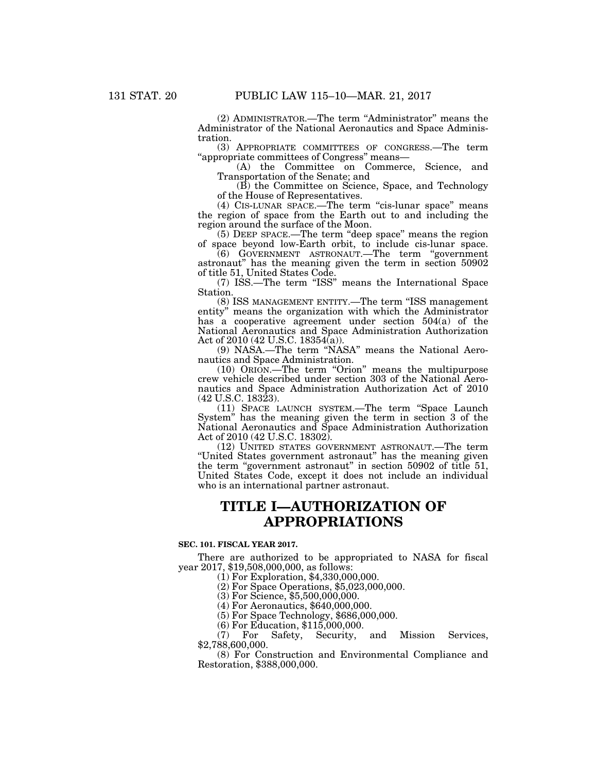(2) ADMINISTRATOR.—The term ''Administrator'' means the Administrator of the National Aeronautics and Space Administration.

(3) APPROPRIATE COMMITTEES OF CONGRESS.—The term ''appropriate committees of Congress'' means—

(A) the Committee on Commerce, Science, and Transportation of the Senate; and

(B) the Committee on Science, Space, and Technology of the House of Representatives.

(4) CIS-LUNAR SPACE.—The term ''cis-lunar space'' means the region of space from the Earth out to and including the region around the surface of the Moon.

(5) DEEP SPACE.—The term ''deep space'' means the region of space beyond low-Earth orbit, to include cis-lunar space.

(6) GOVERNMENT ASTRONAUT.—The term ''government astronaut'' has the meaning given the term in section 50902 of title 51, United States Code.

(7) ISS.—The term ''ISS'' means the International Space Station.

(8) ISS MANAGEMENT ENTITY.—The term ''ISS management entity'' means the organization with which the Administrator has a cooperative agreement under section 504(a) of the National Aeronautics and Space Administration Authorization Act of 2010 (42 U.S.C. 18354(a)).

(9) NASA.—The term ''NASA'' means the National Aeronautics and Space Administration.

(10) ORION.—The term ''Orion'' means the multipurpose crew vehicle described under section 303 of the National Aeronautics and Space Administration Authorization Act of 2010 (42 U.S.C. 18323).

(11) SPACE LAUNCH SYSTEM.—The term ''Space Launch System'' has the meaning given the term in section 3 of the National Aeronautics and Space Administration Authorization Act of 2010 (42 U.S.C. 18302).

(12) UNITED STATES GOVERNMENT ASTRONAUT.—The term ''United States government astronaut'' has the meaning given the term "government astronaut" in section 50902 of title 51, United States Code, except it does not include an individual who is an international partner astronaut.

# **TITLE I—AUTHORIZATION OF APPROPRIATIONS**

### **SEC. 101. FISCAL YEAR 2017.**

There are authorized to be appropriated to NASA for fiscal year 2017, \$19,508,000,000, as follows: (1) For Exploration, \$4,330,000,000.

(2) For Space Operations, \$5,023,000,000.

(3) For Science, \$5,500,000,000.

(4) For Aeronautics, \$640,000,000.

(5) For Space Technology, \$686,000,000.

(6) For Education, \$115,000,000.

(7) For Safety, Security, and Mission Services, \$2,788,600,000.

(8) For Construction and Environmental Compliance and Restoration, \$388,000,000.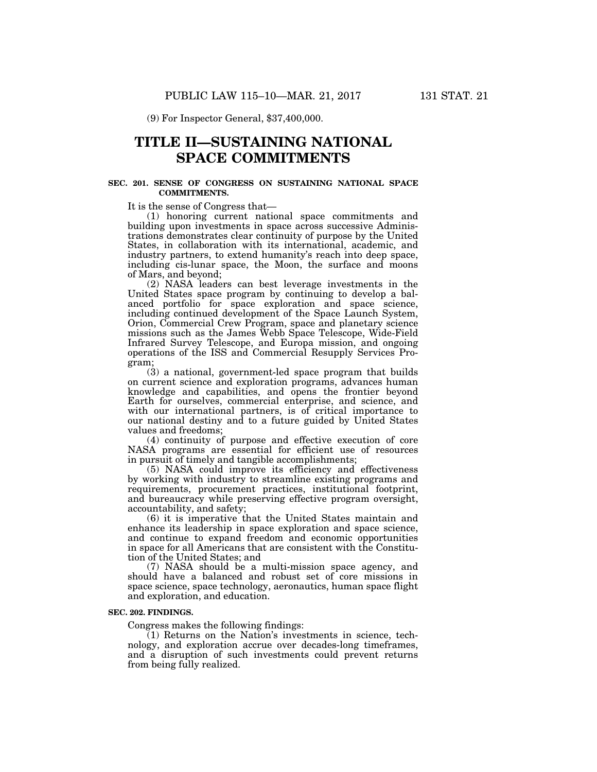(9) For Inspector General, \$37,400,000.

# **TITLE II—SUSTAINING NATIONAL SPACE COMMITMENTS**

### **SEC. 201. SENSE OF CONGRESS ON SUSTAINING NATIONAL SPACE COMMITMENTS.**

It is the sense of Congress that—

(1) honoring current national space commitments and building upon investments in space across successive Administrations demonstrates clear continuity of purpose by the United States, in collaboration with its international, academic, and industry partners, to extend humanity's reach into deep space, including cis-lunar space, the Moon, the surface and moons of Mars, and beyond;

(2) NASA leaders can best leverage investments in the United States space program by continuing to develop a balanced portfolio for space exploration and space science, including continued development of the Space Launch System, Orion, Commercial Crew Program, space and planetary science missions such as the James Webb Space Telescope, Wide-Field Infrared Survey Telescope, and Europa mission, and ongoing operations of the ISS and Commercial Resupply Services Program;

(3) a national, government-led space program that builds on current science and exploration programs, advances human knowledge and capabilities, and opens the frontier beyond Earth for ourselves, commercial enterprise, and science, and with our international partners, is of critical importance to our national destiny and to a future guided by United States values and freedoms;

(4) continuity of purpose and effective execution of core NASA programs are essential for efficient use of resources in pursuit of timely and tangible accomplishments;

(5) NASA could improve its efficiency and effectiveness by working with industry to streamline existing programs and requirements, procurement practices, institutional footprint, and bureaucracy while preserving effective program oversight, accountability, and safety;

(6) it is imperative that the United States maintain and enhance its leadership in space exploration and space science, and continue to expand freedom and economic opportunities in space for all Americans that are consistent with the Constitution of the United States; and

(7) NASA should be a multi-mission space agency, and should have a balanced and robust set of core missions in space science, space technology, aeronautics, human space flight and exploration, and education.

# **SEC. 202. FINDINGS.**

Congress makes the following findings:

(1) Returns on the Nation's investments in science, technology, and exploration accrue over decades-long timeframes, and a disruption of such investments could prevent returns from being fully realized.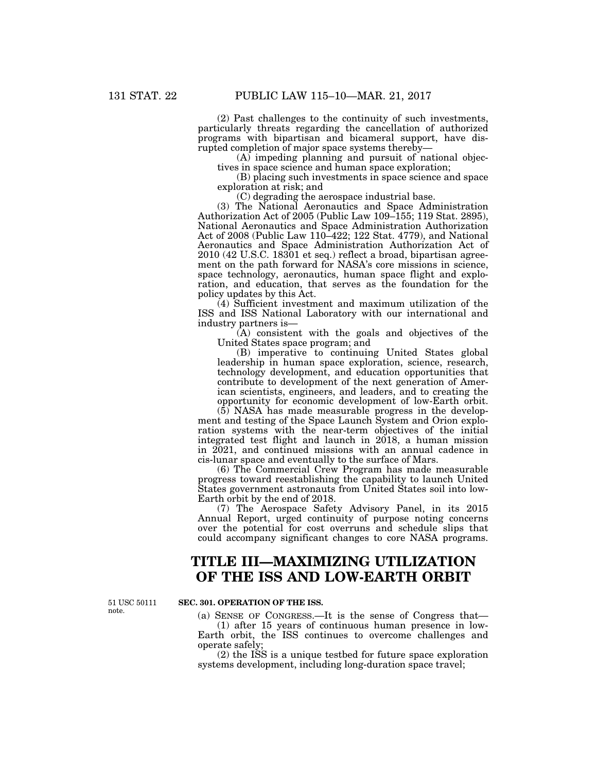(2) Past challenges to the continuity of such investments, particularly threats regarding the cancellation of authorized programs with bipartisan and bicameral support, have disrupted completion of major space systems thereby—

(A) impeding planning and pursuit of national objectives in space science and human space exploration;

(B) placing such investments in space science and space exploration at risk; and

(C) degrading the aerospace industrial base.

(3) The National Aeronautics and Space Administration Authorization Act of 2005 (Public Law 109–155; 119 Stat. 2895), National Aeronautics and Space Administration Authorization Act of 2008 (Public Law 110–422; 122 Stat. 4779), and National Aeronautics and Space Administration Authorization Act of 2010 (42 U.S.C. 18301 et seq.) reflect a broad, bipartisan agreement on the path forward for NASA's core missions in science, space technology, aeronautics, human space flight and exploration, and education, that serves as the foundation for the policy updates by this Act.

(4) Sufficient investment and maximum utilization of the ISS and ISS National Laboratory with our international and industry partners is—

 $(A)$  consistent with the goals and objectives of the United States space program; and

(B) imperative to continuing United States global leadership in human space exploration, science, research, technology development, and education opportunities that contribute to development of the next generation of American scientists, engineers, and leaders, and to creating the opportunity for economic development of low-Earth orbit.

(5) NASA has made measurable progress in the development and testing of the Space Launch System and Orion exploration systems with the near-term objectives of the initial integrated test flight and launch in 2018, a human mission in 2021, and continued missions with an annual cadence in cis-lunar space and eventually to the surface of Mars.

(6) The Commercial Crew Program has made measurable progress toward reestablishing the capability to launch United States government astronauts from United States soil into low-Earth orbit by the end of 2018.

(7) The Aerospace Safety Advisory Panel, in its 2015 Annual Report, urged continuity of purpose noting concerns over the potential for cost overruns and schedule slips that could accompany significant changes to core NASA programs.

# **TITLE III—MAXIMIZING UTILIZATION OF THE ISS AND LOW-EARTH ORBIT**

51 USC 50111 note.

#### **SEC. 301. OPERATION OF THE ISS.**

(a) SENSE OF CONGRESS.—It is the sense of Congress that— (1) after 15 years of continuous human presence in low-Earth orbit, the ISS continues to overcome challenges and operate safely;

(2) the ISS is a unique testbed for future space exploration systems development, including long-duration space travel;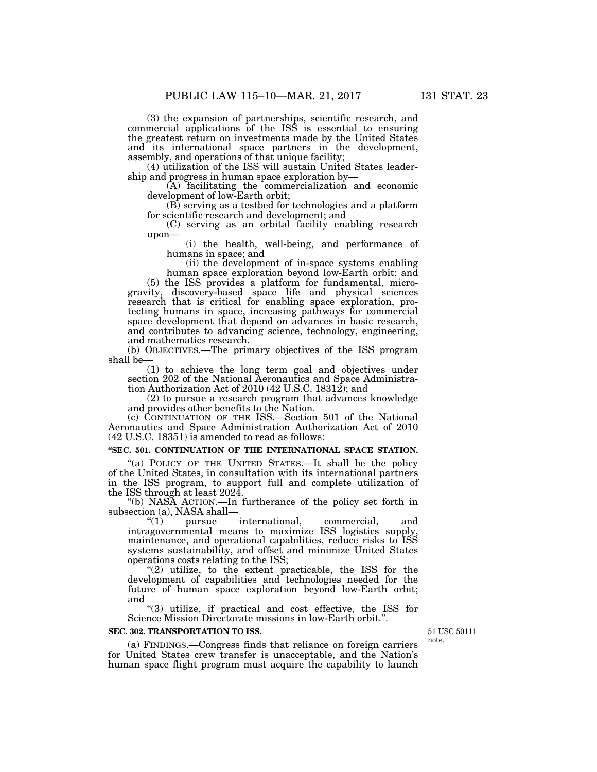(3) the expansion of partnerships, scientific research, and commercial applications of the ISS is essential to ensuring the greatest return on investments made by the United States and its international space partners in the development, assembly, and operations of that unique facility;

(4) utilization of the ISS will sustain United States leadership and progress in human space exploration by—

(A) facilitating the commercialization and economic development of low-Earth orbit;

(B) serving as a testbed for technologies and a platform for scientific research and development; and

(C) serving as an orbital facility enabling research upon—

(i) the health, well-being, and performance of humans in space; and

(ii) the development of in-space systems enabling human space exploration beyond low-Earth orbit; and

(5) the ISS provides a platform for fundamental, microgravity, discovery-based space life and physical sciences research that is critical for enabling space exploration, protecting humans in space, increasing pathways for commercial space development that depend on advances in basic research, and contributes to advancing science, technology, engineering, and mathematics research.

(b) OBJECTIVES.—The primary objectives of the ISS program shall be—

(1) to achieve the long term goal and objectives under section 202 of the National Aeronautics and Space Administration Authorization Act of 2010 (42 U.S.C. 18312); and

(2) to pursue a research program that advances knowledge and provides other benefits to the Nation.

(c) CONTINUATION OF THE ISS.—Section 501 of the National Aeronautics and Space Administration Authorization Act of 2010 (42 U.S.C. 18351) is amended to read as follows:

## **''SEC. 501. CONTINUATION OF THE INTERNATIONAL SPACE STATION.**

"(a) POLICY OF THE UNITED STATES.—It shall be the policy of the United States, in consultation with its international partners in the ISS program, to support full and complete utilization of the ISS through at least 2024.

''(b) NASA ACTION.—In furtherance of the policy set forth in subsection (a), NASA shall—<br>"(1) pursue

"(1) pursue international, commercial, and intragovernmental means to maximize ISS logistics supply, maintenance, and operational capabilities, reduce risks to ISS systems sustainability, and offset and minimize United States operations costs relating to the ISS;

" $(2)$  utilize, to the extent practicable, the ISS for the development of capabilities and technologies needed for the future of human space exploration beyond low-Earth orbit; and

''(3) utilize, if practical and cost effective, the ISS for Science Mission Directorate missions in low-Earth orbit.''.

### **SEC. 302. TRANSPORTATION TO ISS.**

(a) FINDINGS.—Congress finds that reliance on foreign carriers for United States crew transfer is unacceptable, and the Nation's human space flight program must acquire the capability to launch

51 USC 50111 note.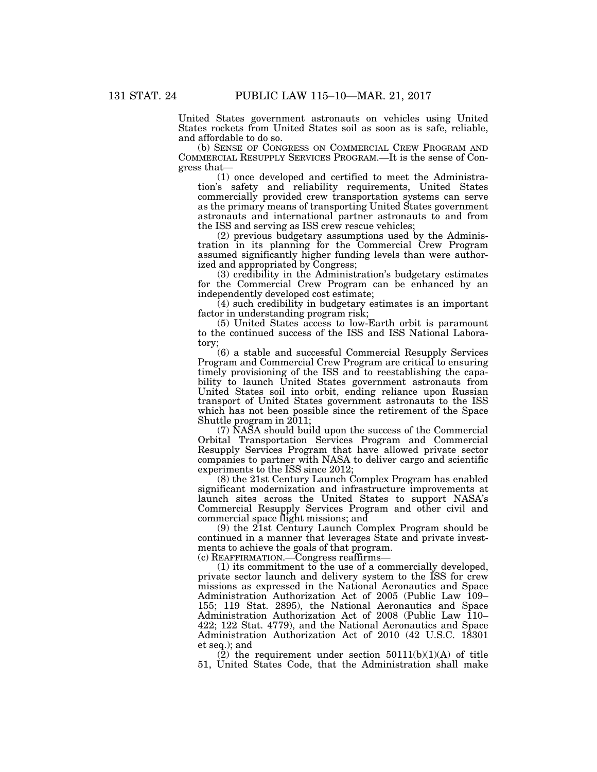United States government astronauts on vehicles using United States rockets from United States soil as soon as is safe, reliable, and affordable to do so.

(b) SENSE OF CONGRESS ON COMMERCIAL CREW PROGRAM AND COMMERCIAL RESUPPLY SERVICES PROGRAM.—It is the sense of Congress that—

(1) once developed and certified to meet the Administration's safety and reliability requirements, United States commercially provided crew transportation systems can serve as the primary means of transporting United States government astronauts and international partner astronauts to and from the ISS and serving as ISS crew rescue vehicles;

(2) previous budgetary assumptions used by the Administration in its planning for the Commercial Crew Program assumed significantly higher funding levels than were authorized and appropriated by Congress;

(3) credibility in the Administration's budgetary estimates for the Commercial Crew Program can be enhanced by an independently developed cost estimate;

 $(4)$  such credibility in budgetary estimates is an important factor in understanding program risk;

(5) United States access to low-Earth orbit is paramount to the continued success of the ISS and ISS National Laboratory;

(6) a stable and successful Commercial Resupply Services Program and Commercial Crew Program are critical to ensuring timely provisioning of the ISS and to reestablishing the capability to launch United States government astronauts from United States soil into orbit, ending reliance upon Russian transport of United States government astronauts to the ISS which has not been possible since the retirement of the Space Shuttle program in  $2011$ ;

(7) NASA should build upon the success of the Commercial Orbital Transportation Services Program and Commercial Resupply Services Program that have allowed private sector companies to partner with NASA to deliver cargo and scientific experiments to the ISS since 2012;

(8) the 21st Century Launch Complex Program has enabled significant modernization and infrastructure improvements at launch sites across the United States to support NASA's Commercial Resupply Services Program and other civil and commercial space flight missions; and

(9) the 21st Century Launch Complex Program should be continued in a manner that leverages State and private investments to achieve the goals of that program.

(c) REAFFIRMATION.—Congress reaffirms—

(1) its commitment to the use of a commercially developed, private sector launch and delivery system to the ISS for crew missions as expressed in the National Aeronautics and Space Administration Authorization Act of 2005 (Public Law 109– 155; 119 Stat. 2895), the National Aeronautics and Space Administration Authorization Act of 2008 (Public Law 110– 422; 122 Stat. 4779), and the National Aeronautics and Space Administration Authorization Act of 2010 (42 U.S.C. 18301 et seq.); and

 $(2)$  the requirement under section  $50111(b)(1)(A)$  of title 51, United States Code, that the Administration shall make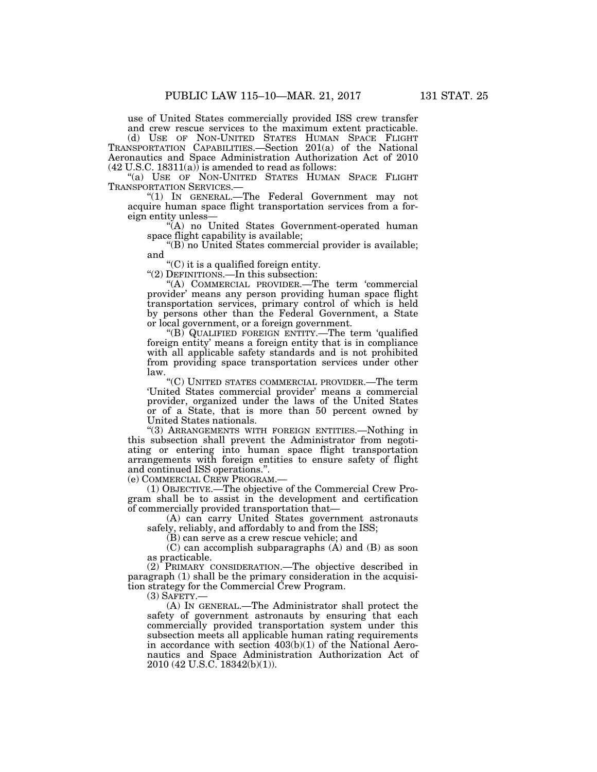use of United States commercially provided ISS crew transfer

and crew rescue services to the maximum extent practicable.

(d) USE OF NON-UNITED STATES HUMAN SPACE FLIGHT TRANSPORTATION CAPABILITIES.—Section 201(a) of the National Aeronautics and Space Administration Authorization Act of 2010  $(42 \text{ U.S.C. } 18311(a))$  is amended to read as follows:

"(a) USE OF NON-UNITED STATES HUMAN SPACE FLIGHT TRANSPORTATION SERVICES.—

"(1) IN GENERAL.—The Federal Government may not acquire human space flight transportation services from a foreign entity unless—

"(A) no United States Government-operated human space flight capability is available;

"(B) no United States commercial provider is available; and

''(C) it is a qualified foreign entity.

''(2) DEFINITIONS.—In this subsection:

''(A) COMMERCIAL PROVIDER.—The term 'commercial provider' means any person providing human space flight transportation services, primary control of which is held by persons other than the Federal Government, a State or local government, or a foreign government.

''(B) QUALIFIED FOREIGN ENTITY.—The term 'qualified foreign entity' means a foreign entity that is in compliance with all applicable safety standards and is not prohibited from providing space transportation services under other law.

''(C) UNITED STATES COMMERCIAL PROVIDER.—The term 'United States commercial provider' means a commercial provider, organized under the laws of the United States or of a State, that is more than 50 percent owned by United States nationals.

''(3) ARRANGEMENTS WITH FOREIGN ENTITIES.—Nothing in this subsection shall prevent the Administrator from negotiating or entering into human space flight transportation arrangements with foreign entities to ensure safety of flight and continued ISS operations.''.

(e) COMMERCIAL CREW PROGRAM.—

(1) OBJECTIVE.—The objective of the Commercial Crew Program shall be to assist in the development and certification of commercially provided transportation that—

(A) can carry United States government astronauts safely, reliably, and affordably to and from the ISS;

(B) can serve as a crew rescue vehicle; and

(C) can accomplish subparagraphs (A) and (B) as soon as practicable.

(2) PRIMARY CONSIDERATION.—The objective described in paragraph (1) shall be the primary consideration in the acquisition strategy for the Commercial Crew Program.

(3) SAFETY.—

(A) IN GENERAL.—The Administrator shall protect the safety of government astronauts by ensuring that each commercially provided transportation system under this subsection meets all applicable human rating requirements in accordance with section 403(b)(1) of the National Aeronautics and Space Administration Authorization Act of 2010 (42 U.S.C. 18342(b)(1)).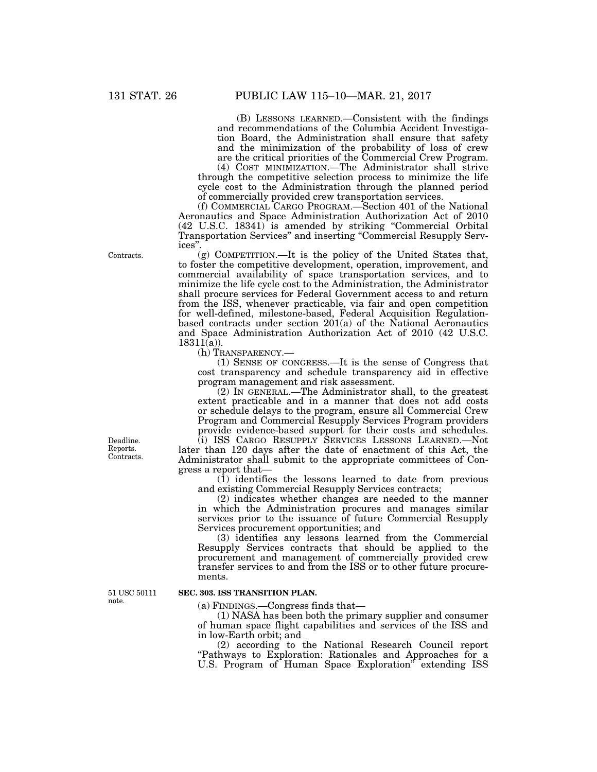(B) LESSONS LEARNED.—Consistent with the findings and recommendations of the Columbia Accident Investigation Board, the Administration shall ensure that safety and the minimization of the probability of loss of crew are the critical priorities of the Commercial Crew Program.

(4) COST MINIMIZATION.—The Administrator shall strive through the competitive selection process to minimize the life cycle cost to the Administration through the planned period of commercially provided crew transportation services.

(f) COMMERCIAL CARGO PROGRAM.—Section 401 of the National Aeronautics and Space Administration Authorization Act of 2010 (42 U.S.C. 18341) is amended by striking ''Commercial Orbital Transportation Services'' and inserting ''Commercial Resupply Services''.

(g) COMPETITION.—It is the policy of the United States that, to foster the competitive development, operation, improvement, and commercial availability of space transportation services, and to minimize the life cycle cost to the Administration, the Administrator shall procure services for Federal Government access to and return from the ISS, whenever practicable, via fair and open competition for well-defined, milestone-based, Federal Acquisition Regulationbased contracts under section 201(a) of the National Aeronautics and Space Administration Authorization Act of 2010 (42 U.S.C.  $18311(a)$ ).

(h) TRANSPARENCY.—

(1) SENSE OF CONGRESS.—It is the sense of Congress that cost transparency and schedule transparency aid in effective program management and risk assessment.

(2) IN GENERAL.—The Administrator shall, to the greatest extent practicable and in a manner that does not add costs or schedule delays to the program, ensure all Commercial Crew Program and Commercial Resupply Services Program providers provide evidence-based support for their costs and schedules.

(i) ISS CARGO RESUPPLY SERVICES LESSONS LEARNED.—Not later than 120 days after the date of enactment of this Act, the Administrator shall submit to the appropriate committees of Congress a report that—

 $(1)$  identifies the lessons learned to date from previous and existing Commercial Resupply Services contracts;

(2) indicates whether changes are needed to the manner in which the Administration procures and manages similar services prior to the issuance of future Commercial Resupply Services procurement opportunities; and

(3) identifies any lessons learned from the Commercial Resupply Services contracts that should be applied to the procurement and management of commercially provided crew transfer services to and from the ISS or to other future procurements.

51 USC 50111 note.

#### **SEC. 303. ISS TRANSITION PLAN.**

(a) FINDINGS.—Congress finds that—

(1) NASA has been both the primary supplier and consumer of human space flight capabilities and services of the ISS and in low-Earth orbit; and

(2) according to the National Research Council report "Pathways to Exploration: Rationales and Approaches for a U.S. Program of Human Space Exploration'' extending ISS

Contracts.

Deadline. Reports. Contracts.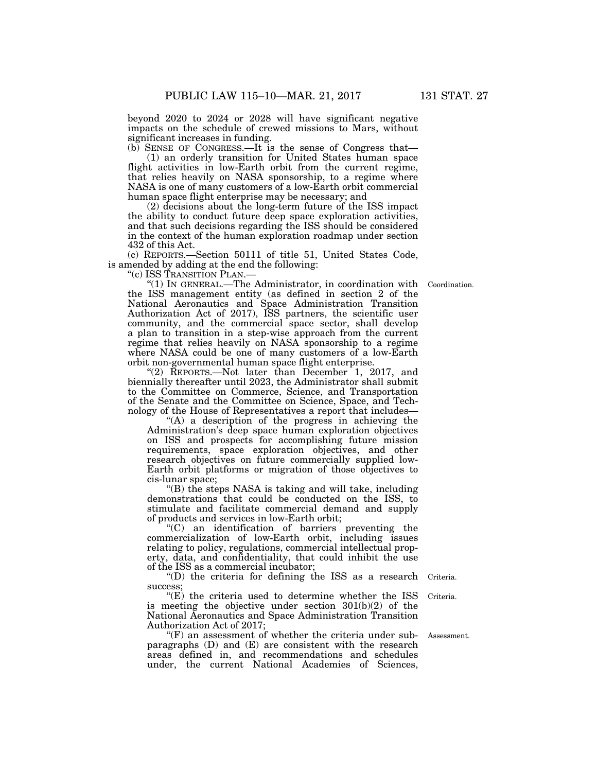beyond 2020 to 2024 or 2028 will have significant negative impacts on the schedule of crewed missions to Mars, without significant increases in funding.

(b) SENSE OF CONGRESS.—It is the sense of Congress that— (1) an orderly transition for United States human space flight activities in low-Earth orbit from the current regime, that relies heavily on NASA sponsorship, to a regime where NASA is one of many customers of a low-Earth orbit commercial human space flight enterprise may be necessary; and

(2) decisions about the long-term future of the ISS impact the ability to conduct future deep space exploration activities, and that such decisions regarding the ISS should be considered in the context of the human exploration roadmap under section 432 of this Act.

(c) REPORTS.—Section 50111 of title 51, United States Code, is amended by adding at the end the following:

''(c) ISS TRANSITION PLAN.—

''(1) IN GENERAL.—The Administrator, in coordination with the ISS management entity (as defined in section 2 of the National Aeronautics and Space Administration Transition Authorization Act of 2017), ISS partners, the scientific user community, and the commercial space sector, shall develop a plan to transition in a step-wise approach from the current regime that relies heavily on NASA sponsorship to a regime where NASA could be one of many customers of a low-Earth orbit non-governmental human space flight enterprise.

"(2) REPORTS.—Not later than December 1, 2017, and biennially thereafter until 2023, the Administrator shall submit to the Committee on Commerce, Science, and Transportation of the Senate and the Committee on Science, Space, and Technology of the House of Representatives a report that includes—

"(A) a description of the progress in achieving the Administration's deep space human exploration objectives on ISS and prospects for accomplishing future mission requirements, space exploration objectives, and other research objectives on future commercially supplied low-Earth orbit platforms or migration of those objectives to cis-lunar space;

''(B) the steps NASA is taking and will take, including demonstrations that could be conducted on the ISS, to stimulate and facilitate commercial demand and supply of products and services in low-Earth orbit;

''(C) an identification of barriers preventing the commercialization of low-Earth orbit, including issues relating to policy, regulations, commercial intellectual property, data, and confidentiality, that could inhibit the use of the ISS as a commercial incubator;

''(D) the criteria for defining the ISS as a research success; Criteria.

" $(E)$  the criteria used to determine whether the ISS is meeting the objective under section 301(b)(2) of the National Aeronautics and Space Administration Transition Authorization Act of 2017;

 $\mathrm{H}(F)$  an assessment of whether the criteria under subparagraphs (D) and (E) are consistent with the research areas defined in, and recommendations and schedules under, the current National Academies of Sciences,

Assessment.

Criteria.

Coordination.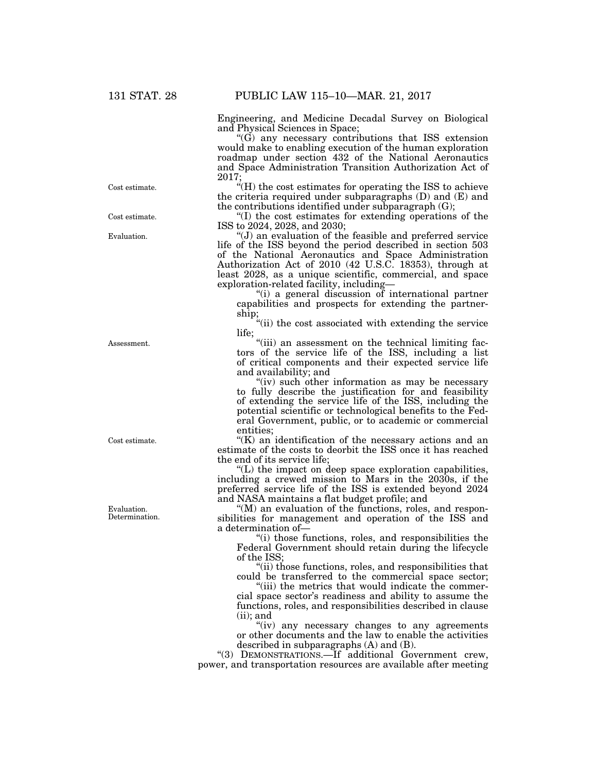Engineering, and Medicine Decadal Survey on Biological and Physical Sciences in Space;

 $\mathcal{L}(\tilde{G})$  any necessary contributions that ISS extension would make to enabling execution of the human exploration roadmap under section 432 of the National Aeronautics and Space Administration Transition Authorization Act of 2017;

 $H(H)$  the cost estimates for operating the ISS to achieve the criteria required under subparagraphs (D) and (E) and the contributions identified under subparagraph (G);

''(I) the cost estimates for extending operations of the ISS to 2024, 2028, and 2030;

''(J) an evaluation of the feasible and preferred service life of the ISS beyond the period described in section 503 of the National Aeronautics and Space Administration Authorization Act of 2010 (42 U.S.C. 18353), through at least 2028, as a unique scientific, commercial, and space exploration-related facility, including—

"(i) a general discussion of international partner capabilities and prospects for extending the partnership;

''(ii) the cost associated with extending the service life;

"(iii) an assessment on the technical limiting factors of the service life of the ISS, including a list of critical components and their expected service life and availability; and

"(iv) such other information as may be necessary to fully describe the justification for and feasibility of extending the service life of the ISS, including the potential scientific or technological benefits to the Federal Government, public, or to academic or commercial entities;

 $K(K)$  an identification of the necessary actions and an estimate of the costs to deorbit the ISS once it has reached the end of its service life;

''(L) the impact on deep space exploration capabilities, including a crewed mission to Mars in the 2030s, if the preferred service life of the ISS is extended beyond 2024 and NASA maintains a flat budget profile; and

"(M) an evaluation of the functions, roles, and responsibilities for management and operation of the ISS and a determination of—

''(i) those functions, roles, and responsibilities the Federal Government should retain during the lifecycle of the ISS;

"(ii) those functions, roles, and responsibilities that could be transferred to the commercial space sector;

''(iii) the metrics that would indicate the commercial space sector's readiness and ability to assume the functions, roles, and responsibilities described in clause (ii); and

"(iv) any necessary changes to any agreements or other documents and the law to enable the activities described in subparagraphs (A) and (B).

''(3) DEMONSTRATIONS.—If additional Government crew, power, and transportation resources are available after meeting

Cost estimate.

Cost estimate.

Evaluation.

Assessment.

Cost estimate.

Evaluation. Determination.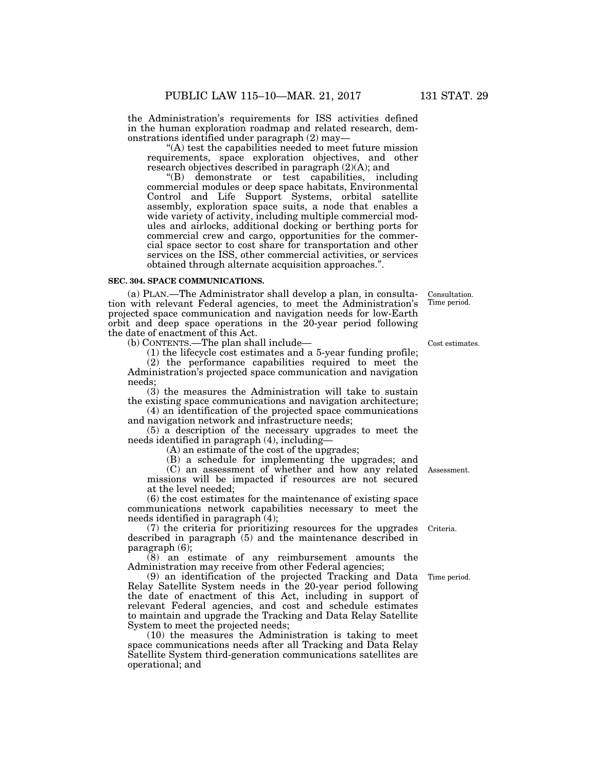the Administration's requirements for ISS activities defined in the human exploration roadmap and related research, demonstrations identified under paragraph (2) may—

''(A) test the capabilities needed to meet future mission requirements, space exploration objectives, and other research objectives described in paragraph (2)(A); and

''(B) demonstrate or test capabilities, including commercial modules or deep space habitats, Environmental Control and Life Support Systems, orbital satellite assembly, exploration space suits, a node that enables a wide variety of activity, including multiple commercial modules and airlocks, additional docking or berthing ports for commercial crew and cargo, opportunities for the commercial space sector to cost share for transportation and other services on the ISS, other commercial activities, or services obtained through alternate acquisition approaches.''.

#### **SEC. 304. SPACE COMMUNICATIONS.**

(a) PLAN.—The Administrator shall develop a plan, in consultation with relevant Federal agencies, to meet the Administration's projected space communication and navigation needs for low-Earth orbit and deep space operations in the 20-year period following the date of enactment of this Act.

(b) CONTENTS.—The plan shall include—

(1) the lifecycle cost estimates and a 5-year funding profile;

(2) the performance capabilities required to meet the Administration's projected space communication and navigation needs;

(3) the measures the Administration will take to sustain the existing space communications and navigation architecture;

(4) an identification of the projected space communications and navigation network and infrastructure needs;

(5) a description of the necessary upgrades to meet the needs identified in paragraph (4), including—

(A) an estimate of the cost of the upgrades;

(B) a schedule for implementing the upgrades; and (C) an assessment of whether and how any related missions will be impacted if resources are not secured at the level needed; Assessment.

(6) the cost estimates for the maintenance of existing space communications network capabilities necessary to meet the needs identified in paragraph (4);

(7) the criteria for prioritizing resources for the upgrades Criteria. described in paragraph (5) and the maintenance described in paragraph (6);

(8) an estimate of any reimbursement amounts the Administration may receive from other Federal agencies;

(9) an identification of the projected Tracking and Data Time period. Relay Satellite System needs in the 20-year period following the date of enactment of this Act, including in support of relevant Federal agencies, and cost and schedule estimates to maintain and upgrade the Tracking and Data Relay Satellite System to meet the projected needs;

(10) the measures the Administration is taking to meet space communications needs after all Tracking and Data Relay Satellite System third-generation communications satellites are operational; and

Cost estimates.

Consultation. Time period.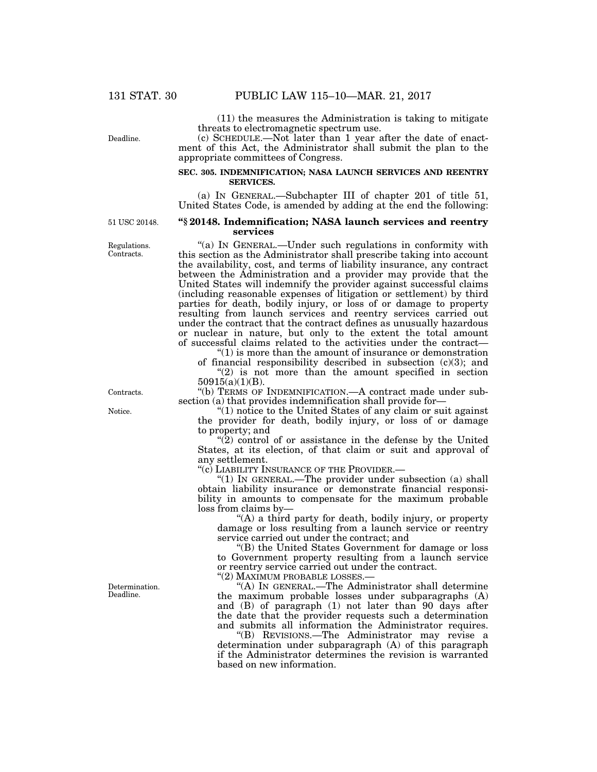(11) the measures the Administration is taking to mitigate threats to electromagnetic spectrum use.

Deadline.

# (c) SCHEDULE.—Not later than 1 year after the date of enactment of this Act, the Administrator shall submit the plan to the appropriate committees of Congress.

## **SEC. 305. INDEMNIFICATION; NASA LAUNCH SERVICES AND REENTRY SERVICES.**

(a) IN GENERAL.—Subchapter III of chapter 201 of title 51, United States Code, is amended by adding at the end the following:

51 USC 20148.

Regulations. Contracts.

# **''§ 20148. Indemnification; NASA launch services and reentry services**

''(a) IN GENERAL.—Under such regulations in conformity with this section as the Administrator shall prescribe taking into account the availability, cost, and terms of liability insurance, any contract between the Administration and a provider may provide that the United States will indemnify the provider against successful claims (including reasonable expenses of litigation or settlement) by third parties for death, bodily injury, or loss of or damage to property resulting from launch services and reentry services carried out under the contract that the contract defines as unusually hazardous or nuclear in nature, but only to the extent the total amount of successful claims related to the activities under the contract—

 $"(1)$  is more than the amount of insurance or demonstration of financial responsibility described in subsection  $(c)(3)$ ; and

 $(2)$  is not more than the amount specified in section 50915(a)(1)(B).

''(b) TERMS OF INDEMNIFICATION.—A contract made under subsection (a) that provides indemnification shall provide for-

''(1) notice to the United States of any claim or suit against the provider for death, bodily injury, or loss of or damage to property; and

" $(2)$  control of or assistance in the defense by the United States, at its election, of that claim or suit and approval of any settlement.

''(c) LIABILITY INSURANCE OF THE PROVIDER.—

" $(1)$  In GENERAL.—The provider under subsection  $(a)$  shall obtain liability insurance or demonstrate financial responsibility in amounts to compensate for the maximum probable loss from claims by—

''(A) a third party for death, bodily injury, or property damage or loss resulting from a launch service or reentry service carried out under the contract; and

''(B) the United States Government for damage or loss to Government property resulting from a launch service or reentry service carried out under the contract.

''(2) MAXIMUM PROBABLE LOSSES.—

''(A) IN GENERAL.—The Administrator shall determine the maximum probable losses under subparagraphs (A) and (B) of paragraph (1) not later than 90 days after the date that the provider requests such a determination and submits all information the Administrator requires.

''(B) REVISIONS.—The Administrator may revise a determination under subparagraph (A) of this paragraph if the Administrator determines the revision is warranted based on new information.

Contracts.

Notice.

Determination. Deadline.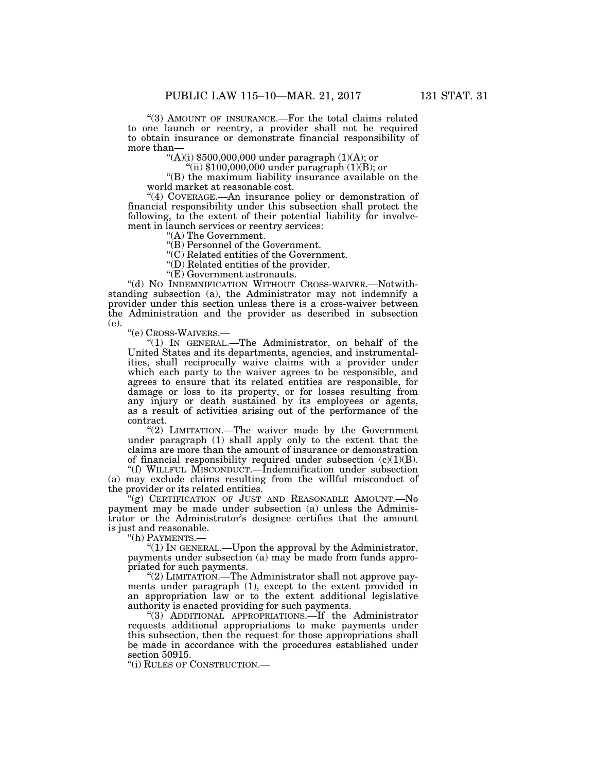''(3) AMOUNT OF INSURANCE.—For the total claims related to one launch or reentry, a provider shall not be required to obtain insurance or demonstrate financial responsibility of more than—

"(A)(i)  $$500,000,000$  under paragraph (1)(A); or

"(ii)  $$100,000,000$  under paragraph  $(1)(B)$ ; or

''(B) the maximum liability insurance available on the world market at reasonable cost.

"(4) COVERAGE.—An insurance policy or demonstration of financial responsibility under this subsection shall protect the following, to the extent of their potential liability for involvement in launch services or reentry services:

''(A) The Government.

''(B) Personnel of the Government.

''(C) Related entities of the Government.

''(D) Related entities of the provider.

''(E) Government astronauts.

"(d) NO INDEMNIFICATION WITHOUT CROSS-WAIVER.-Notwithstanding subsection (a), the Administrator may not indemnify a provider under this section unless there is a cross-waiver between the Administration and the provider as described in subsection (e).

''(e) CROSS-WAIVERS.—

''(1) IN GENERAL.—The Administrator, on behalf of the United States and its departments, agencies, and instrumentalities, shall reciprocally waive claims with a provider under which each party to the waiver agrees to be responsible, and agrees to ensure that its related entities are responsible, for damage or loss to its property, or for losses resulting from any injury or death sustained by its employees or agents, as a result of activities arising out of the performance of the contract.

"(2) LIMITATION.—The waiver made by the Government under paragraph (1) shall apply only to the extent that the claims are more than the amount of insurance or demonstration of financial responsibility required under subsection  $(c)(1)(B)$ .

''(f) WILLFUL MISCONDUCT.—Indemnification under subsection (a) may exclude claims resulting from the willful misconduct of the provider or its related entities.

''(g) CERTIFICATION OF JUST AND REASONABLE AMOUNT.—No payment may be made under subsection (a) unless the Administrator or the Administrator's designee certifies that the amount is just and reasonable.

''(h) PAYMENTS.—

''(1) IN GENERAL.—Upon the approval by the Administrator, payments under subsection (a) may be made from funds appropriated for such payments.

"(2) LIMITATION.—The Administrator shall not approve payments under paragraph (1), except to the extent provided in an appropriation law or to the extent additional legislative authority is enacted providing for such payments.

''(3) ADDITIONAL APPROPRIATIONS.—If the Administrator requests additional appropriations to make payments under this subsection, then the request for those appropriations shall be made in accordance with the procedures established under section 50915.

''(i) RULES OF CONSTRUCTION.—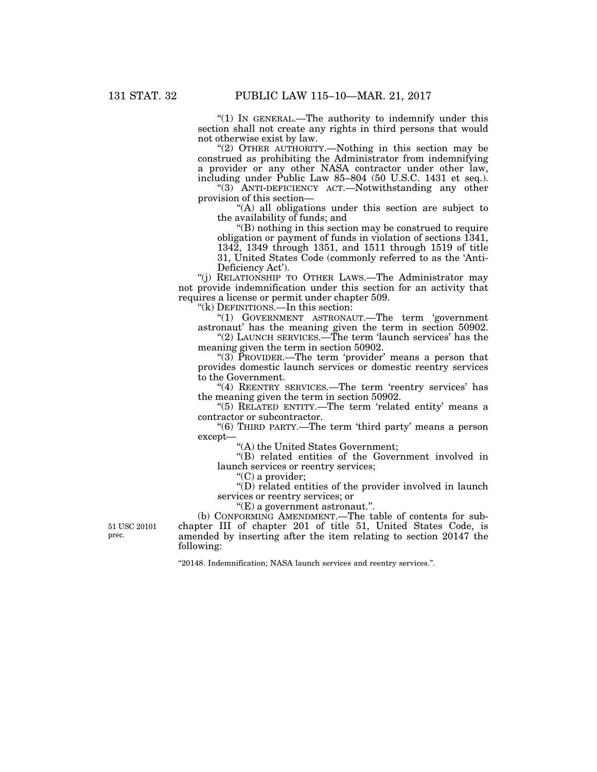"(1) In GENERAL.—The authority to indemnify under this section shall not create any rights in third persons that would not otherwise exist by law.

"(2) OTHER AUTHORITY.—Nothing in this section may be construed as prohibiting the Administrator from indemnifying a provider or any other NASA contractor under other law, including under Public Law 85–804 (50 U.S.C. 1431 et seq.).

"(3) ANTI-DEFICIENCY ACT.—Notwithstanding any other provision of this section—

"(A) all obligations under this section are subject to the availability of funds; and

''(B) nothing in this section may be construed to require obligation or payment of funds in violation of sections 1341, 1342, 1349 through 1351, and 1511 through 1519 of title 31, United States Code (commonly referred to as the 'Anti-Deficiency Act').

''(j) RELATIONSHIP TO OTHER LAWS.—The Administrator may not provide indemnification under this section for an activity that requires a license or permit under chapter 509.

''(k) DEFINITIONS.—In this section:

''(1) GOVERNMENT ASTRONAUT.—The term 'government astronaut' has the meaning given the term in section 50902.

"(2) LAUNCH SERVICES.—The term 'launch services' has the meaning given the term in section 50902.

"(3) PROVIDER.—The term 'provider' means a person that provides domestic launch services or domestic reentry services to the Government.

"(4) REENTRY SERVICES.—The term 'reentry services' has the meaning given the term in section 50902.

"(5) RELATED ENTITY.—The term 'related entity' means a contractor or subcontractor.

''(6) THIRD PARTY.—The term 'third party' means a person except—

''(A) the United States Government;

''(B) related entities of the Government involved in launch services or reentry services;

"(C) a provider;

''(D) related entities of the provider involved in launch services or reentry services; or

''(E) a government astronaut.''.

(b) CONFORMING AMENDMENT.—The table of contents for subchapter III of chapter 201 of title 51, United States Code, is amended by inserting after the item relating to section 20147 the following:

''20148. Indemnification; NASA launch services and reentry services.''.

51 USC 20101 prec.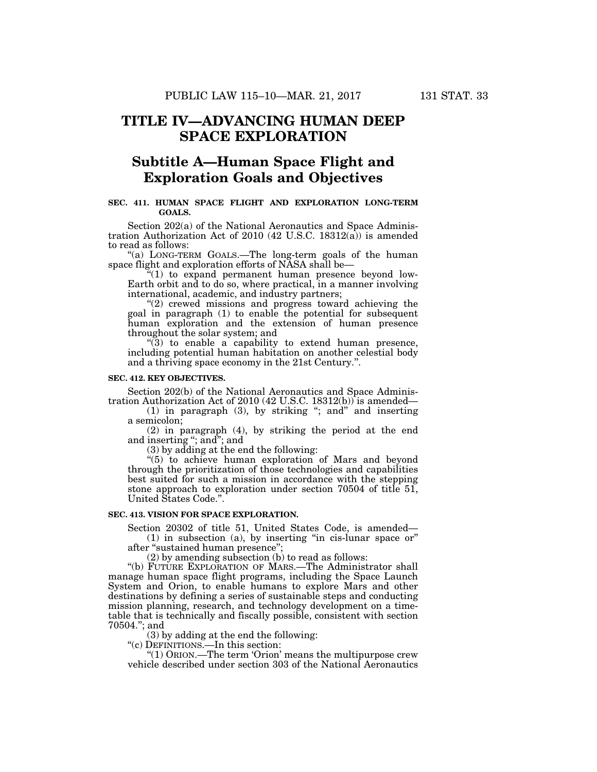# **TITLE IV—ADVANCING HUMAN DEEP SPACE EXPLORATION**

# **Subtitle A—Human Space Flight and Exploration Goals and Objectives**

## **SEC. 411. HUMAN SPACE FLIGHT AND EXPLORATION LONG-TERM GOALS.**

Section 202(a) of the National Aeronautics and Space Administration Authorization Act of 2010 (42 U.S.C. 18312(a)) is amended to read as follows:

''(a) LONG-TERM GOALS.—The long-term goals of the human space flight and exploration efforts of NASA shall be—

"(1) to expand permanent human presence beyond low-Earth orbit and to do so, where practical, in a manner involving international, academic, and industry partners;

"(2) crewed missions and progress toward achieving the goal in paragraph (1) to enable the potential for subsequent human exploration and the extension of human presence throughout the solar system; and

 $\mathcal{L}(3)$  to enable a capability to extend human presence, including potential human habitation on another celestial body and a thriving space economy in the 21st Century.''.

#### **SEC. 412. KEY OBJECTIVES.**

Section 202(b) of the National Aeronautics and Space Administration Authorization Act of 2010 (42 U.S.C. 18312(b)) is amended—

(1) in paragraph (3), by striking ''; and'' and inserting a semicolon;

(2) in paragraph (4), by striking the period at the end and inserting ''; and''; and

(3) by adding at the end the following:

''(5) to achieve human exploration of Mars and beyond through the prioritization of those technologies and capabilities best suited for such a mission in accordance with the stepping stone approach to exploration under section 70504 of title 51, United States Code.''.

## **SEC. 413. VISION FOR SPACE EXPLORATION.**

Section 20302 of title 51, United States Code, is amended—

 $(1)$  in subsection  $(a)$ , by inserting "in cis-lunar space or" after ''sustained human presence'';

(2) by amending subsection (b) to read as follows:

''(b) FUTURE EXPLORATION OF MARS.—The Administrator shall manage human space flight programs, including the Space Launch System and Orion, to enable humans to explore Mars and other destinations by defining a series of sustainable steps and conducting mission planning, research, and technology development on a timetable that is technically and fiscally possible, consistent with section 70504.''; and

(3) by adding at the end the following:

''(c) DEFINITIONS.—In this section:

''(1) ORION.—The term 'Orion' means the multipurpose crew vehicle described under section 303 of the National Aeronautics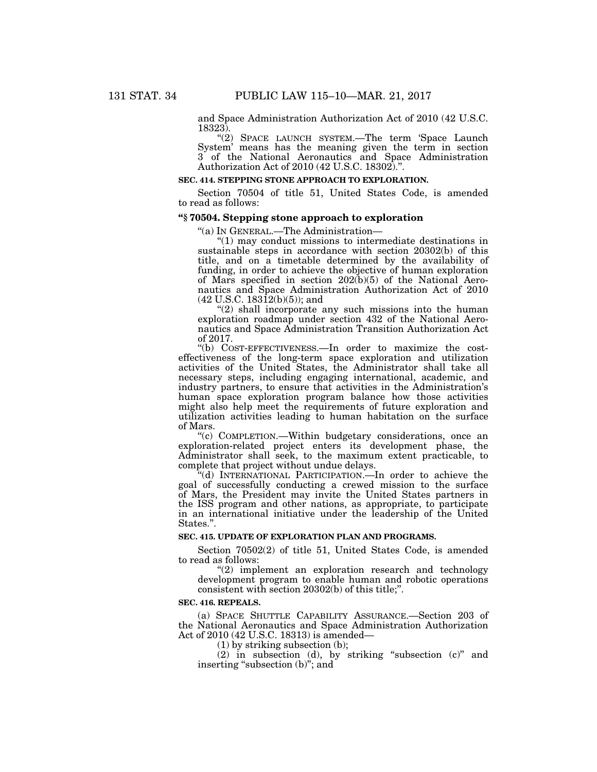and Space Administration Authorization Act of 2010 (42 U.S.C. 18323).

"(2) SPACE LAUNCH SYSTEM.-The term 'Space Launch System' means has the meaning given the term in section 3 of the National Aeronautics and Space Administration Authorization Act of 2010 (42 U.S.C. 18302).''.

## **SEC. 414. STEPPING STONE APPROACH TO EXPLORATION.**

Section 70504 of title 51, United States Code, is amended to read as follows:

#### **''§ 70504. Stepping stone approach to exploration**

''(a) IN GENERAL.—The Administration—

''(1) may conduct missions to intermediate destinations in sustainable steps in accordance with section 20302(b) of this title, and on a timetable determined by the availability of funding, in order to achieve the objective of human exploration of Mars specified in section 202(b)(5) of the National Aeronautics and Space Administration Authorization Act of 2010  $(42 \text{ U.S.C. } 183\text{12(b)(5)});$  and

"(2) shall incorporate any such missions into the human exploration roadmap under section 432 of the National Aeronautics and Space Administration Transition Authorization Act of 2017.

''(b) COST-EFFECTIVENESS.—In order to maximize the costeffectiveness of the long-term space exploration and utilization activities of the United States, the Administrator shall take all necessary steps, including engaging international, academic, and industry partners, to ensure that activities in the Administration's human space exploration program balance how those activities might also help meet the requirements of future exploration and utilization activities leading to human habitation on the surface of Mars.

''(c) COMPLETION.—Within budgetary considerations, once an exploration-related project enters its development phase, the Administrator shall seek, to the maximum extent practicable, to complete that project without undue delays.

''(d) INTERNATIONAL PARTICIPATION.—In order to achieve the goal of successfully conducting a crewed mission to the surface of Mars, the President may invite the United States partners in the ISS program and other nations, as appropriate, to participate in an international initiative under the leadership of the United States.''.

# **SEC. 415. UPDATE OF EXPLORATION PLAN AND PROGRAMS.**

Section 70502(2) of title 51, United States Code, is amended to read as follows:

"(2) implement an exploration research and technology development program to enable human and robotic operations consistent with section 20302(b) of this title;''.

#### **SEC. 416. REPEALS.**

(a) SPACE SHUTTLE CAPABILITY ASSURANCE.—Section 203 of the National Aeronautics and Space Administration Authorization Act of 2010 (42 U.S.C. 18313) is amended—

(1) by striking subsection (b);

(2) in subsection (d), by striking ''subsection (c)'' and inserting "subsection (b)"; and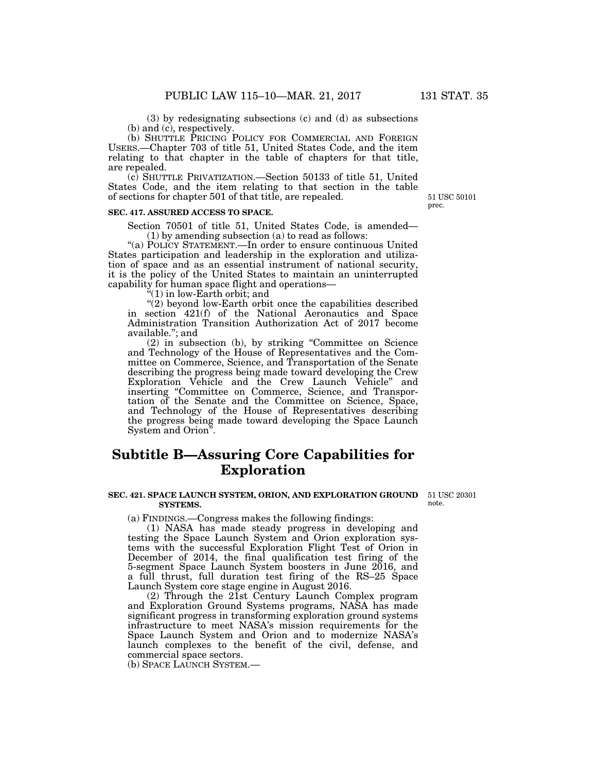(3) by redesignating subsections (c) and (d) as subsections (b) and (c), respectively.

(b) SHUTTLE PRICING POLICY FOR COMMERCIAL AND FOREIGN USERS.—Chapter 703 of title 51, United States Code, and the item relating to that chapter in the table of chapters for that title, are repealed.

(c) SHUTTLE PRIVATIZATION.—Section 50133 of title 51, United States Code, and the item relating to that section in the table of sections for chapter 501 of that title, are repealed.

#### **SEC. 417. ASSURED ACCESS TO SPACE.**

Section 70501 of title 51, United States Code, is amended— (1) by amending subsection (a) to read as follows:

"(a) POLICY STATEMENT.—In order to ensure continuous United States participation and leadership in the exploration and utilization of space and as an essential instrument of national security, it is the policy of the United States to maintain an uninterrupted capability for human space flight and operations—

 $(1)$  in low-Earth orbit; and

"(2) beyond low-Earth orbit once the capabilities described in section 421(f) of the National Aeronautics and Space Administration Transition Authorization Act of 2017 become available.''; and

(2) in subsection (b), by striking ''Committee on Science and Technology of the House of Representatives and the Committee on Commerce, Science, and Transportation of the Senate describing the progress being made toward developing the Crew Exploration Vehicle and the Crew Launch Vehicle'' and inserting ''Committee on Commerce, Science, and Transportation of the Senate and the Committee on Science, Space, and Technology of the House of Representatives describing the progress being made toward developing the Space Launch System and Orion''.

# **Subtitle B—Assuring Core Capabilities for Exploration**

#### **SEC. 421. SPACE LAUNCH SYSTEM, ORION, AND EXPLORATION GROUND**  51 USC 20301 **SYSTEMS.**

(a) FINDINGS.—Congress makes the following findings:

(1) NASA has made steady progress in developing and testing the Space Launch System and Orion exploration systems with the successful Exploration Flight Test of Orion in December of 2014, the final qualification test firing of the 5-segment Space Launch System boosters in June 2016, and a full thrust, full duration test firing of the RS–25 Space Launch System core stage engine in August 2016.

(2) Through the 21st Century Launch Complex program and Exploration Ground Systems programs, NASA has made significant progress in transforming exploration ground systems infrastructure to meet NASA's mission requirements for the Space Launch System and Orion and to modernize NASA's launch complexes to the benefit of the civil, defense, and commercial space sectors.

(b) SPACE LAUNCH SYSTEM.—

note.

51 USC 50101 prec.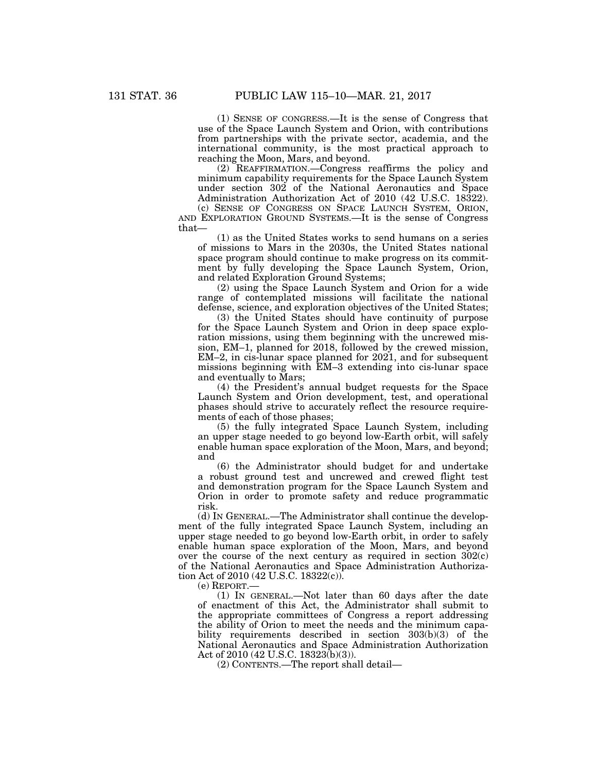(1) SENSE OF CONGRESS.—It is the sense of Congress that use of the Space Launch System and Orion, with contributions from partnerships with the private sector, academia, and the international community, is the most practical approach to reaching the Moon, Mars, and beyond.

(2) REAFFIRMATION.—Congress reaffirms the policy and minimum capability requirements for the Space Launch System under section 302 of the National Aeronautics and Space Administration Authorization Act of 2010 (42 U.S.C. 18322).

(c) SENSE OF CONGRESS ON SPACE LAUNCH SYSTEM, ORION, AND EXPLORATION GROUND SYSTEMS.—It is the sense of Congress that—

(1) as the United States works to send humans on a series of missions to Mars in the 2030s, the United States national space program should continue to make progress on its commitment by fully developing the Space Launch System, Orion, and related Exploration Ground Systems;

(2) using the Space Launch System and Orion for a wide range of contemplated missions will facilitate the national defense, science, and exploration objectives of the United States;

(3) the United States should have continuity of purpose for the Space Launch System and Orion in deep space exploration missions, using them beginning with the uncrewed mission, EM–1, planned for 2018, followed by the crewed mission, EM–2, in cis-lunar space planned for 2021, and for subsequent missions beginning with EM–3 extending into cis-lunar space and eventually to Mars;

(4) the President's annual budget requests for the Space Launch System and Orion development, test, and operational phases should strive to accurately reflect the resource requirements of each of those phases;

(5) the fully integrated Space Launch System, including an upper stage needed to go beyond low-Earth orbit, will safely enable human space exploration of the Moon, Mars, and beyond; and

(6) the Administrator should budget for and undertake a robust ground test and uncrewed and crewed flight test and demonstration program for the Space Launch System and Orion in order to promote safety and reduce programmatic risk.

(d) IN GENERAL.—The Administrator shall continue the development of the fully integrated Space Launch System, including an upper stage needed to go beyond low-Earth orbit, in order to safely enable human space exploration of the Moon, Mars, and beyond over the course of the next century as required in section 302(c) of the National Aeronautics and Space Administration Authorization Act of 2010 (42 U.S.C. 18322(c)).

(e) REPORT.—

(1) IN GENERAL.—Not later than 60 days after the date of enactment of this Act, the Administrator shall submit to the appropriate committees of Congress a report addressing the ability of Orion to meet the needs and the minimum capability requirements described in section 303(b)(3) of the National Aeronautics and Space Administration Authorization Act of 2010 (42 U.S.C. 18323(b)(3)).

(2) CONTENTS.—The report shall detail—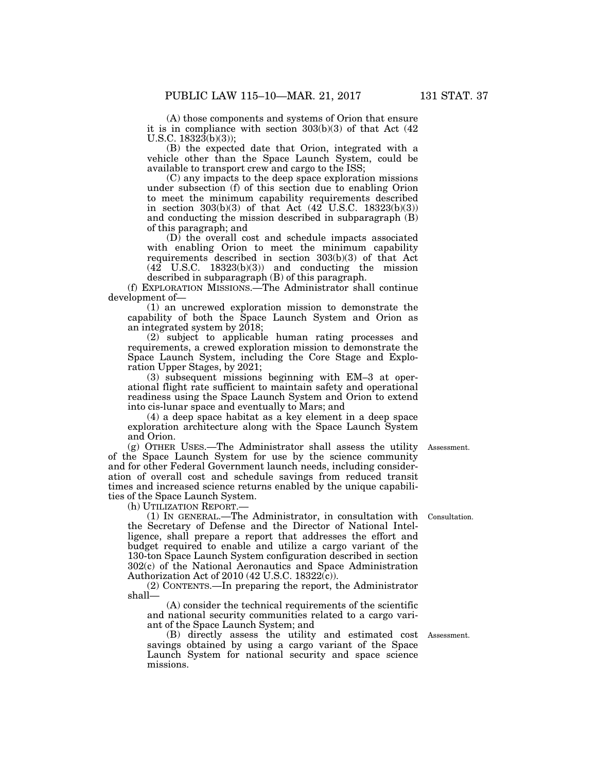(A) those components and systems of Orion that ensure it is in compliance with section 303(b)(3) of that Act (42 U.S.C.  $18323(b)(3)$ ;

(B) the expected date that Orion, integrated with a vehicle other than the Space Launch System, could be available to transport crew and cargo to the ISS;

under subsection (f) of this section due to enabling Orion to meet the minimum capability requirements described in section  $303(b)(3)$  of that Act  $(42 \text{ U.S.C. } 18323(b)(3))$ and conducting the mission described in subparagraph (B) of this paragraph; and

(D) the overall cost and schedule impacts associated with enabling Orion to meet the minimum capability requirements described in section 303(b)(3) of that Act (42 U.S.C. 18323(b)(3)) and conducting the mission described in subparagraph (B) of this paragraph.

(f) EXPLORATION MISSIONS.—The Administrator shall continue development of—

(1) an uncrewed exploration mission to demonstrate the capability of both the Space Launch System and Orion as an integrated system by 2018;

(2) subject to applicable human rating processes and requirements, a crewed exploration mission to demonstrate the Space Launch System, including the Core Stage and Exploration Upper Stages, by 2021;

(3) subsequent missions beginning with EM–3 at operational flight rate sufficient to maintain safety and operational readiness using the Space Launch System and Orion to extend into cis-lunar space and eventually to Mars; and

(4) a deep space habitat as a key element in a deep space exploration architecture along with the Space Launch System and Orion.

(g) OTHER USES.—The Administrator shall assess the utility Assessment. of the Space Launch System for use by the science community and for other Federal Government launch needs, including consideration of overall cost and schedule savings from reduced transit times and increased science returns enabled by the unique capabilities of the Space Launch System.

(h) UTILIZATION REPORT.—

(1) IN GENERAL.—The Administrator, in consultation with the Secretary of Defense and the Director of National Intelligence, shall prepare a report that addresses the effort and budget required to enable and utilize a cargo variant of the 130-ton Space Launch System configuration described in section 302(c) of the National Aeronautics and Space Administration Authorization Act of 2010 (42 U.S.C. 18322(c)).

(2) CONTENTS.—In preparing the report, the Administrator shall—

(A) consider the technical requirements of the scientific and national security communities related to a cargo variant of the Space Launch System; and

(B) directly assess the utility and estimated cost Assessment. savings obtained by using a cargo variant of the Space Launch System for national security and space science missions.

Consultation.

(C) any impacts to the deep space exploration missions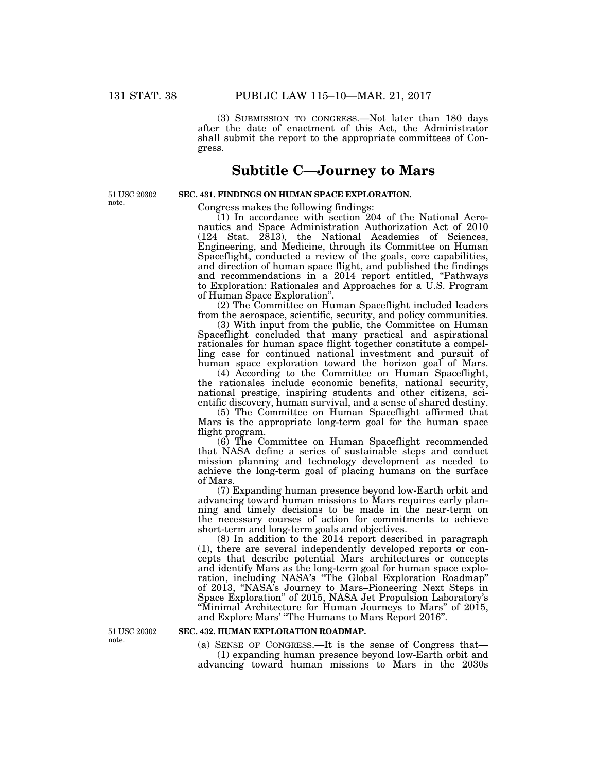(3) SUBMISSION TO CONGRESS.—Not later than 180 days after the date of enactment of this Act, the Administrator shall submit the report to the appropriate committees of Congress.

# **Subtitle C—Journey to Mars**

51 USC 20302 note.

# **SEC. 431. FINDINGS ON HUMAN SPACE EXPLORATION.**

Congress makes the following findings:

 $(1)$  In accordance with section 204 of the National Aeronautics and Space Administration Authorization Act of 2010 (124 Stat. 2813), the National Academies of Sciences, Engineering, and Medicine, through its Committee on Human Spaceflight, conducted a review of the goals, core capabilities, and direction of human space flight, and published the findings and recommendations in a 2014 report entitled, "Pathways" to Exploration: Rationales and Approaches for a U.S. Program of Human Space Exploration''.

(2) The Committee on Human Spaceflight included leaders from the aerospace, scientific, security, and policy communities.

(3) With input from the public, the Committee on Human Spaceflight concluded that many practical and aspirational rationales for human space flight together constitute a compelling case for continued national investment and pursuit of human space exploration toward the horizon goal of Mars.

(4) According to the Committee on Human Spaceflight, the rationales include economic benefits, national security, national prestige, inspiring students and other citizens, scientific discovery, human survival, and a sense of shared destiny.

(5) The Committee on Human Spaceflight affirmed that Mars is the appropriate long-term goal for the human space flight program.

(6) The Committee on Human Spaceflight recommended that NASA define a series of sustainable steps and conduct mission planning and technology development as needed to achieve the long-term goal of placing humans on the surface of Mars.

(7) Expanding human presence beyond low-Earth orbit and advancing toward human missions to Mars requires early planning and timely decisions to be made in the near-term on the necessary courses of action for commitments to achieve short-term and long-term goals and objectives.

(8) In addition to the 2014 report described in paragraph (1), there are several independently developed reports or concepts that describe potential Mars architectures or concepts and identify Mars as the long-term goal for human space exploration, including NASA's ''The Global Exploration Roadmap'' of 2013, ''NASA's Journey to Mars–Pioneering Next Steps in Space Exploration'' of 2015, NASA Jet Propulsion Laboratory's ''Minimal Architecture for Human Journeys to Mars'' of 2015, and Explore Mars' ''The Humans to Mars Report 2016''.

51 USC 20302 note.

# **SEC. 432. HUMAN EXPLORATION ROADMAP.**

(a) SENSE OF CONGRESS.—It is the sense of Congress that— (1) expanding human presence beyond low-Earth orbit and advancing toward human missions to Mars in the 2030s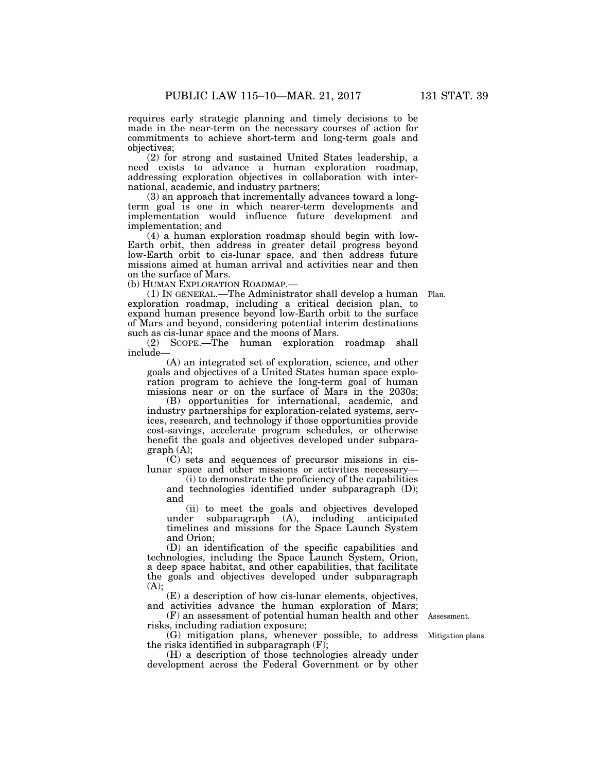requires early strategic planning and timely decisions to be made in the near-term on the necessary courses of action for commitments to achieve short-term and long-term goals and objectives;

(2) for strong and sustained United States leadership, a need exists to advance a human exploration roadmap, addressing exploration objectives in collaboration with international, academic, and industry partners;

(3) an approach that incrementally advances toward a longterm goal is one in which nearer-term developments and implementation would influence future development and implementation; and

(4) a human exploration roadmap should begin with low-Earth orbit, then address in greater detail progress beyond low-Earth orbit to cis-lunar space, and then address future missions aimed at human arrival and activities near and then on the surface of Mars.

(b) HUMAN EXPLORATION ROADMAP.—

(1) IN GENERAL.—The Administrator shall develop a human Plan. exploration roadmap, including a critical decision plan, to expand human presence beyond low-Earth orbit to the surface of Mars and beyond, considering potential interim destinations such as cis-lunar space and the moons of Mars.

(2) SCOPE.—The human exploration roadmap shall include—

(A) an integrated set of exploration, science, and other goals and objectives of a United States human space exploration program to achieve the long-term goal of human missions near or on the surface of Mars in the 2030s;

(B) opportunities for international, academic, and industry partnerships for exploration-related systems, services, research, and technology if those opportunities provide cost-savings, accelerate program schedules, or otherwise benefit the goals and objectives developed under subparagraph (A);

(C) sets and sequences of precursor missions in cislunar space and other missions or activities necessary—

(i) to demonstrate the proficiency of the capabilities and technologies identified under subparagraph (D); and

(ii) to meet the goals and objectives developed under subparagraph (A), including anticipated timelines and missions for the Space Launch System and Orion;

(D) an identification of the specific capabilities and technologies, including the Space Launch System, Orion, a deep space habitat, and other capabilities, that facilitate the goals and objectives developed under subparagraph (A);

(E) a description of how cis-lunar elements, objectives, and activities advance the human exploration of Mars;

(F) an assessment of potential human health and other risks, including radiation exposure;

(G) mitigation plans, whenever possible, to address the risks identified in subparagraph (F);

(H) a description of those technologies already under development across the Federal Government or by other

Assessment.

Mitigation plans.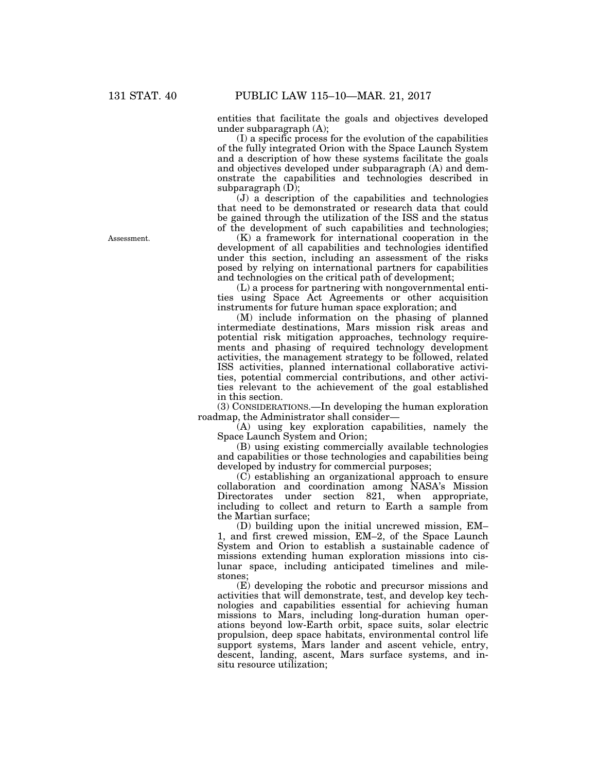entities that facilitate the goals and objectives developed under subparagraph (A);

(I) a specific process for the evolution of the capabilities of the fully integrated Orion with the Space Launch System and a description of how these systems facilitate the goals and objectives developed under subparagraph (A) and demonstrate the capabilities and technologies described in subparagraph  $(D)$ ;

(J) a description of the capabilities and technologies that need to be demonstrated or research data that could be gained through the utilization of the ISS and the status of the development of such capabilities and technologies;

(K) a framework for international cooperation in the development of all capabilities and technologies identified under this section, including an assessment of the risks posed by relying on international partners for capabilities and technologies on the critical path of development;

(L) a process for partnering with nongovernmental entities using Space Act Agreements or other acquisition instruments for future human space exploration; and

(M) include information on the phasing of planned intermediate destinations, Mars mission risk areas and potential risk mitigation approaches, technology requirements and phasing of required technology development activities, the management strategy to be followed, related ISS activities, planned international collaborative activities, potential commercial contributions, and other activities relevant to the achievement of the goal established in this section.

(3) CONSIDERATIONS.—In developing the human exploration roadmap, the Administrator shall consider—

(A) using key exploration capabilities, namely the Space Launch System and Orion;

(B) using existing commercially available technologies and capabilities or those technologies and capabilities being developed by industry for commercial purposes;

(C) establishing an organizational approach to ensure collaboration and coordination among NASA's Mission Directorates under section 821, when appropriate, including to collect and return to Earth a sample from the Martian surface;

(D) building upon the initial uncrewed mission, EM– 1, and first crewed mission, EM–2, of the Space Launch System and Orion to establish a sustainable cadence of missions extending human exploration missions into cislunar space, including anticipated timelines and milestones;

(E) developing the robotic and precursor missions and activities that will demonstrate, test, and develop key technologies and capabilities essential for achieving human missions to Mars, including long-duration human operations beyond low-Earth orbit, space suits, solar electric propulsion, deep space habitats, environmental control life support systems, Mars lander and ascent vehicle, entry, descent, landing, ascent, Mars surface systems, and insitu resource utilization;

Assessment.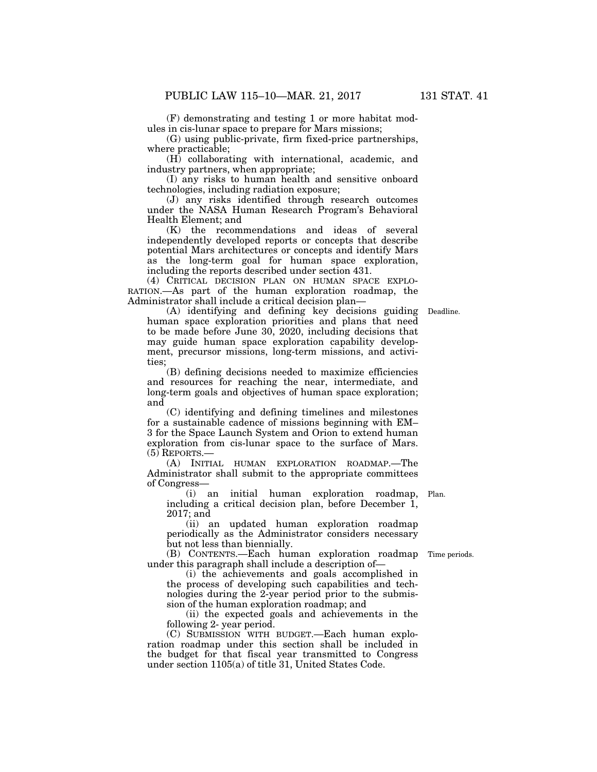(F) demonstrating and testing 1 or more habitat modules in cis-lunar space to prepare for Mars missions;

(G) using public-private, firm fixed-price partnerships, where practicable;

(H) collaborating with international, academic, and industry partners, when appropriate;

(I) any risks to human health and sensitive onboard technologies, including radiation exposure;

(J) any risks identified through research outcomes under the NASA Human Research Program's Behavioral Health Element; and

(K) the recommendations and ideas of several independently developed reports or concepts that describe potential Mars architectures or concepts and identify Mars as the long-term goal for human space exploration, including the reports described under section 431.

(4) CRITICAL DECISION PLAN ON HUMAN SPACE EXPLO-RATION.—As part of the human exploration roadmap, the Administrator shall include a critical decision plan—

(A) identifying and defining key decisions guiding Deadline. human space exploration priorities and plans that need to be made before June 30, 2020, including decisions that may guide human space exploration capability development, precursor missions, long-term missions, and activities;

(B) defining decisions needed to maximize efficiencies and resources for reaching the near, intermediate, and long-term goals and objectives of human space exploration; and

(C) identifying and defining timelines and milestones for a sustainable cadence of missions beginning with EM– 3 for the Space Launch System and Orion to extend human exploration from cis-lunar space to the surface of Mars. (5) REPORTS.—

(A) INITIAL HUMAN EXPLORATION ROADMAP.—The Administrator shall submit to the appropriate committees of Congress—

(i) an initial human exploration roadmap, Plan. including a critical decision plan, before December 1, 2017; and

(ii) an updated human exploration roadmap periodically as the Administrator considers necessary but not less than biennially.

(B) CONTENTS.—Each human exploration roadmap under this paragraph shall include a description of—

(i) the achievements and goals accomplished in the process of developing such capabilities and technologies during the 2-year period prior to the submission of the human exploration roadmap; and

(ii) the expected goals and achievements in the following 2- year period.

(C) SUBMISSION WITH BUDGET.—Each human exploration roadmap under this section shall be included in the budget for that fiscal year transmitted to Congress under section 1105(a) of title 31, United States Code.

Time periods.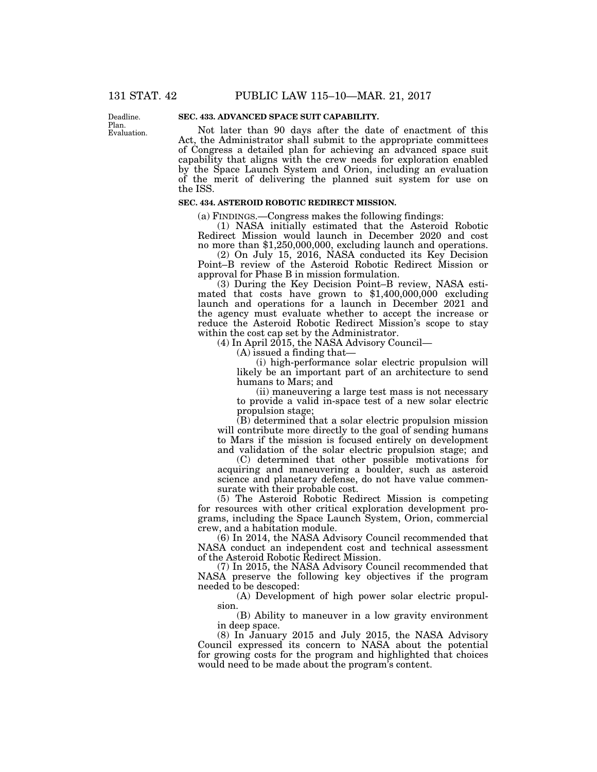Deadline. Plan. Evaluation.

# **SEC. 433. ADVANCED SPACE SUIT CAPABILITY.**

Not later than 90 days after the date of enactment of this Act, the Administrator shall submit to the appropriate committees of Congress a detailed plan for achieving an advanced space suit capability that aligns with the crew needs for exploration enabled by the Space Launch System and Orion, including an evaluation of the merit of delivering the planned suit system for use on the ISS.

## **SEC. 434. ASTEROID ROBOTIC REDIRECT MISSION.**

(a) FINDINGS.—Congress makes the following findings:

(1) NASA initially estimated that the Asteroid Robotic Redirect Mission would launch in December 2020 and cost no more than \$1,250,000,000, excluding launch and operations.

(2) On July 15, 2016, NASA conducted its Key Decision Point–B review of the Asteroid Robotic Redirect Mission or approval for Phase B in mission formulation.

(3) During the Key Decision Point–B review, NASA estimated that costs have grown to \$1,400,000,000 excluding launch and operations for a launch in December 2021 and the agency must evaluate whether to accept the increase or reduce the Asteroid Robotic Redirect Mission's scope to stay within the cost cap set by the Administrator.

 $(4)$  In April 2015, the NASA Advisory Council—

(A) issued a finding that—

(i) high-performance solar electric propulsion will likely be an important part of an architecture to send humans to Mars; and

(ii) maneuvering a large test mass is not necessary to provide a valid in-space test of a new solar electric propulsion stage;

(B) determined that a solar electric propulsion mission will contribute more directly to the goal of sending humans to Mars if the mission is focused entirely on development and validation of the solar electric propulsion stage; and

(C) determined that other possible motivations for acquiring and maneuvering a boulder, such as asteroid science and planetary defense, do not have value commensurate with their probable cost.

(5) The Asteroid Robotic Redirect Mission is competing for resources with other critical exploration development programs, including the Space Launch System, Orion, commercial crew, and a habitation module.

(6) In 2014, the NASA Advisory Council recommended that NASA conduct an independent cost and technical assessment of the Asteroid Robotic Redirect Mission.

(7) In 2015, the NASA Advisory Council recommended that NASA preserve the following key objectives if the program needed to be descoped:

(A) Development of high power solar electric propulsion.

(B) Ability to maneuver in a low gravity environment in deep space.

(8) In January 2015 and July 2015, the NASA Advisory Council expressed its concern to NASA about the potential for growing costs for the program and highlighted that choices would need to be made about the program's content.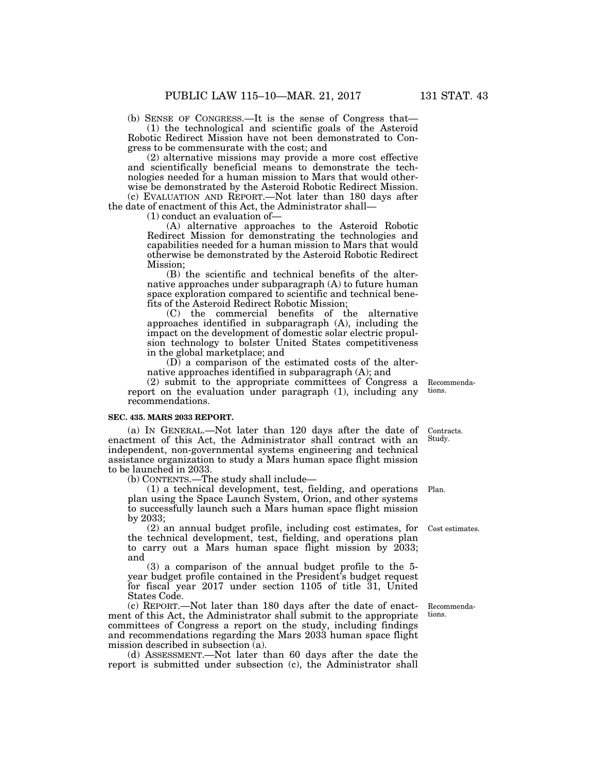(b) SENSE OF CONGRESS.—It is the sense of Congress that—

(1) the technological and scientific goals of the Asteroid Robotic Redirect Mission have not been demonstrated to Congress to be commensurate with the cost; and

(2) alternative missions may provide a more cost effective and scientifically beneficial means to demonstrate the technologies needed for a human mission to Mars that would otherwise be demonstrated by the Asteroid Robotic Redirect Mission. (c) EVALUATION AND REPORT.—Not later than 180 days after

the date of enactment of this Act, the Administrator shall—

(1) conduct an evaluation of—

(A) alternative approaches to the Asteroid Robotic Redirect Mission for demonstrating the technologies and capabilities needed for a human mission to Mars that would otherwise be demonstrated by the Asteroid Robotic Redirect Mission;

(B) the scientific and technical benefits of the alternative approaches under subparagraph (A) to future human space exploration compared to scientific and technical benefits of the Asteroid Redirect Robotic Mission;

(C) the commercial benefits of the alternative approaches identified in subparagraph (A), including the impact on the development of domestic solar electric propulsion technology to bolster United States competitiveness in the global marketplace; and

(D) a comparison of the estimated costs of the alternative approaches identified in subparagraph (A); and

(2) submit to the appropriate committees of Congress a report on the evaluation under paragraph (1), including any recommendations.

#### **SEC. 435. MARS 2033 REPORT.**

(a) IN GENERAL.—Not later than 120 days after the date of enactment of this Act, the Administrator shall contract with an independent, non-governmental systems engineering and technical assistance organization to study a Mars human space flight mission to be launched in 2033.

(b) CONTENTS.—The study shall include—

(1) a technical development, test, fielding, and operations plan using the Space Launch System, Orion, and other systems to successfully launch such a Mars human space flight mission by 2033;

(2) an annual budget profile, including cost estimates, for the technical development, test, fielding, and operations plan to carry out a Mars human space flight mission by 2033; and

(3) a comparison of the annual budget profile to the 5 year budget profile contained in the President's budget request for fiscal year 2017 under section 1105 of title 31, United States Code.

(c) REPORT.—Not later than 180 days after the date of enactment of this Act, the Administrator shall submit to the appropriate committees of Congress a report on the study, including findings and recommendations regarding the Mars 2033 human space flight mission described in subsection (a).

(d) ASSESSMENT.—Not later than 60 days after the date the report is submitted under subsection (c), the Administrator shall

Recommendations.

Contracts. Study.

Plan.

Cost estimates.

Recommendations.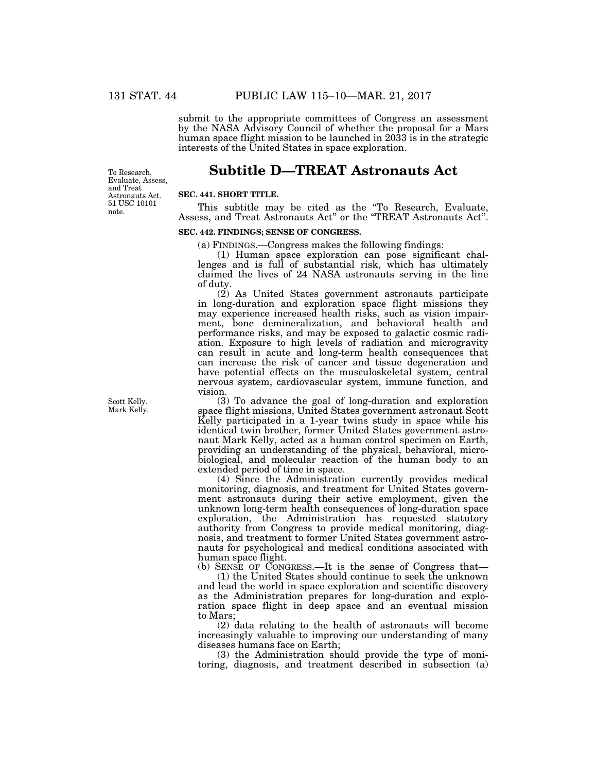submit to the appropriate committees of Congress an assessment by the NASA Advisory Council of whether the proposal for a Mars human space flight mission to be launched in 2033 is in the strategic interests of the United States in space exploration.

# **Subtitle D—TREAT Astronauts Act**

To Research, Evaluate, Assess, and Treat Astronauts Act. 51 USC 10101 note.

# **SEC. 441. SHORT TITLE.**

This subtitle may be cited as the ''To Research, Evaluate, Assess, and Treat Astronauts Act'' or the ''TREAT Astronauts Act''.

# **SEC. 442. FINDINGS; SENSE OF CONGRESS.**

(a) FINDINGS.—Congress makes the following findings:

(1) Human space exploration can pose significant challenges and is full of substantial risk, which has ultimately claimed the lives of 24 NASA astronauts serving in the line of duty.

(2) As United States government astronauts participate in long-duration and exploration space flight missions they may experience increased health risks, such as vision impairment, bone demineralization, and behavioral health and performance risks, and may be exposed to galactic cosmic radiation. Exposure to high levels of radiation and microgravity can result in acute and long-term health consequences that can increase the risk of cancer and tissue degeneration and have potential effects on the musculoskeletal system, central nervous system, cardiovascular system, immune function, and vision.

(3) To advance the goal of long-duration and exploration space flight missions, United States government astronaut Scott Kelly participated in a 1-year twins study in space while his identical twin brother, former United States government astronaut Mark Kelly, acted as a human control specimen on Earth, providing an understanding of the physical, behavioral, microbiological, and molecular reaction of the human body to an extended period of time in space.

(4) Since the Administration currently provides medical monitoring, diagnosis, and treatment for United States government astronauts during their active employment, given the unknown long-term health consequences of long-duration space exploration, the Administration has requested statutory authority from Congress to provide medical monitoring, diagnosis, and treatment to former United States government astronauts for psychological and medical conditions associated with human space flight.

(b) SENSE OF CONGRESS.—It is the sense of Congress that—

(1) the United States should continue to seek the unknown and lead the world in space exploration and scientific discovery as the Administration prepares for long-duration and exploration space flight in deep space and an eventual mission to Mars;

(2) data relating to the health of astronauts will become increasingly valuable to improving our understanding of many diseases humans face on Earth;

(3) the Administration should provide the type of monitoring, diagnosis, and treatment described in subsection (a)

Scott Kelly. Mark Kelly.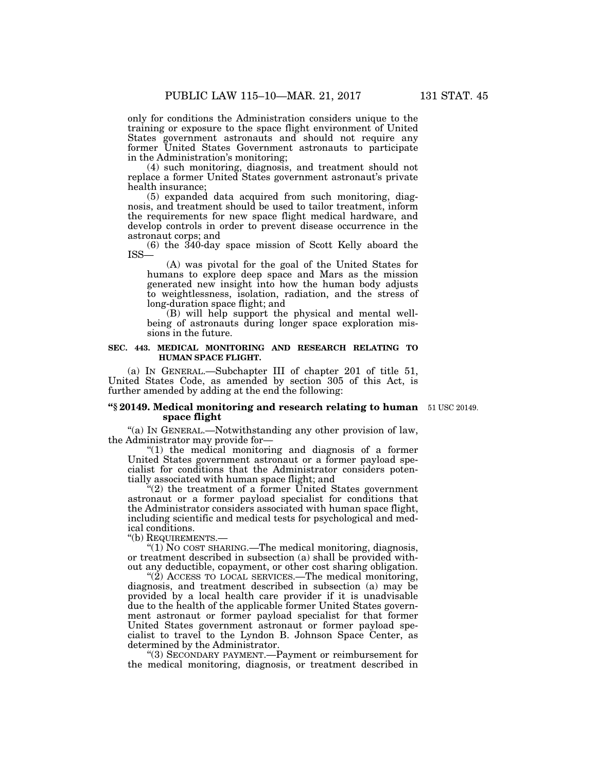only for conditions the Administration considers unique to the training or exposure to the space flight environment of United States government astronauts and should not require any former United States Government astronauts to participate in the Administration's monitoring;

(4) such monitoring, diagnosis, and treatment should not replace a former United States government astronaut's private health insurance;

(5) expanded data acquired from such monitoring, diagnosis, and treatment should be used to tailor treatment, inform the requirements for new space flight medical hardware, and develop controls in order to prevent disease occurrence in the astronaut corps; and

(6) the 340-day space mission of Scott Kelly aboard the ISS—

(A) was pivotal for the goal of the United States for humans to explore deep space and Mars as the mission generated new insight into how the human body adjusts to weightlessness, isolation, radiation, and the stress of long-duration space flight; and

(B) will help support the physical and mental wellbeing of astronauts during longer space exploration missions in the future.

# **SEC. 443. MEDICAL MONITORING AND RESEARCH RELATING TO HUMAN SPACE FLIGHT.**

(a) IN GENERAL.—Subchapter III of chapter 201 of title 51, United States Code, as amended by section 305 of this Act, is further amended by adding at the end the following:

## **''§ 20149. Medical monitoring and research relating to human**  51 USC 20149. **space flight**

''(a) IN GENERAL.—Notwithstanding any other provision of law, the Administrator may provide for—

''(1) the medical monitoring and diagnosis of a former United States government astronaut or a former payload specialist for conditions that the Administrator considers potentially associated with human space flight; and

 $(2)$  the treatment of a former United States government astronaut or a former payload specialist for conditions that the Administrator considers associated with human space flight, including scientific and medical tests for psychological and medical conditions.

''(b) REQUIREMENTS.—

''(1) NO COST SHARING.—The medical monitoring, diagnosis, or treatment described in subsection (a) shall be provided without any deductible, copayment, or other cost sharing obligation.

" $(2)$  ACCESS TO LOCAL SERVICES.—The medical monitoring, diagnosis, and treatment described in subsection (a) may be provided by a local health care provider if it is unadvisable due to the health of the applicable former United States government astronaut or former payload specialist for that former United States government astronaut or former payload specialist to travel to the Lyndon B. Johnson Space Center, as determined by the Administrator.

''(3) SECONDARY PAYMENT.—Payment or reimbursement for the medical monitoring, diagnosis, or treatment described in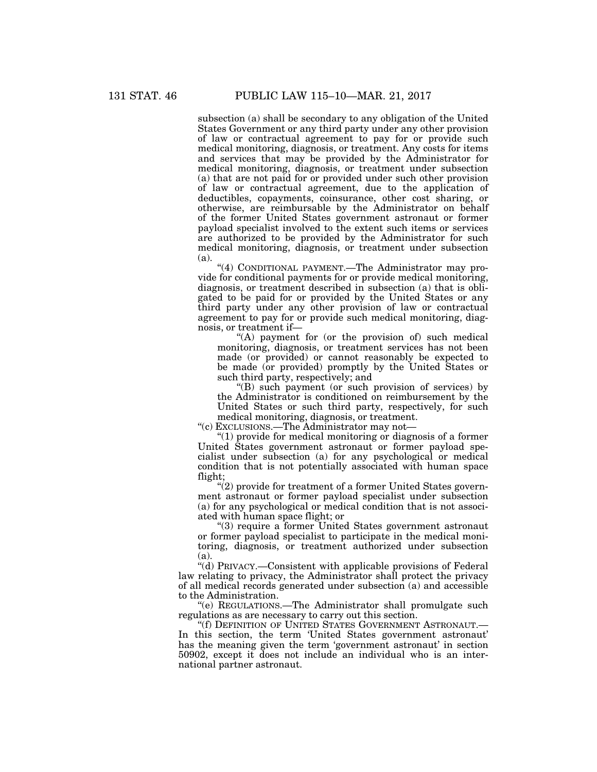subsection (a) shall be secondary to any obligation of the United States Government or any third party under any other provision of law or contractual agreement to pay for or provide such medical monitoring, diagnosis, or treatment. Any costs for items and services that may be provided by the Administrator for medical monitoring, diagnosis, or treatment under subsection (a) that are not paid for or provided under such other provision of law or contractual agreement, due to the application of deductibles, copayments, coinsurance, other cost sharing, or otherwise, are reimbursable by the Administrator on behalf of the former United States government astronaut or former payload specialist involved to the extent such items or services are authorized to be provided by the Administrator for such medical monitoring, diagnosis, or treatment under subsection (a).

"(4) CONDITIONAL PAYMENT.—The Administrator may provide for conditional payments for or provide medical monitoring, diagnosis, or treatment described in subsection (a) that is obligated to be paid for or provided by the United States or any third party under any other provision of law or contractual agreement to pay for or provide such medical monitoring, diagnosis, or treatment if—

"(A) payment for (or the provision of) such medical monitoring, diagnosis, or treatment services has not been made (or provided) or cannot reasonably be expected to be made (or provided) promptly by the United States or such third party, respectively; and

''(B) such payment (or such provision of services) by the Administrator is conditioned on reimbursement by the United States or such third party, respectively, for such medical monitoring, diagnosis, or treatment.

''(c) EXCLUSIONS.—The Administrator may not—

''(1) provide for medical monitoring or diagnosis of a former United States government astronaut or former payload specialist under subsection (a) for any psychological or medical condition that is not potentially associated with human space flight;

''(2) provide for treatment of a former United States government astronaut or former payload specialist under subsection (a) for any psychological or medical condition that is not associated with human space flight; or

''(3) require a former United States government astronaut or former payload specialist to participate in the medical monitoring, diagnosis, or treatment authorized under subsection (a).

''(d) PRIVACY.—Consistent with applicable provisions of Federal law relating to privacy, the Administrator shall protect the privacy of all medical records generated under subsection (a) and accessible to the Administration.

''(e) REGULATIONS.—The Administrator shall promulgate such regulations as are necessary to carry out this section.

''(f) DEFINITION OF UNITED STATES GOVERNMENT ASTRONAUT.— In this section, the term 'United States government astronaut' has the meaning given the term 'government astronaut' in section 50902, except it does not include an individual who is an international partner astronaut.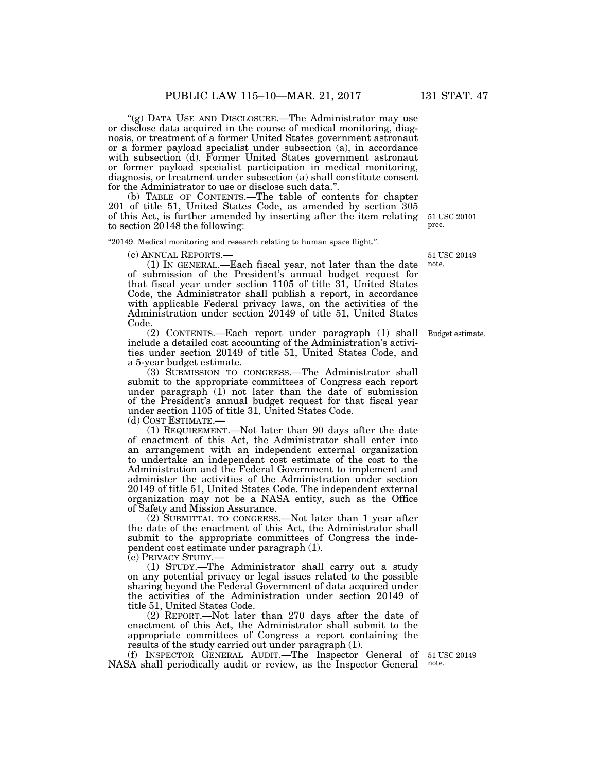''(g) DATA USE AND DISCLOSURE.—The Administrator may use or disclose data acquired in the course of medical monitoring, diagnosis, or treatment of a former United States government astronaut or a former payload specialist under subsection (a), in accordance with subsection (d). Former United States government astronaut or former payload specialist participation in medical monitoring, diagnosis, or treatment under subsection (a) shall constitute consent for the Administrator to use or disclose such data.''.

(b) TABLE OF CONTENTS.—The table of contents for chapter 201 of title 51, United States Code, as amended by section 305 of this Act, is further amended by inserting after the item relating to section 20148 the following:

''20149. Medical monitoring and research relating to human space flight.''.

(c) ANNUAL REPORTS.— (1) IN GENERAL.—Each fiscal year, not later than the date of submission of the President's annual budget request for that fiscal year under section 1105 of title 31, United States Code, the Administrator shall publish a report, in accordance with applicable Federal privacy laws, on the activities of the Administration under section 20149 of title 51, United States Code.

(2) CONTENTS.—Each report under paragraph (1) shall Budget estimate. include a detailed cost accounting of the Administration's activities under section 20149 of title 51, United States Code, and a 5-year budget estimate.

(3) SUBMISSION TO CONGRESS.—The Administrator shall submit to the appropriate committees of Congress each report under paragraph  $(1)$  not later than the date of submission of the President's annual budget request for that fiscal year under section 1105 of title 31, United States Code.

(d) COST ESTIMATE.—

(1) REQUIREMENT.—Not later than 90 days after the date of enactment of this Act, the Administrator shall enter into an arrangement with an independent external organization to undertake an independent cost estimate of the cost to the Administration and the Federal Government to implement and administer the activities of the Administration under section 20149 of title 51, United States Code. The independent external organization may not be a NASA entity, such as the Office of Safety and Mission Assurance.

(2) SUBMITTAL TO CONGRESS.—Not later than 1 year after the date of the enactment of this Act, the Administrator shall submit to the appropriate committees of Congress the independent cost estimate under paragraph (1).

(e) PRIVACY STUDY.—

(1) STUDY.—The Administrator shall carry out a study on any potential privacy or legal issues related to the possible sharing beyond the Federal Government of data acquired under the activities of the Administration under section 20149 of title 51, United States Code.

(2) REPORT.—Not later than 270 days after the date of enactment of this Act, the Administrator shall submit to the appropriate committees of Congress a report containing the results of the study carried out under paragraph (1).

(f) INSPECTOR GENERAL AUDIT.—The Inspector General of 51 USC 20149 NASA shall periodically audit or review, as the Inspector General

note.

51 USC 20101 prec.

51 USC 20149 note.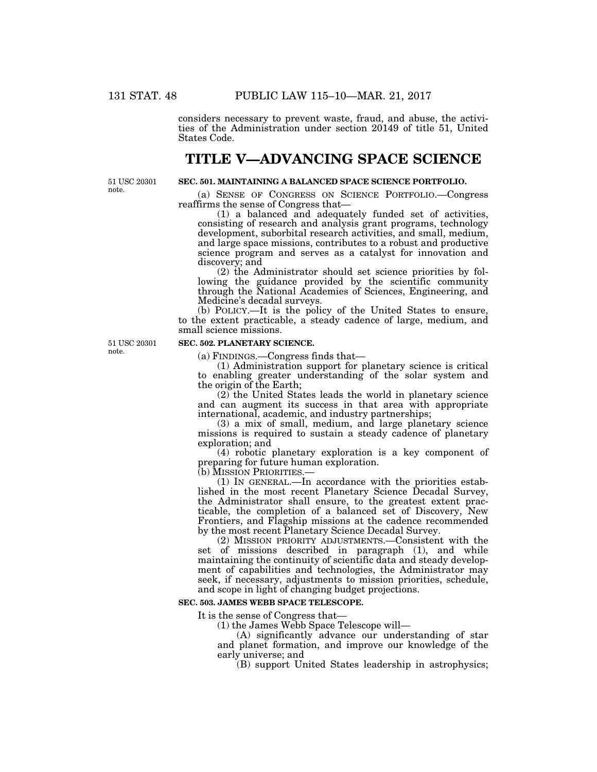considers necessary to prevent waste, fraud, and abuse, the activities of the Administration under section 20149 of title 51, United States Code.

# **TITLE V—ADVANCING SPACE SCIENCE**

51 USC 20301 note.

# **SEC. 501. MAINTAINING A BALANCED SPACE SCIENCE PORTFOLIO.**

(a) SENSE OF CONGRESS ON SCIENCE PORTFOLIO.—Congress reaffirms the sense of Congress that—

(1) a balanced and adequately funded set of activities, consisting of research and analysis grant programs, technology development, suborbital research activities, and small, medium, and large space missions, contributes to a robust and productive science program and serves as a catalyst for innovation and discovery; and

(2) the Administrator should set science priorities by following the guidance provided by the scientific community through the National Academies of Sciences, Engineering, and Medicine's decadal surveys.

(b) POLICY.—It is the policy of the United States to ensure, to the extent practicable, a steady cadence of large, medium, and small science missions.

51 USC 20301 note.

## **SEC. 502. PLANETARY SCIENCE.**

(a) FINDINGS.—Congress finds that—

(1) Administration support for planetary science is critical to enabling greater understanding of the solar system and the origin of the Earth;

(2) the United States leads the world in planetary science and can augment its success in that area with appropriate international, academic, and industry partnerships;

(3) a mix of small, medium, and large planetary science missions is required to sustain a steady cadence of planetary exploration; and

(4) robotic planetary exploration is a key component of preparing for future human exploration.<br>(b) MISSION PRIORITIES.—

 $(1)$  In GENERAL.—In accordance with the priorities established in the most recent Planetary Science Decadal Survey, the Administrator shall ensure, to the greatest extent practicable, the completion of a balanced set of Discovery, New Frontiers, and Flagship missions at the cadence recommended by the most recent Planetary Science Decadal Survey.

(2) MISSION PRIORITY ADJUSTMENTS.—Consistent with the set of missions described in paragraph (1), and while maintaining the continuity of scientific data and steady development of capabilities and technologies, the Administrator may seek, if necessary, adjustments to mission priorities, schedule, and scope in light of changing budget projections.

## **SEC. 503. JAMES WEBB SPACE TELESCOPE.**

It is the sense of Congress that—

(1) the James Webb Space Telescope will—

(A) significantly advance our understanding of star and planet formation, and improve our knowledge of the early universe; and

(B) support United States leadership in astrophysics;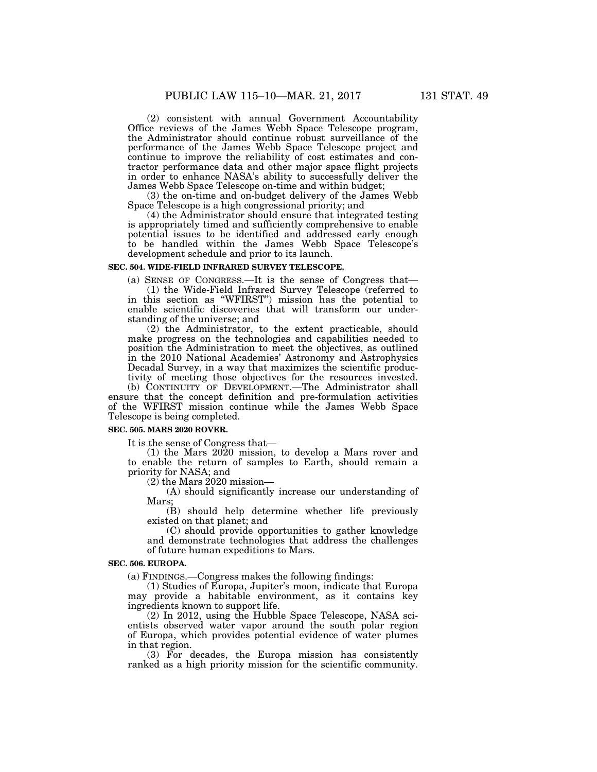(2) consistent with annual Government Accountability Office reviews of the James Webb Space Telescope program, the Administrator should continue robust surveillance of the performance of the James Webb Space Telescope project and continue to improve the reliability of cost estimates and contractor performance data and other major space flight projects in order to enhance NASA's ability to successfully deliver the James Webb Space Telescope on-time and within budget;

(3) the on-time and on-budget delivery of the James Webb Space Telescope is a high congressional priority; and

(4) the Administrator should ensure that integrated testing is appropriately timed and sufficiently comprehensive to enable potential issues to be identified and addressed early enough to be handled within the James Webb Space Telescope's development schedule and prior to its launch.

### **SEC. 504. WIDE-FIELD INFRARED SURVEY TELESCOPE.**

(a) SENSE OF CONGRESS.—It is the sense of Congress that—

(1) the Wide-Field Infrared Survey Telescope (referred to in this section as ''WFIRST'') mission has the potential to enable scientific discoveries that will transform our understanding of the universe; and

(2) the Administrator, to the extent practicable, should make progress on the technologies and capabilities needed to position the Administration to meet the objectives, as outlined in the 2010 National Academies' Astronomy and Astrophysics Decadal Survey, in a way that maximizes the scientific productivity of meeting those objectives for the resources invested. (b) CONTINUITY OF DEVELOPMENT.—The Administrator shall

ensure that the concept definition and pre-formulation activities of the WFIRST mission continue while the James Webb Space Telescope is being completed.

## **SEC. 505. MARS 2020 ROVER.**

It is the sense of Congress that—

(1) the Mars 2020 mission, to develop a Mars rover and to enable the return of samples to Earth, should remain a priority for NASA; and

 $(2)$  the Mars 2020 mission—

(A) should significantly increase our understanding of Mars;

(B) should help determine whether life previously existed on that planet; and

(C) should provide opportunities to gather knowledge and demonstrate technologies that address the challenges of future human expeditions to Mars.

#### **SEC. 506. EUROPA.**

(a) FINDINGS.—Congress makes the following findings:

(1) Studies of Europa, Jupiter's moon, indicate that Europa may provide a habitable environment, as it contains key ingredients known to support life.

(2) In 2012, using the Hubble Space Telescope, NASA scientists observed water vapor around the south polar region of Europa, which provides potential evidence of water plumes in that region.

(3) For decades, the Europa mission has consistently ranked as a high priority mission for the scientific community.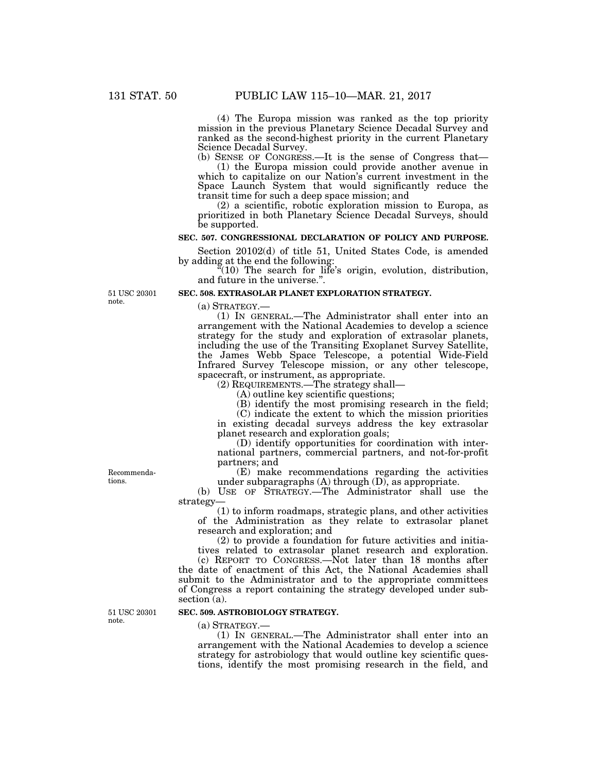(4) The Europa mission was ranked as the top priority mission in the previous Planetary Science Decadal Survey and ranked as the second-highest priority in the current Planetary Science Decadal Survey.

(b) SENSE OF CONGRESS.—It is the sense of Congress that— (1) the Europa mission could provide another avenue in which to capitalize on our Nation's current investment in the Space Launch System that would significantly reduce the transit time for such a deep space mission; and

(2) a scientific, robotic exploration mission to Europa, as prioritized in both Planetary Science Decadal Surveys, should be supported.

### **SEC. 507. CONGRESSIONAL DECLARATION OF POLICY AND PURPOSE.**

Section 20102(d) of title 51, United States Code, is amended by adding at the end the following:

 $\sqrt[\alpha]{10}$  The search for life's origin, evolution, distribution, and future in the universe.''.

#### **SEC. 508. EXTRASOLAR PLANET EXPLORATION STRATEGY.**

(a) STRATEGY.—

(1) IN GENERAL.—The Administrator shall enter into an arrangement with the National Academies to develop a science strategy for the study and exploration of extrasolar planets, including the use of the Transiting Exoplanet Survey Satellite, the James Webb Space Telescope, a potential Wide-Field Infrared Survey Telescope mission, or any other telescope, spacecraft, or instrument, as appropriate.

(2) REQUIREMENTS.—The strategy shall—

(A) outline key scientific questions;

(B) identify the most promising research in the field;

(C) indicate the extent to which the mission priorities in existing decadal surveys address the key extrasolar planet research and exploration goals;

(D) identify opportunities for coordination with international partners, commercial partners, and not-for-profit partners; and

(E) make recommendations regarding the activities under subparagraphs  $(A)$  through  $(D)$ , as appropriate.

(b) USE OF STRATEGY.—The Administrator shall use the strategy—

(1) to inform roadmaps, strategic plans, and other activities of the Administration as they relate to extrasolar planet research and exploration; and

(2) to provide a foundation for future activities and initiatives related to extrasolar planet research and exploration.

(c) REPORT TO CONGRESS.—Not later than 18 months after the date of enactment of this Act, the National Academies shall submit to the Administrator and to the appropriate committees of Congress a report containing the strategy developed under subsection (a).

## **SEC. 509. ASTROBIOLOGY STRATEGY.**

(a) STRATEGY.—

(1) IN GENERAL.—The Administrator shall enter into an arrangement with the National Academies to develop a science strategy for astrobiology that would outline key scientific questions, identify the most promising research in the field, and

Recommendations.

51 USC 20301 note.

51 USC 20301 note.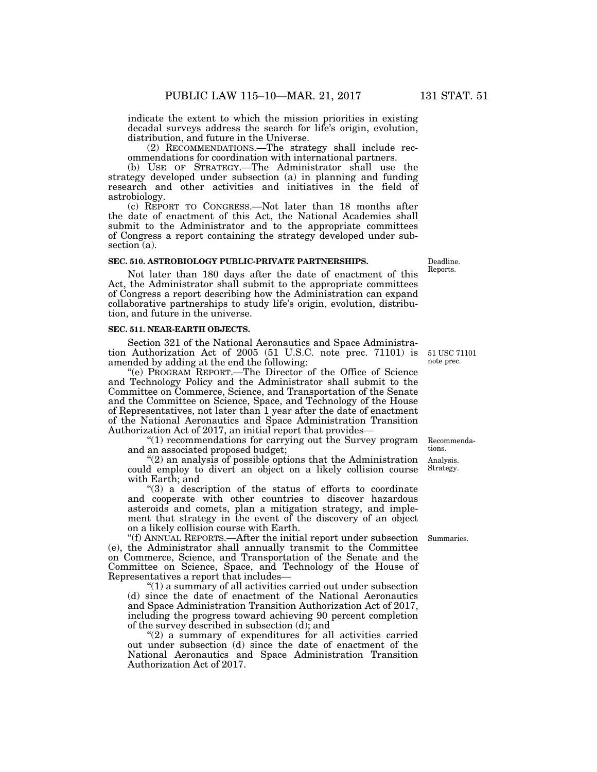indicate the extent to which the mission priorities in existing decadal surveys address the search for life's origin, evolution, distribution, and future in the Universe.

(2) RECOMMENDATIONS.—The strategy shall include recommendations for coordination with international partners.

(b) USE OF STRATEGY.—The Administrator shall use the strategy developed under subsection (a) in planning and funding research and other activities and initiatives in the field of astrobiology.

(c) REPORT TO CONGRESS.—Not later than 18 months after the date of enactment of this Act, the National Academies shall submit to the Administrator and to the appropriate committees of Congress a report containing the strategy developed under subsection (a).

#### **SEC. 510. ASTROBIOLOGY PUBLIC-PRIVATE PARTNERSHIPS.**

Not later than 180 days after the date of enactment of this Act, the Administrator shall submit to the appropriate committees of Congress a report describing how the Administration can expand collaborative partnerships to study life's origin, evolution, distribution, and future in the universe.

#### **SEC. 511. NEAR-EARTH OBJECTS.**

Section 321 of the National Aeronautics and Space Administration Authorization Act of 2005 (51 U.S.C. note prec. 71101) is amended by adding at the end the following:

''(e) PROGRAM REPORT.—The Director of the Office of Science and Technology Policy and the Administrator shall submit to the Committee on Commerce, Science, and Transportation of the Senate and the Committee on Science, Space, and Technology of the House of Representatives, not later than 1 year after the date of enactment of the National Aeronautics and Space Administration Transition Authorization Act of 2017, an initial report that provides—

''(1) recommendations for carrying out the Survey program and an associated proposed budget;

 $(2)$  an analysis of possible options that the Administration could employ to divert an object on a likely collision course with Earth; and

 $(3)$  a description of the status of efforts to coordinate and cooperate with other countries to discover hazardous asteroids and comets, plan a mitigation strategy, and implement that strategy in the event of the discovery of an object on a likely collision course with Earth.

''(f) ANNUAL REPORTS.—After the initial report under subsection (e), the Administrator shall annually transmit to the Committee on Commerce, Science, and Transportation of the Senate and the Committee on Science, Space, and Technology of the House of Representatives a report that includes—

''(1) a summary of all activities carried out under subsection (d) since the date of enactment of the National Aeronautics and Space Administration Transition Authorization Act of 2017, including the progress toward achieving 90 percent completion of the survey described in subsection (d); and

 $(2)$  a summary of expenditures for all activities carried out under subsection (d) since the date of enactment of the National Aeronautics and Space Administration Transition Authorization Act of 2017.

Deadline. Reports.

51 USC 71101 note prec.

Analysis. Recommendations.

Summaries.

Strategy.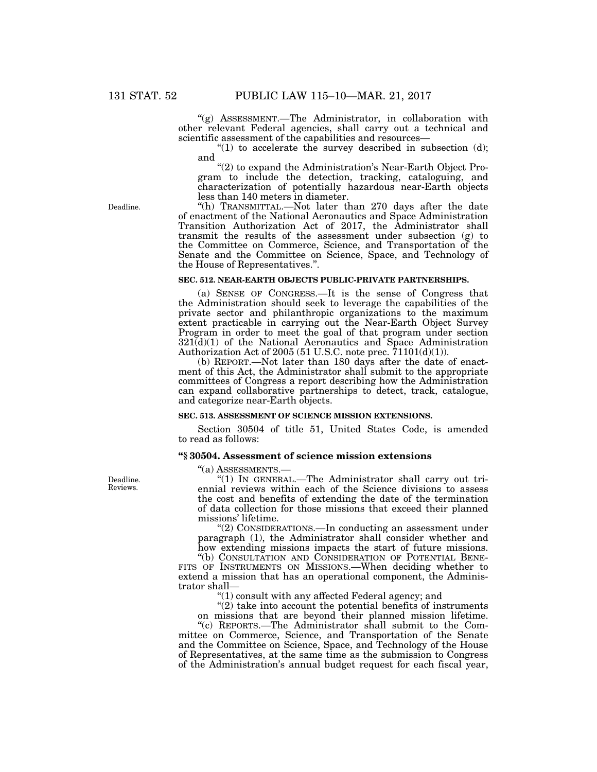''(g) ASSESSMENT.—The Administrator, in collaboration with other relevant Federal agencies, shall carry out a technical and scientific assessment of the capabilities and resources—

 $(1)$  to accelerate the survey described in subsection (d); and

''(2) to expand the Administration's Near-Earth Object Program to include the detection, tracking, cataloguing, and characterization of potentially hazardous near-Earth objects less than 140 meters in diameter.

''(h) TRANSMITTAL.—Not later than 270 days after the date of enactment of the National Aeronautics and Space Administration Transition Authorization Act of 2017, the Administrator shall transmit the results of the assessment under subsection (g) to the Committee on Commerce, Science, and Transportation of the Senate and the Committee on Science, Space, and Technology of the House of Representatives.''.

#### **SEC. 512. NEAR-EARTH OBJECTS PUBLIC-PRIVATE PARTNERSHIPS.**

(a) SENSE OF CONGRESS.—It is the sense of Congress that the Administration should seek to leverage the capabilities of the private sector and philanthropic organizations to the maximum extent practicable in carrying out the Near-Earth Object Survey Program in order to meet the goal of that program under section  $321(d)(1)$  of the National Aeronautics and Space Administration Authorization Act of 2005 (51 U.S.C. note prec.  $\overline{7}1101(d)(1)$ ).

(b) REPORT.—Not later than 180 days after the date of enactment of this Act, the Administrator shall submit to the appropriate committees of Congress a report describing how the Administration can expand collaborative partnerships to detect, track, catalogue, and categorize near-Earth objects.

# **SEC. 513. ASSESSMENT OF SCIENCE MISSION EXTENSIONS.**

Section 30504 of title 51, United States Code, is amended to read as follows:

## **''§ 30504. Assessment of science mission extensions**

''(a) ASSESSMENTS.—

''(1) IN GENERAL.—The Administrator shall carry out triennial reviews within each of the Science divisions to assess the cost and benefits of extending the date of the termination of data collection for those missions that exceed their planned missions' lifetime.

''(2) CONSIDERATIONS.—In conducting an assessment under paragraph (1), the Administrator shall consider whether and how extending missions impacts the start of future missions.

''(b) CONSULTATION AND CONSIDERATION OF POTENTIAL BENE-FITS OF INSTRUMENTS ON MISSIONS.—When deciding whether to extend a mission that has an operational component, the Administrator shall—

''(1) consult with any affected Federal agency; and

''(2) take into account the potential benefits of instruments on missions that are beyond their planned mission lifetime.

''(c) REPORTS.—The Administrator shall submit to the Committee on Commerce, Science, and Transportation of the Senate and the Committee on Science, Space, and Technology of the House of Representatives, at the same time as the submission to Congress of the Administration's annual budget request for each fiscal year,

Deadline. Reviews.

Deadline.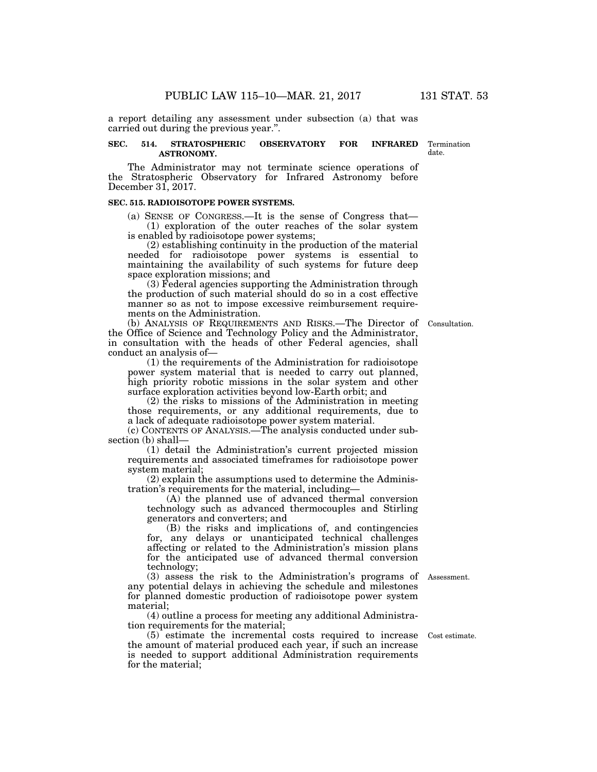a report detailing any assessment under subsection (a) that was carried out during the previous year.''.

## **SEC. 514. STRATOSPHERIC OBSERVATORY FOR INFRARED ASTRONOMY.**

The Administrator may not terminate science operations of the Stratospheric Observatory for Infrared Astronomy before December 31, 2017.

# **SEC. 515. RADIOISOTOPE POWER SYSTEMS.**

(a) SENSE OF CONGRESS.—It is the sense of Congress that— (1) exploration of the outer reaches of the solar system is enabled by radioisotope power systems;

(2) establishing continuity in the production of the material needed for radioisotope power systems is essential to maintaining the availability of such systems for future deep space exploration missions; and

(3) Federal agencies supporting the Administration through the production of such material should do so in a cost effective manner so as not to impose excessive reimbursement requirements on the Administration.

(b) ANALYSIS OF REQUIREMENTS AND RISKS.—The Director of Consultation. the Office of Science and Technology Policy and the Administrator, in consultation with the heads of other Federal agencies, shall conduct an analysis of—

(1) the requirements of the Administration for radioisotope power system material that is needed to carry out planned, high priority robotic missions in the solar system and other surface exploration activities beyond low-Earth orbit; and

(2) the risks to missions of the Administration in meeting those requirements, or any additional requirements, due to a lack of adequate radioisotope power system material.

(c) CONTENTS OF ANALYSIS.—The analysis conducted under subsection (b) shall—

(1) detail the Administration's current projected mission requirements and associated timeframes for radioisotope power system material;

(2) explain the assumptions used to determine the Administration's requirements for the material, including—

(A) the planned use of advanced thermal conversion technology such as advanced thermocouples and Stirling generators and converters; and

(B) the risks and implications of, and contingencies for, any delays or unanticipated technical challenges affecting or related to the Administration's mission plans for the anticipated use of advanced thermal conversion technology;

(3) assess the risk to the Administration's programs of Assessment. any potential delays in achieving the schedule and milestones for planned domestic production of radioisotope power system material;

(4) outline a process for meeting any additional Administration requirements for the material;

(5) estimate the incremental costs required to increase Cost estimate. the amount of material produced each year, if such an increase is needed to support additional Administration requirements for the material;

Termination date.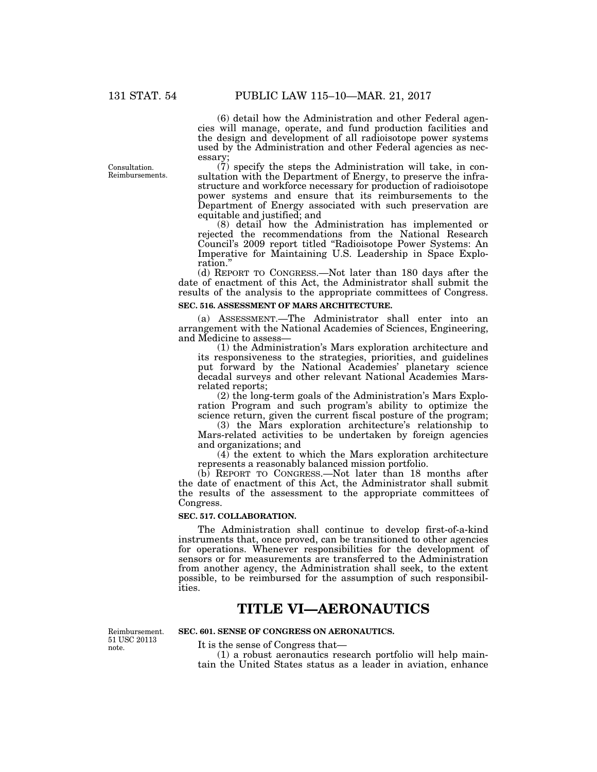(6) detail how the Administration and other Federal agencies will manage, operate, and fund production facilities and the design and development of all radioisotope power systems used by the Administration and other Federal agencies as necessary;

(7) specify the steps the Administration will take, in consultation with the Department of Energy, to preserve the infrastructure and workforce necessary for production of radioisotope power systems and ensure that its reimbursements to the Department of Energy associated with such preservation are equitable and justified; and

(8) detail how the Administration has implemented or rejected the recommendations from the National Research Council's 2009 report titled ''Radioisotope Power Systems: An Imperative for Maintaining U.S. Leadership in Space Exploration.''

(d) REPORT TO CONGRESS.—Not later than 180 days after the date of enactment of this Act, the Administrator shall submit the results of the analysis to the appropriate committees of Congress.

## **SEC. 516. ASSESSMENT OF MARS ARCHITECTURE.**

(a) ASSESSMENT.—The Administrator shall enter into an arrangement with the National Academies of Sciences, Engineering, and Medicine to assess—

(1) the Administration's Mars exploration architecture and its responsiveness to the strategies, priorities, and guidelines put forward by the National Academies' planetary science decadal surveys and other relevant National Academies Marsrelated reports;

(2) the long-term goals of the Administration's Mars Exploration Program and such program's ability to optimize the science return, given the current fiscal posture of the program;

(3) the Mars exploration architecture's relationship to Mars-related activities to be undertaken by foreign agencies and organizations; and

(4) the extent to which the Mars exploration architecture represents a reasonably balanced mission portfolio.

(b) REPORT TO CONGRESS.—Not later than 18 months after the date of enactment of this Act, the Administrator shall submit the results of the assessment to the appropriate committees of Congress.

#### **SEC. 517. COLLABORATION.**

The Administration shall continue to develop first-of-a-kind instruments that, once proved, can be transitioned to other agencies for operations. Whenever responsibilities for the development of sensors or for measurements are transferred to the Administration from another agency, the Administration shall seek, to the extent possible, to be reimbursed for the assumption of such responsibilities.

# **TITLE VI—AERONAUTICS**

Reimbursement. 51 USC 20113 note.

**SEC. 601. SENSE OF CONGRESS ON AERONAUTICS.** 

It is the sense of Congress that—

(1) a robust aeronautics research portfolio will help maintain the United States status as a leader in aviation, enhance

Consultation. Reimbursements.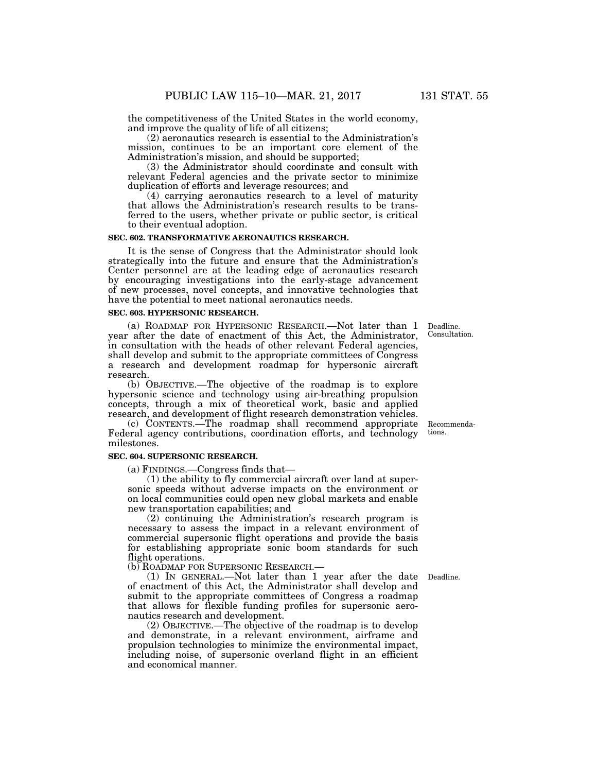the competitiveness of the United States in the world economy, and improve the quality of life of all citizens;

(2) aeronautics research is essential to the Administration's mission, continues to be an important core element of the Administration's mission, and should be supported;

(3) the Administrator should coordinate and consult with relevant Federal agencies and the private sector to minimize duplication of efforts and leverage resources; and

(4) carrying aeronautics research to a level of maturity that allows the Administration's research results to be transferred to the users, whether private or public sector, is critical to their eventual adoption.

## **SEC. 602. TRANSFORMATIVE AERONAUTICS RESEARCH.**

It is the sense of Congress that the Administrator should look strategically into the future and ensure that the Administration's Center personnel are at the leading edge of aeronautics research by encouraging investigations into the early-stage advancement of new processes, novel concepts, and innovative technologies that have the potential to meet national aeronautics needs.

#### **SEC. 603. HYPERSONIC RESEARCH.**

(a) ROADMAP FOR HYPERSONIC RESEARCH.—Not later than 1 year after the date of enactment of this Act, the Administrator, in consultation with the heads of other relevant Federal agencies, shall develop and submit to the appropriate committees of Congress a research and development roadmap for hypersonic aircraft research.

(b) OBJECTIVE.—The objective of the roadmap is to explore hypersonic science and technology using air-breathing propulsion concepts, through a mix of theoretical work, basic and applied research, and development of flight research demonstration vehicles.

(c) CONTENTS.—The roadmap shall recommend appropriate Federal agency contributions, coordination efforts, and technology milestones.

## **SEC. 604. SUPERSONIC RESEARCH.**

(a) FINDINGS.—Congress finds that—

(1) the ability to fly commercial aircraft over land at supersonic speeds without adverse impacts on the environment or on local communities could open new global markets and enable new transportation capabilities; and

(2) continuing the Administration's research program is necessary to assess the impact in a relevant environment of commercial supersonic flight operations and provide the basis for establishing appropriate sonic boom standards for such flight operations.

(b) ROADMAP FOR SUPERSONIC RESEARCH.—

(1) IN GENERAL.—Not later than 1 year after the date Deadline. of enactment of this Act, the Administrator shall develop and submit to the appropriate committees of Congress a roadmap that allows for flexible funding profiles for supersonic aeronautics research and development.

(2) OBJECTIVE.—The objective of the roadmap is to develop and demonstrate, in a relevant environment, airframe and propulsion technologies to minimize the environmental impact, including noise, of supersonic overland flight in an efficient and economical manner.

Recommendations.

Deadline. Consultation.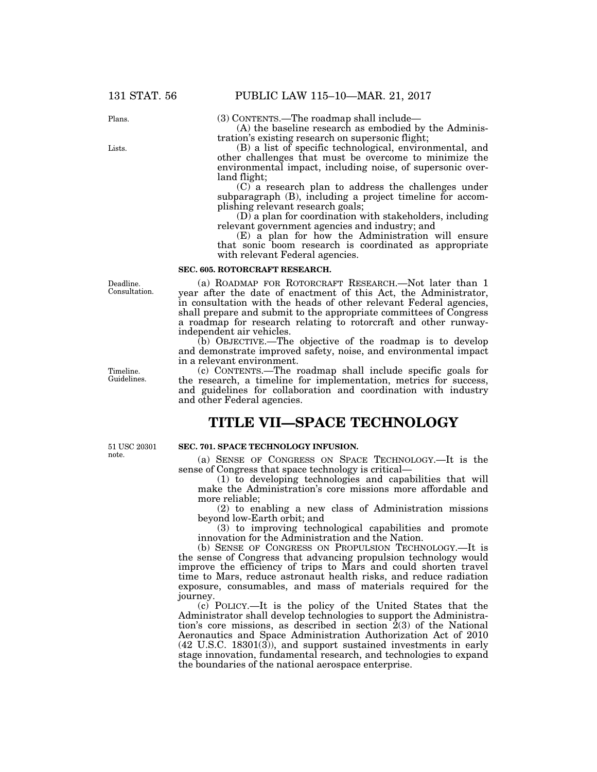Plans.

Lists.

(3) CONTENTS.—The roadmap shall include— (A) the baseline research as embodied by the Administration's existing research on supersonic flight;

(B) a list of specific technological, environmental, and other challenges that must be overcome to minimize the environmental impact, including noise, of supersonic overland flight;

(C) a research plan to address the challenges under subparagraph (B), including a project timeline for accomplishing relevant research goals;

(D) a plan for coordination with stakeholders, including relevant government agencies and industry; and

(E) a plan for how the Administration will ensure that sonic boom research is coordinated as appropriate with relevant Federal agencies.

#### **SEC. 605. ROTORCRAFT RESEARCH.**

(a) ROADMAP FOR ROTORCRAFT RESEARCH.—Not later than 1 year after the date of enactment of this Act, the Administrator, in consultation with the heads of other relevant Federal agencies, shall prepare and submit to the appropriate committees of Congress a roadmap for research relating to rotorcraft and other runwayindependent air vehicles.

(b) OBJECTIVE.—The objective of the roadmap is to develop and demonstrate improved safety, noise, and environmental impact in a relevant environment.

(c) CONTENTS.—The roadmap shall include specific goals for the research, a timeline for implementation, metrics for success, and guidelines for collaboration and coordination with industry and other Federal agencies.

# **TITLE VII—SPACE TECHNOLOGY**

51 USC 20301 note.

#### **SEC. 701. SPACE TECHNOLOGY INFUSION.**

(a) SENSE OF CONGRESS ON SPACE TECHNOLOGY.—It is the sense of Congress that space technology is critical—

(1) to developing technologies and capabilities that will make the Administration's core missions more affordable and more reliable;

(2) to enabling a new class of Administration missions beyond low-Earth orbit; and

(3) to improving technological capabilities and promote innovation for the Administration and the Nation.

(b) SENSE OF CONGRESS ON PROPULSION TECHNOLOGY.—It is the sense of Congress that advancing propulsion technology would improve the efficiency of trips to Mars and could shorten travel time to Mars, reduce astronaut health risks, and reduce radiation exposure, consumables, and mass of materials required for the journey.

(c) POLICY.—It is the policy of the United States that the Administrator shall develop technologies to support the Administration's core missions, as described in section  $2(3)$  of the National Aeronautics and Space Administration Authorization Act of 2010 (42 U.S.C. 18301(3)), and support sustained investments in early stage innovation, fundamental research, and technologies to expand the boundaries of the national aerospace enterprise.

Deadline. Consultation.

Timeline. Guidelines.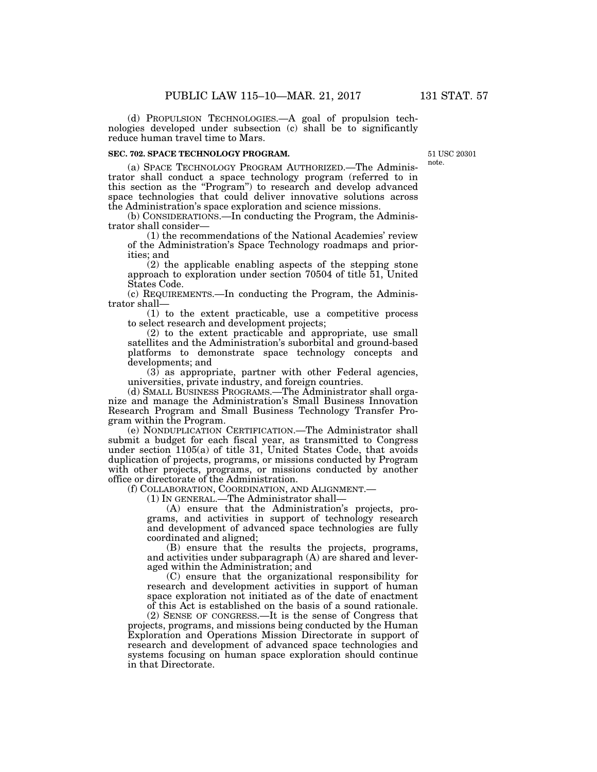(d) PROPULSION TECHNOLOGIES.—A goal of propulsion technologies developed under subsection (c) shall be to significantly reduce human travel time to Mars.

## **SEC. 702. SPACE TECHNOLOGY PROGRAM.**

51 USC 20301 note.

(a) SPACE TECHNOLOGY PROGRAM AUTHORIZED.—The Administrator shall conduct a space technology program (referred to in this section as the ''Program'') to research and develop advanced space technologies that could deliver innovative solutions across the Administration's space exploration and science missions.

(b) CONSIDERATIONS.—In conducting the Program, the Administrator shall consider—

(1) the recommendations of the National Academies' review of the Administration's Space Technology roadmaps and priorities; and

(2) the applicable enabling aspects of the stepping stone approach to exploration under section 70504 of title 51, United States Code.

(c) REQUIREMENTS.—In conducting the Program, the Administrator shall—

(1) to the extent practicable, use a competitive process to select research and development projects;

(2) to the extent practicable and appropriate, use small satellites and the Administration's suborbital and ground-based platforms to demonstrate space technology concepts and developments; and

(3) as appropriate, partner with other Federal agencies, universities, private industry, and foreign countries.

(d) SMALL BUSINESS PROGRAMS.—The Administrator shall organize and manage the Administration's Small Business Innovation Research Program and Small Business Technology Transfer Program within the Program.

(e) NONDUPLICATION CERTIFICATION.—The Administrator shall submit a budget for each fiscal year, as transmitted to Congress under section 1105(a) of title 31, United States Code, that avoids duplication of projects, programs, or missions conducted by Program with other projects, programs, or missions conducted by another office or directorate of the Administration.

(f) COLLABORATION, COORDINATION, AND ALIGNMENT.—

(1) IN GENERAL.—The Administrator shall—

(A) ensure that the Administration's projects, programs, and activities in support of technology research and development of advanced space technologies are fully coordinated and aligned;

(B) ensure that the results the projects, programs, and activities under subparagraph (A) are shared and leveraged within the Administration; and

(C) ensure that the organizational responsibility for research and development activities in support of human space exploration not initiated as of the date of enactment of this Act is established on the basis of a sound rationale.

(2) SENSE OF CONGRESS.—It is the sense of Congress that projects, programs, and missions being conducted by the Human Exploration and Operations Mission Directorate in support of research and development of advanced space technologies and systems focusing on human space exploration should continue in that Directorate.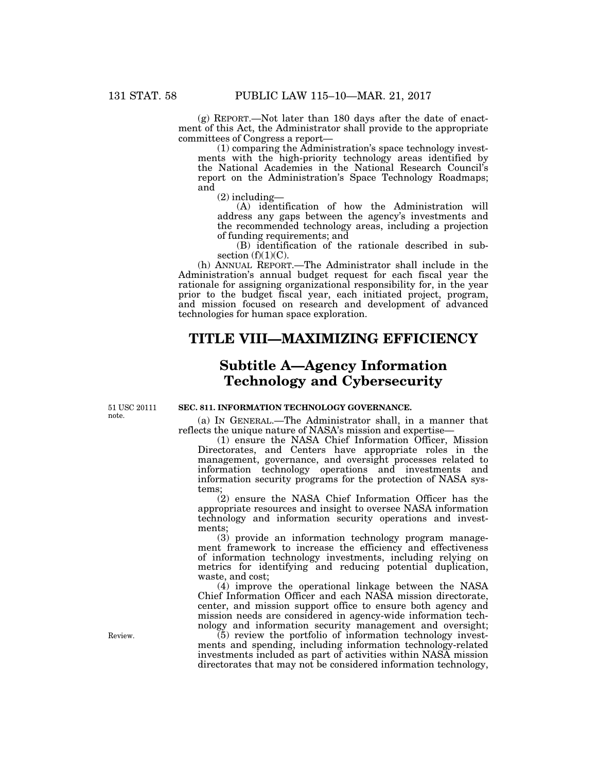(g) REPORT.—Not later than 180 days after the date of enactment of this Act, the Administrator shall provide to the appropriate committees of Congress a report—

(1) comparing the Administration's space technology investments with the high-priority technology areas identified by the National Academies in the National Research Council's report on the Administration's Space Technology Roadmaps; and

(2) including—

(A) identification of how the Administration will address any gaps between the agency's investments and the recommended technology areas, including a projection of funding requirements; and

(B) identification of the rationale described in subsection  $(f)(1)(C)$ .

(h) ANNUAL REPORT.—The Administrator shall include in the Administration's annual budget request for each fiscal year the rationale for assigning organizational responsibility for, in the year prior to the budget fiscal year, each initiated project, program, and mission focused on research and development of advanced technologies for human space exploration.

# **TITLE VIII—MAXIMIZING EFFICIENCY**

# **Subtitle A—Agency Information Technology and Cybersecurity**

51 USC 20111 note.

**SEC. 811. INFORMATION TECHNOLOGY GOVERNANCE.** 

(a) IN GENERAL.—The Administrator shall, in a manner that reflects the unique nature of NASA's mission and expertise—

(1) ensure the NASA Chief Information Officer, Mission Directorates, and Centers have appropriate roles in the management, governance, and oversight processes related to information technology operations and investments and information security programs for the protection of NASA systems;

(2) ensure the NASA Chief Information Officer has the appropriate resources and insight to oversee NASA information technology and information security operations and investments;

(3) provide an information technology program management framework to increase the efficiency and effectiveness of information technology investments, including relying on metrics for identifying and reducing potential duplication, waste, and cost;

(4) improve the operational linkage between the NASA Chief Information Officer and each NASA mission directorate, center, and mission support office to ensure both agency and mission needs are considered in agency-wide information technology and information security management and oversight;

(5) review the portfolio of information technology investments and spending, including information technology-related investments included as part of activities within NASA mission directorates that may not be considered information technology,

Review.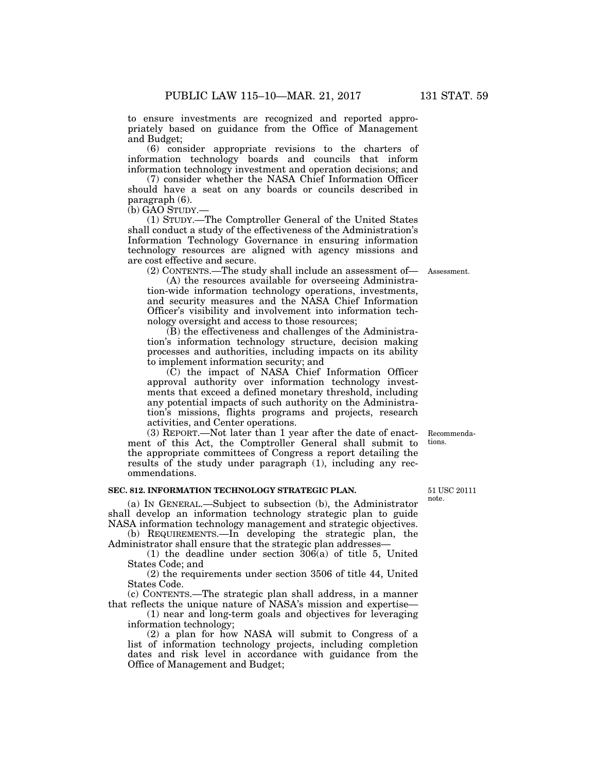to ensure investments are recognized and reported appropriately based on guidance from the Office of Management and Budget;

(6) consider appropriate revisions to the charters of information technology boards and councils that inform information technology investment and operation decisions; and

(7) consider whether the NASA Chief Information Officer should have a seat on any boards or councils described in paragraph (6).

(b) GAO STUDY.—

(1) STUDY.—The Comptroller General of the United States shall conduct a study of the effectiveness of the Administration's Information Technology Governance in ensuring information technology resources are aligned with agency missions and are cost effective and secure.

(2) CONTENTS.—The study shall include an assessment of— Assessment.

(A) the resources available for overseeing Administration-wide information technology operations, investments, and security measures and the NASA Chief Information Officer's visibility and involvement into information technology oversight and access to those resources;

(B) the effectiveness and challenges of the Administration's information technology structure, decision making processes and authorities, including impacts on its ability to implement information security; and

(C) the impact of NASA Chief Information Officer approval authority over information technology investments that exceed a defined monetary threshold, including any potential impacts of such authority on the Administration's missions, flights programs and projects, research activities, and Center operations.

(3) REPORT.—Not later than 1 year after the date of enactment of this Act, the Comptroller General shall submit to the appropriate committees of Congress a report detailing the results of the study under paragraph (1), including any recommendations. Recommendations.

## **SEC. 812. INFORMATION TECHNOLOGY STRATEGIC PLAN.**

(a) IN GENERAL.—Subject to subsection (b), the Administrator shall develop an information technology strategic plan to guide NASA information technology management and strategic objectives.

(b) REQUIREMENTS.—In developing the strategic plan, the Administrator shall ensure that the strategic plan addresses-

(1) the deadline under section  $306(a)$  of title 5, United States Code; and

(2) the requirements under section 3506 of title 44, United States Code.

(c) CONTENTS.—The strategic plan shall address, in a manner that reflects the unique nature of NASA's mission and expertise—

(1) near and long-term goals and objectives for leveraging information technology;

(2) a plan for how NASA will submit to Congress of a list of information technology projects, including completion dates and risk level in accordance with guidance from the Office of Management and Budget;

51 USC 20111 note.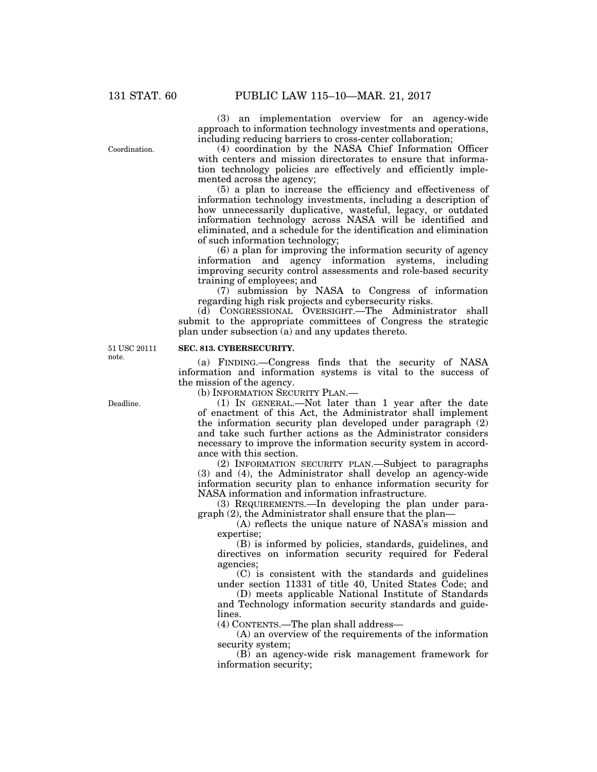Coordination.

(3) an implementation overview for an agency-wide approach to information technology investments and operations, including reducing barriers to cross-center collaboration;

(4) coordination by the NASA Chief Information Officer with centers and mission directorates to ensure that information technology policies are effectively and efficiently implemented across the agency;

(5) a plan to increase the efficiency and effectiveness of information technology investments, including a description of how unnecessarily duplicative, wasteful, legacy, or outdated information technology across NASA will be identified and eliminated, and a schedule for the identification and elimination of such information technology;

(6) a plan for improving the information security of agency information and agency information systems, including improving security control assessments and role-based security training of employees; and

(7) submission by NASA to Congress of information regarding high risk projects and cybersecurity risks.

(d) CONGRESSIONAL OVERSIGHT.—The Administrator shall submit to the appropriate committees of Congress the strategic plan under subsection (a) and any updates thereto.

51 USC 20111 note.

# **SEC. 813. CYBERSECURITY.**

(a) FINDING.—Congress finds that the security of NASA information and information systems is vital to the success of the mission of the agency.

(b) INFORMATION SECURITY PLAN.—

(1) IN GENERAL.—Not later than 1 year after the date of enactment of this Act, the Administrator shall implement the information security plan developed under paragraph (2) and take such further actions as the Administrator considers necessary to improve the information security system in accordance with this section.

(2) INFORMATION SECURITY PLAN.—Subject to paragraphs (3) and (4), the Administrator shall develop an agency-wide information security plan to enhance information security for NASA information and information infrastructure.

(3) REQUIREMENTS.—In developing the plan under paragraph (2), the Administrator shall ensure that the plan—

(A) reflects the unique nature of NASA's mission and expertise;

(B) is informed by policies, standards, guidelines, and directives on information security required for Federal agencies;

(C) is consistent with the standards and guidelines under section 11331 of title 40, United States Code; and

(D) meets applicable National Institute of Standards and Technology information security standards and guidelines.

(4) CONTENTS.—The plan shall address—

(A) an overview of the requirements of the information security system;

(B) an agency-wide risk management framework for information security;

Deadline.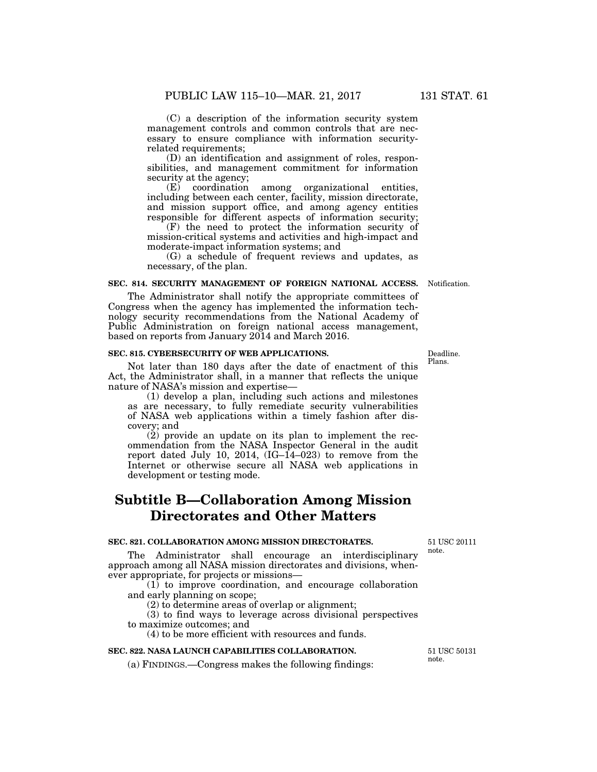(C) a description of the information security system management controls and common controls that are necessary to ensure compliance with information securityrelated requirements;

(D) an identification and assignment of roles, responsibilities, and management commitment for information security at the agency;<br>(E) coordination

among organizational entities, including between each center, facility, mission directorate, and mission support office, and among agency entities responsible for different aspects of information security;

(F) the need to protect the information security of mission-critical systems and activities and high-impact and moderate-impact information systems; and

(G) a schedule of frequent reviews and updates, as necessary, of the plan.

#### **SEC. 814. SECURITY MANAGEMENT OF FOREIGN NATIONAL ACCESS.** Notification.

The Administrator shall notify the appropriate committees of Congress when the agency has implemented the information technology security recommendations from the National Academy of Public Administration on foreign national access management, based on reports from January 2014 and March 2016.

### **SEC. 815. CYBERSECURITY OF WEB APPLICATIONS.**

Not later than 180 days after the date of enactment of this Act, the Administrator shall, in a manner that reflects the unique nature of NASA's mission and expertise—

(1) develop a plan, including such actions and milestones as are necessary, to fully remediate security vulnerabilities of NASA web applications within a timely fashion after discovery; and

(2) provide an update on its plan to implement the recommendation from the NASA Inspector General in the audit report dated July 10, 2014,  $(IG-I4-023)$  to remove from the Internet or otherwise secure all NASA web applications in development or testing mode.

# **Subtitle B—Collaboration Among Mission Directorates and Other Matters**

# **SEC. 821. COLLABORATION AMONG MISSION DIRECTORATES.**

The Administrator shall encourage an interdisciplinary approach among all NASA mission directorates and divisions, whenever appropriate, for projects or missions note.

(1) to improve coordination, and encourage collaboration and early planning on scope;

(2) to determine areas of overlap or alignment;

(3) to find ways to leverage across divisional perspectives to maximize outcomes; and

(4) to be more efficient with resources and funds.

# **SEC. 822. NASA LAUNCH CAPABILITIES COLLABORATION.**

(a) FINDINGS.—Congress makes the following findings:

51 USC 20111

51 USC 50131 note.

Deadline. Plans.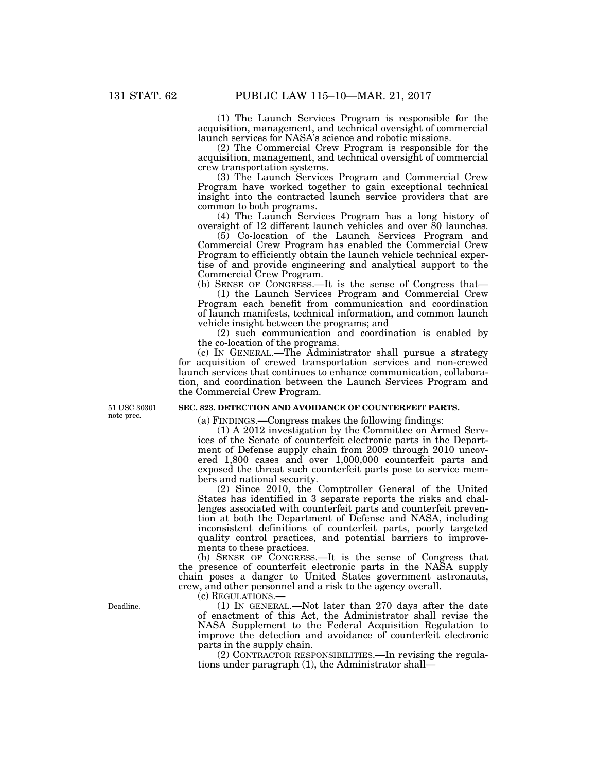(1) The Launch Services Program is responsible for the acquisition, management, and technical oversight of commercial launch services for NASA's science and robotic missions.

(2) The Commercial Crew Program is responsible for the acquisition, management, and technical oversight of commercial crew transportation systems.

(3) The Launch Services Program and Commercial Crew Program have worked together to gain exceptional technical insight into the contracted launch service providers that are common to both programs.

(4) The Launch Services Program has a long history of oversight of 12 different launch vehicles and over 80 launches.

(5) Co-location of the Launch Services Program and Commercial Crew Program has enabled the Commercial Crew Program to efficiently obtain the launch vehicle technical expertise of and provide engineering and analytical support to the Commercial Crew Program.

(b) SENSE OF CONGRESS.—It is the sense of Congress that— (1) the Launch Services Program and Commercial Crew Program each benefit from communication and coordination of launch manifests, technical information, and common launch vehicle insight between the programs; and

(2) such communication and coordination is enabled by the co-location of the programs.

(c) IN GENERAL.—The Administrator shall pursue a strategy for acquisition of crewed transportation services and non-crewed launch services that continues to enhance communication, collaboration, and coordination between the Launch Services Program and the Commercial Crew Program.

51 USC 30301 note prec.

# **SEC. 823. DETECTION AND AVOIDANCE OF COUNTERFEIT PARTS.**

(a) FINDINGS.—Congress makes the following findings:

(1) A 2012 investigation by the Committee on Armed Services of the Senate of counterfeit electronic parts in the Department of Defense supply chain from 2009 through 2010 uncovered 1,800 cases and over 1,000,000 counterfeit parts and exposed the threat such counterfeit parts pose to service members and national security.

(2) Since 2010, the Comptroller General of the United States has identified in 3 separate reports the risks and challenges associated with counterfeit parts and counterfeit prevention at both the Department of Defense and NASA, including inconsistent definitions of counterfeit parts, poorly targeted quality control practices, and potential barriers to improvements to these practices.

(b) SENSE OF CONGRESS.—It is the sense of Congress that the presence of counterfeit electronic parts in the NASA supply chain poses a danger to United States government astronauts, crew, and other personnel and a risk to the agency overall.

(c) REGULATIONS.—

(1) IN GENERAL.—Not later than 270 days after the date of enactment of this Act, the Administrator shall revise the NASA Supplement to the Federal Acquisition Regulation to improve the detection and avoidance of counterfeit electronic parts in the supply chain.

(2) CONTRACTOR RESPONSIBILITIES.—In revising the regulations under paragraph (1), the Administrator shall—

Deadline.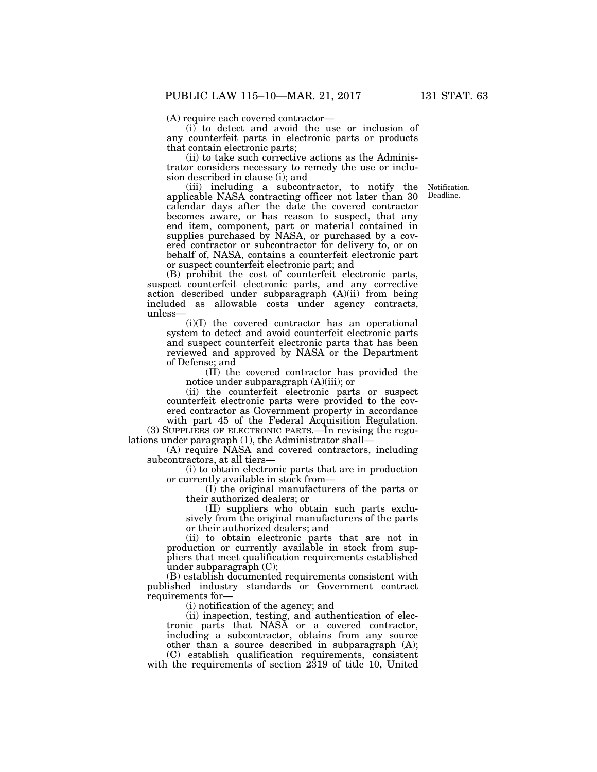(A) require each covered contractor—

(i) to detect and avoid the use or inclusion of any counterfeit parts in electronic parts or products that contain electronic parts;

(ii) to take such corrective actions as the Administrator considers necessary to remedy the use or inclusion described in clause (i); and

Deadline.

(iii) including a subcontractor, to notify the Notification. applicable NASA contracting officer not later than 30 calendar days after the date the covered contractor becomes aware, or has reason to suspect, that any end item, component, part or material contained in supplies purchased by NASA, or purchased by a covered contractor or subcontractor for delivery to, or on behalf of, NASA, contains a counterfeit electronic part or suspect counterfeit electronic part; and

(B) prohibit the cost of counterfeit electronic parts, suspect counterfeit electronic parts, and any corrective action described under subparagraph (A)(ii) from being included as allowable costs under agency contracts, unless—

(i)(I) the covered contractor has an operational system to detect and avoid counterfeit electronic parts and suspect counterfeit electronic parts that has been reviewed and approved by NASA or the Department of Defense; and

(II) the covered contractor has provided the notice under subparagraph (A)(iii); or

(ii) the counterfeit electronic parts or suspect counterfeit electronic parts were provided to the covered contractor as Government property in accordance with part 45 of the Federal Acquisition Regulation.

(3) SUPPLIERS OF ELECTRONIC PARTS.—In revising the regulations under paragraph (1), the Administrator shall—

(A) require NASA and covered contractors, including subcontractors, at all tiers—

(i) to obtain electronic parts that are in production or currently available in stock from—

(I) the original manufacturers of the parts or their authorized dealers; or

(II) suppliers who obtain such parts exclusively from the original manufacturers of the parts or their authorized dealers; and

(ii) to obtain electronic parts that are not in production or currently available in stock from suppliers that meet qualification requirements established under subparagraph (C);

(B) establish documented requirements consistent with published industry standards or Government contract requirements for—

(i) notification of the agency; and

(ii) inspection, testing, and authentication of electronic parts that NASA or a covered contractor, including a subcontractor, obtains from any source other than a source described in subparagraph (A);

(C) establish qualification requirements, consistent with the requirements of section 2319 of title 10, United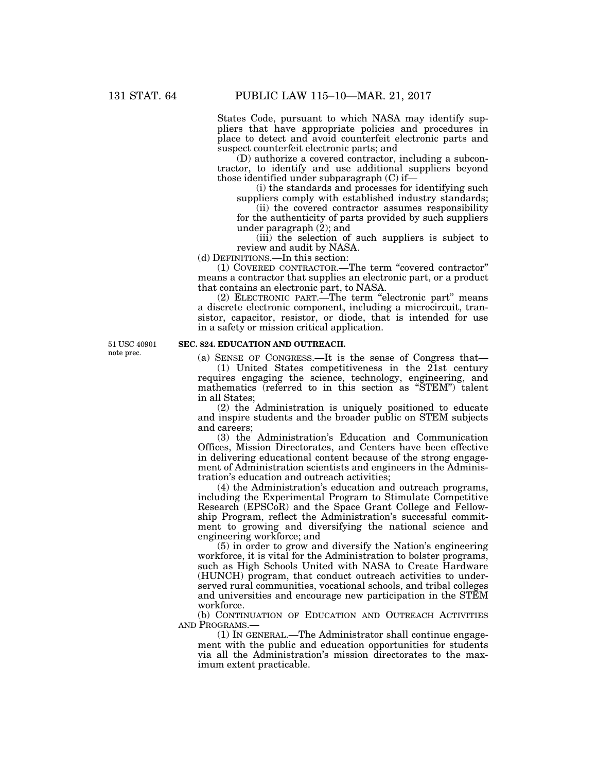States Code, pursuant to which NASA may identify suppliers that have appropriate policies and procedures in place to detect and avoid counterfeit electronic parts and suspect counterfeit electronic parts; and

(D) authorize a covered contractor, including a subcontractor, to identify and use additional suppliers beyond those identified under subparagraph (C) if—

(i) the standards and processes for identifying such suppliers comply with established industry standards;

(ii) the covered contractor assumes responsibility for the authenticity of parts provided by such suppliers under paragraph (2); and

(iii) the selection of such suppliers is subject to review and audit by NASA.

(d) DEFINITIONS.—In this section:

(1) COVERED CONTRACTOR.—The term ''covered contractor'' means a contractor that supplies an electronic part, or a product that contains an electronic part, to NASA.

(2) ELECTRONIC PART.—The term ''electronic part'' means a discrete electronic component, including a microcircuit, transistor, capacitor, resistor, or diode, that is intended for use in a safety or mission critical application.

51 USC 40901 note prec.

## **SEC. 824. EDUCATION AND OUTREACH.**

(a) SENSE OF CONGRESS.—It is the sense of Congress that—

(1) United States competitiveness in the 21st century requires engaging the science, technology, engineering, and mathematics (referred to in this section as "STEM") talent in all States;

(2) the Administration is uniquely positioned to educate and inspire students and the broader public on STEM subjects and careers;

(3) the Administration's Education and Communication Offices, Mission Directorates, and Centers have been effective in delivering educational content because of the strong engagement of Administration scientists and engineers in the Administration's education and outreach activities;

(4) the Administration's education and outreach programs, including the Experimental Program to Stimulate Competitive Research (EPSC<sub>o</sub>R) and the Space Grant College and Fellowship Program, reflect the Administration's successful commitment to growing and diversifying the national science and engineering workforce; and

(5) in order to grow and diversify the Nation's engineering workforce, it is vital for the Administration to bolster programs, such as High Schools United with NASA to Create Hardware (HUNCH) program, that conduct outreach activities to underserved rural communities, vocational schools, and tribal colleges and universities and encourage new participation in the STEM workforce.

(b) CONTINUATION OF EDUCATION AND OUTREACH ACTIVITIES AND PROGRAMS.—

(1) IN GENERAL.—The Administrator shall continue engagement with the public and education opportunities for students via all the Administration's mission directorates to the maximum extent practicable.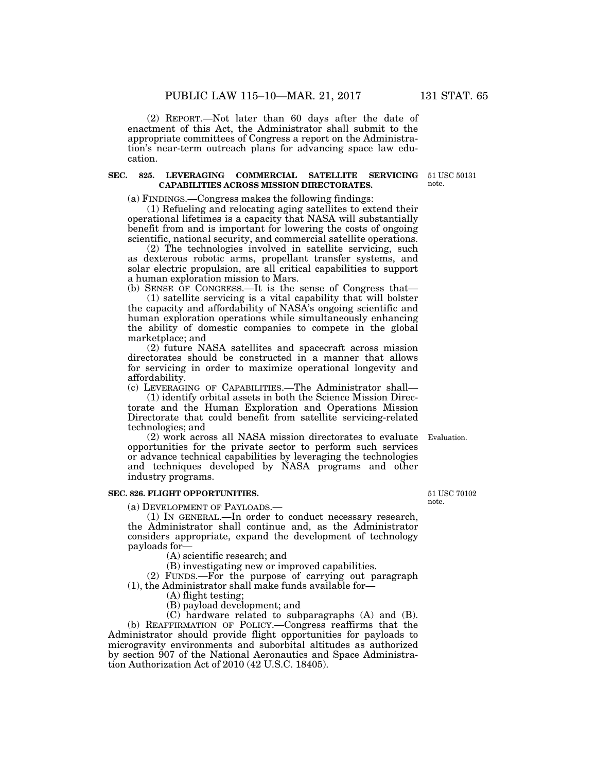(2) REPORT.—Not later than 60 days after the date of enactment of this Act, the Administrator shall submit to the appropriate committees of Congress a report on the Administration's near-term outreach plans for advancing space law education.

## **SEC. 825. LEVERAGING COMMERCIAL SATELLITE SERVICING CAPABILITIES ACROSS MISSION DIRECTORATES.**

(a) FINDINGS.—Congress makes the following findings:

(1) Refueling and relocating aging satellites to extend their operational lifetimes is a capacity that NASA will substantially benefit from and is important for lowering the costs of ongoing scientific, national security, and commercial satellite operations.

(2) The technologies involved in satellite servicing, such as dexterous robotic arms, propellant transfer systems, and solar electric propulsion, are all critical capabilities to support a human exploration mission to Mars.

(b) SENSE OF CONGRESS.—It is the sense of Congress that—

(1) satellite servicing is a vital capability that will bolster the capacity and affordability of NASA's ongoing scientific and human exploration operations while simultaneously enhancing the ability of domestic companies to compete in the global marketplace; and

(2) future NASA satellites and spacecraft across mission directorates should be constructed in a manner that allows for servicing in order to maximize operational longevity and affordability.

(c) LEVERAGING OF CAPABILITIES.—The Administrator shall—

(1) identify orbital assets in both the Science Mission Directorate and the Human Exploration and Operations Mission Directorate that could benefit from satellite servicing-related technologies; and

(2) work across all NASA mission directorates to evaluate Evaluation. opportunities for the private sector to perform such services or advance technical capabilities by leveraging the technologies and techniques developed by NASA programs and other industry programs.

#### **SEC. 826. FLIGHT OPPORTUNITIES.**

(a) DEVELOPMENT OF PAYLOADS.—

(1) IN GENERAL.—In order to conduct necessary research, the Administrator shall continue and, as the Administrator considers appropriate, expand the development of technology payloads for—

(A) scientific research; and

(B) investigating new or improved capabilities.

(2) FUNDS.—For the purpose of carrying out paragraph (1), the Administrator shall make funds available for—

(A) flight testing;

(B) payload development; and

(C) hardware related to subparagraphs (A) and (B). (b) REAFFIRMATION OF POLICY.—Congress reaffirms that the Administrator should provide flight opportunities for payloads to microgravity environments and suborbital altitudes as authorized by section 907 of the National Aeronautics and Space Administration Authorization Act of 2010 (42 U.S.C. 18405).

51 USC 70102 note.

51 USC 50131 note.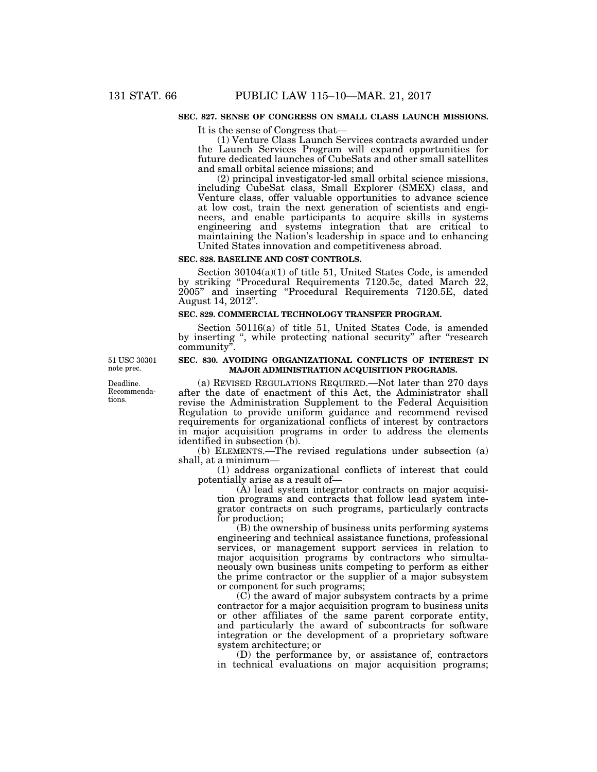#### **SEC. 827. SENSE OF CONGRESS ON SMALL CLASS LAUNCH MISSIONS.**

It is the sense of Congress that—

(1) Venture Class Launch Services contracts awarded under the Launch Services Program will expand opportunities for future dedicated launches of CubeSats and other small satellites and small orbital science missions; and

(2) principal investigator-led small orbital science missions, including CubeSat class, Small Explorer (SMEX) class, and Venture class, offer valuable opportunities to advance science at low cost, train the next generation of scientists and engineers, and enable participants to acquire skills in systems engineering and systems integration that are critical to maintaining the Nation's leadership in space and to enhancing United States innovation and competitiveness abroad.

#### **SEC. 828. BASELINE AND COST CONTROLS.**

Section 30104(a)(1) of title 51, United States Code, is amended by striking ''Procedural Requirements 7120.5c, dated March 22, 2005'' and inserting ''Procedural Requirements 7120.5E, dated August 14, 2012''.

### **SEC. 829. COMMERCIAL TECHNOLOGY TRANSFER PROGRAM.**

Section 50116(a) of title 51, United States Code, is amended by inserting ", while protecting national security" after "research community''.

### **SEC. 830. AVOIDING ORGANIZATIONAL CONFLICTS OF INTEREST IN MAJOR ADMINISTRATION ACQUISITION PROGRAMS.**

(a) REVISED REGULATIONS REQUIRED.—Not later than 270 days after the date of enactment of this Act, the Administrator shall revise the Administration Supplement to the Federal Acquisition Regulation to provide uniform guidance and recommend revised requirements for organizational conflicts of interest by contractors in major acquisition programs in order to address the elements identified in subsection (b).

(b) ELEMENTS.—The revised regulations under subsection (a) shall, at a minimum—

(1) address organizational conflicts of interest that could potentially arise as a result of—

(A) lead system integrator contracts on major acquisition programs and contracts that follow lead system integrator contracts on such programs, particularly contracts for production;

(B) the ownership of business units performing systems engineering and technical assistance functions, professional services, or management support services in relation to major acquisition programs by contractors who simultaneously own business units competing to perform as either the prime contractor or the supplier of a major subsystem or component for such programs;

 $(C)$  the award of major subsystem contracts by a prime contractor for a major acquisition program to business units or other affiliates of the same parent corporate entity, and particularly the award of subcontracts for software integration or the development of a proprietary software system architecture; or

(D) the performance by, or assistance of, contractors in technical evaluations on major acquisition programs;

51 USC 30301 note prec.

Deadline. Recommendations.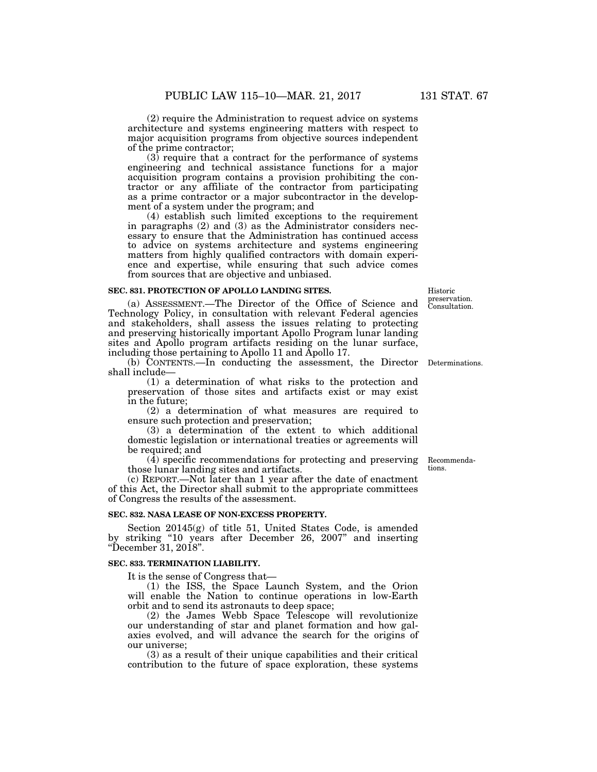(2) require the Administration to request advice on systems architecture and systems engineering matters with respect to major acquisition programs from objective sources independent of the prime contractor;

 $(3)$  require that a contract for the performance of systems engineering and technical assistance functions for a major acquisition program contains a provision prohibiting the contractor or any affiliate of the contractor from participating as a prime contractor or a major subcontractor in the development of a system under the program; and

(4) establish such limited exceptions to the requirement in paragraphs (2) and (3) as the Administrator considers necessary to ensure that the Administration has continued access to advice on systems architecture and systems engineering matters from highly qualified contractors with domain experience and expertise, while ensuring that such advice comes from sources that are objective and unbiased.

#### **SEC. 831. PROTECTION OF APOLLO LANDING SITES.**

(a) ASSESSMENT.—The Director of the Office of Science and Technology Policy, in consultation with relevant Federal agencies and stakeholders, shall assess the issues relating to protecting and preserving historically important Apollo Program lunar landing sites and Apollo program artifacts residing on the lunar surface, including those pertaining to Apollo 11 and Apollo 17.

(b) CONTENTS.—In conducting the assessment, the Director Determinations. shall include—

(1) a determination of what risks to the protection and preservation of those sites and artifacts exist or may exist in the future;

(2) a determination of what measures are required to ensure such protection and preservation;

(3) a determination of the extent to which additional domestic legislation or international treaties or agreements will be required; and

 $(\overline{4})$  specific recommendations for protecting and preserving those lunar landing sites and artifacts.

(c) REPORT.—Not later than 1 year after the date of enactment of this Act, the Director shall submit to the appropriate committees of Congress the results of the assessment.

## **SEC. 832. NASA LEASE OF NON-EXCESS PROPERTY.**

Section 20145(g) of title 51, United States Code, is amended by striking ''10 years after December 26, 2007'' and inserting ''December 31, 2018''.

#### **SEC. 833. TERMINATION LIABILITY.**

It is the sense of Congress that—

(1) the ISS, the Space Launch System, and the Orion will enable the Nation to continue operations in low-Earth orbit and to send its astronauts to deep space;

(2) the James Webb Space Telescope will revolutionize our understanding of star and planet formation and how galaxies evolved, and will advance the search for the origins of our universe;

(3) as a result of their unique capabilities and their critical contribution to the future of space exploration, these systems

Consultation. Historic preservation.

Recommendations.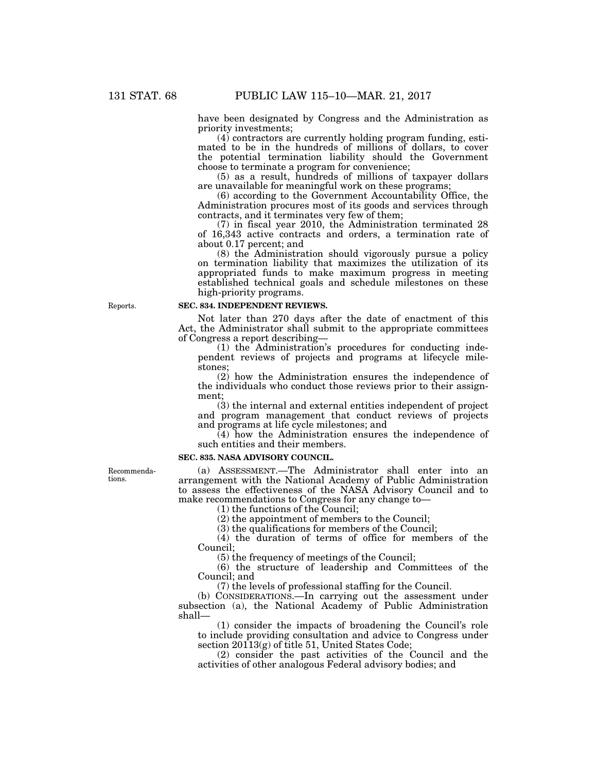have been designated by Congress and the Administration as priority investments;

(4) contractors are currently holding program funding, estimated to be in the hundreds of millions of dollars, to cover the potential termination liability should the Government choose to terminate a program for convenience;

(5) as a result, hundreds of millions of taxpayer dollars are unavailable for meaningful work on these programs;

(6) according to the Government Accountability Office, the Administration procures most of its goods and services through contracts, and it terminates very few of them;

(7) in fiscal year 2010, the Administration terminated 28 of 16,343 active contracts and orders, a termination rate of about 0.17 percent; and

(8) the Administration should vigorously pursue a policy on termination liability that maximizes the utilization of its appropriated funds to make maximum progress in meeting established technical goals and schedule milestones on these high-priority programs.

#### **SEC. 834. INDEPENDENT REVIEWS.**

Not later than 270 days after the date of enactment of this Act, the Administrator shall submit to the appropriate committees of Congress a report describing—

(1) the Administration's procedures for conducting independent reviews of projects and programs at lifecycle milestones;

(2) how the Administration ensures the independence of the individuals who conduct those reviews prior to their assignment;

(3) the internal and external entities independent of project and program management that conduct reviews of projects and programs at life cycle milestones; and

(4) how the Administration ensures the independence of such entities and their members.

#### **SEC. 835. NASA ADVISORY COUNCIL.**

(a) ASSESSMENT.—The Administrator shall enter into an arrangement with the National Academy of Public Administration to assess the effectiveness of the NASA Advisory Council and to make recommendations to Congress for any change to—

(1) the functions of the Council;

(2) the appointment of members to the Council;

(3) the qualifications for members of the Council;

(4) the duration of terms of office for members of the Council;

(5) the frequency of meetings of the Council;

(6) the structure of leadership and Committees of the Council; and

(7) the levels of professional staffing for the Council.

(b) CONSIDERATIONS.—In carrying out the assessment under subsection (a), the National Academy of Public Administration shall—

(1) consider the impacts of broadening the Council's role to include providing consultation and advice to Congress under section 20113(g) of title 51, United States Code;

(2) consider the past activities of the Council and the activities of other analogous Federal advisory bodies; and

Recommendations.

Reports.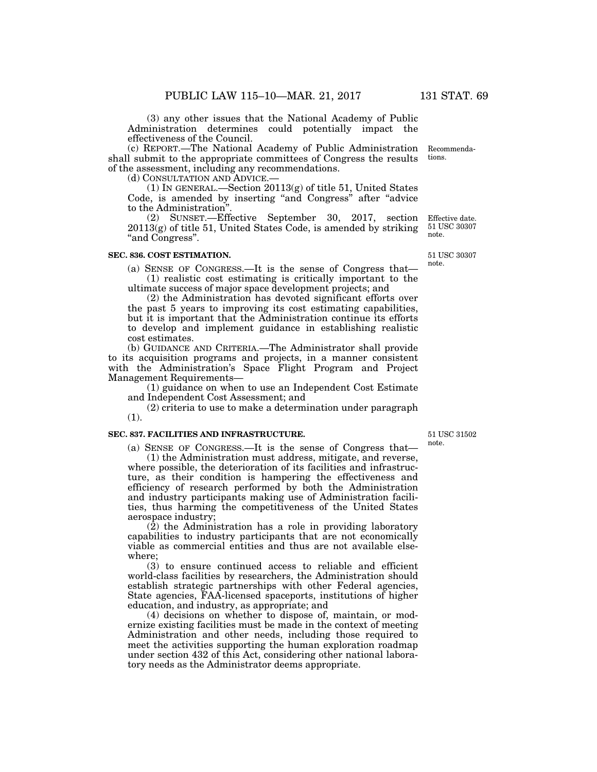(3) any other issues that the National Academy of Public Administration determines could potentially impact the effectiveness of the Council.

(c) REPORT.—The National Academy of Public Administration shall submit to the appropriate committees of Congress the results of the assessment, including any recommendations. Recommenda-

(d) CONSULTATION AND ADVICE.—

(1) IN GENERAL.—Section 20113(g) of title 51, United States Code, is amended by inserting "and Congress" after "advice" to the Administration''.

(2) SUNSET.—Effective September 30, 2017, section  $20113(g)$  of title 51, United States Code, is amended by striking "and Congress".

## **SEC. 836. COST ESTIMATION.**

(a) SENSE OF CONGRESS.—It is the sense of Congress that— (1) realistic cost estimating is critically important to the ultimate success of major space development projects; and

(2) the Administration has devoted significant efforts over the past 5 years to improving its cost estimating capabilities, but it is important that the Administration continue its efforts to develop and implement guidance in establishing realistic cost estimates.

(b) GUIDANCE AND CRITERIA.—The Administrator shall provide to its acquisition programs and projects, in a manner consistent with the Administration's Space Flight Program and Project Management Requirements—

(1) guidance on when to use an Independent Cost Estimate and Independent Cost Assessment; and

(2) criteria to use to make a determination under paragraph (1).

# **SEC. 837. FACILITIES AND INFRASTRUCTURE.**

(a) SENSE OF CONGRESS.—It is the sense of Congress that—

(1) the Administration must address, mitigate, and reverse, where possible, the deterioration of its facilities and infrastructure, as their condition is hampering the effectiveness and efficiency of research performed by both the Administration and industry participants making use of Administration facilities, thus harming the competitiveness of the United States aerospace industry;

 $(2)$  the Administration has a role in providing laboratory capabilities to industry participants that are not economically viable as commercial entities and thus are not available elsewhere;

(3) to ensure continued access to reliable and efficient world-class facilities by researchers, the Administration should establish strategic partnerships with other Federal agencies, State agencies, FAA-licensed spaceports, institutions of higher education, and industry, as appropriate; and

(4) decisions on whether to dispose of, maintain, or modernize existing facilities must be made in the context of meeting Administration and other needs, including those required to meet the activities supporting the human exploration roadmap under section 432 of this Act, considering other national laboratory needs as the Administrator deems appropriate.

51 USC 31502 note.

Effective date. 51 USC 30307 note.

51 USC 30307

note.

tions.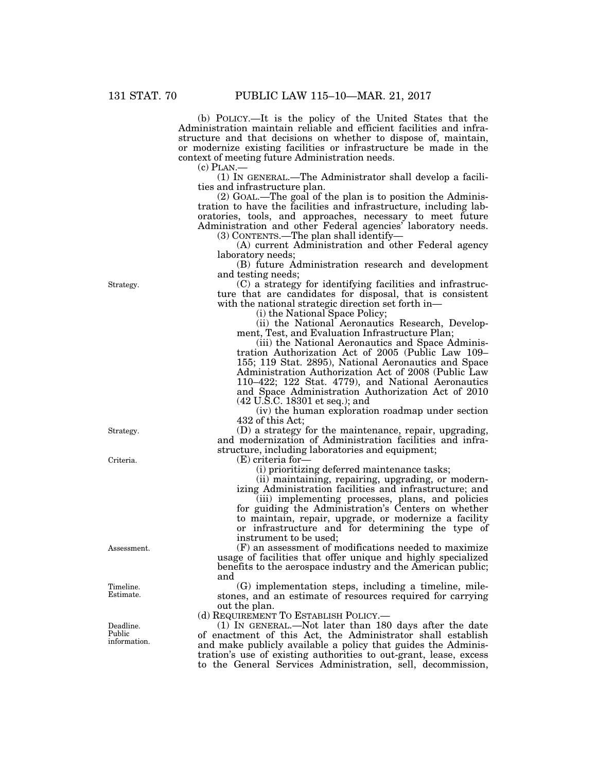(b) POLICY.—It is the policy of the United States that the Administration maintain reliable and efficient facilities and infrastructure and that decisions on whether to dispose of, maintain, or modernize existing facilities or infrastructure be made in the context of meeting future Administration needs.

(c) PLAN.— (1) IN GENERAL.—The Administrator shall develop a facilities and infrastructure plan.

(2) GOAL.—The goal of the plan is to position the Administration to have the facilities and infrastructure, including laboratories, tools, and approaches, necessary to meet future Administration and other Federal agencies' laboratory needs. (3) CONTENTS.—The plan shall identify—

(A) current Administration and other Federal agency laboratory needs;

(B) future Administration research and development and testing needs;

(C) a strategy for identifying facilities and infrastructure that are candidates for disposal, that is consistent with the national strategic direction set forth in—

(i) the National Space Policy;

(ii) the National Aeronautics Research, Development, Test, and Evaluation Infrastructure Plan;

(iii) the National Aeronautics and Space Administration Authorization Act of 2005 (Public Law 109– 155; 119 Stat. 2895), National Aeronautics and Space Administration Authorization Act of 2008 (Public Law 110–422; 122 Stat. 4779), and National Aeronautics and Space Administration Authorization Act of 2010 (42 U.S.C. 18301 et seq.); and

(iv) the human exploration roadmap under section 432 of this Act;

(D) a strategy for the maintenance, repair, upgrading, and modernization of Administration facilities and infrastructure, including laboratories and equipment;

(E) criteria for—

(i) prioritizing deferred maintenance tasks;

(ii) maintaining, repairing, upgrading, or modern-

izing Administration facilities and infrastructure; and (iii) implementing processes, plans, and policies for guiding the Administration's Centers on whether to maintain, repair, upgrade, or modernize a facility or infrastructure and for determining the type of instrument to be used;

(F) an assessment of modifications needed to maximize usage of facilities that offer unique and highly specialized benefits to the aerospace industry and the American public; and

(G) implementation steps, including a timeline, milestones, and an estimate of resources required for carrying out the plan.

(d) REQUIREMENT TO ESTABLISH POLICY.—

(1) IN GENERAL.—Not later than 180 days after the date of enactment of this Act, the Administrator shall establish and make publicly available a policy that guides the Administration's use of existing authorities to out-grant, lease, excess to the General Services Administration, sell, decommission,

Strategy.

Strategy.

Criteria.

Assessment.

Timeline. Estimate.

Deadline. Public information.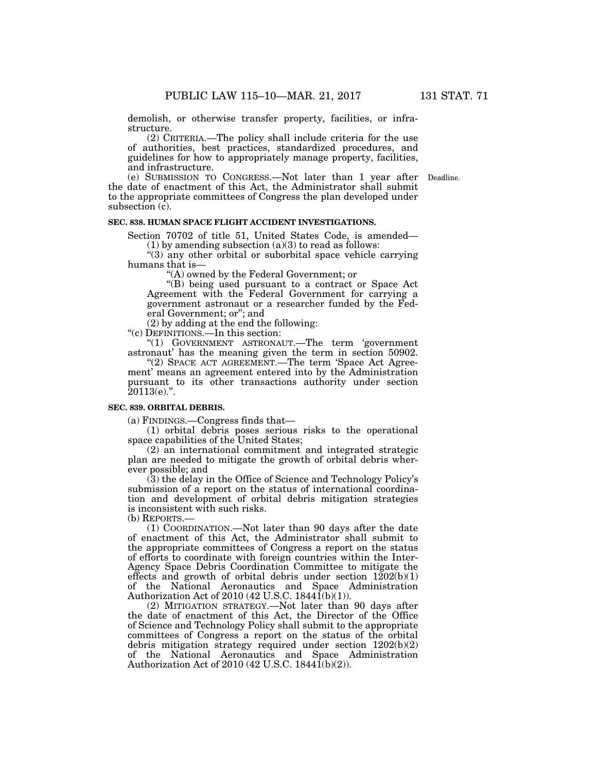demolish, or otherwise transfer property, facilities, or infrastructure.

(2) CRITERIA.—The policy shall include criteria for the use of authorities, best practices, standardized procedures, and guidelines for how to appropriately manage property, facilities, and infrastructure.

(e) SUBMISSION TO CONGRESS.—Not later than 1 year after Deadline. the date of enactment of this Act, the Administrator shall submit to the appropriate committees of Congress the plan developed under subsection (c).

#### **SEC. 838. HUMAN SPACE FLIGHT ACCIDENT INVESTIGATIONS.**

Section 70702 of title 51, United States Code, is amended—

(1) by amending subsection (a)(3) to read as follows:

''(3) any other orbital or suborbital space vehicle carrying humans that is—

''(A) owned by the Federal Government; or

"(B) being used pursuant to a contract or Space Act Agreement with the Federal Government for carrying a government astronaut or a researcher funded by the Federal Government; or''; and

(2) by adding at the end the following:

''(c) DEFINITIONS.—In this section:

''(1) GOVERNMENT ASTRONAUT.—The term 'government astronaut' has the meaning given the term in section 50902.

"(2) SPACE ACT AGREEMENT.—The term 'Space Act Agreement' means an agreement entered into by the Administration pursuant to its other transactions authority under section  $20113(e)$ .".

#### **SEC. 839. ORBITAL DEBRIS.**

(a) FINDINGS.—Congress finds that—

(1) orbital debris poses serious risks to the operational space capabilities of the United States;

(2) an international commitment and integrated strategic plan are needed to mitigate the growth of orbital debris wherever possible; and

(3) the delay in the Office of Science and Technology Policy's submission of a report on the status of international coordination and development of orbital debris mitigation strategies is inconsistent with such risks.

(b) REPORTS.—

(1) COORDINATION.—Not later than 90 days after the date of enactment of this Act, the Administrator shall submit to the appropriate committees of Congress a report on the status of efforts to coordinate with foreign countries within the Inter-Agency Space Debris Coordination Committee to mitigate the effects and growth of orbital debris under section  $1202(b)(1)$ of the National Aeronautics and Space Administration Authorization Act of 2010 (42 U.S.C. 18441(b)(1)).

(2) MITIGATION STRATEGY.—Not later than 90 days after the date of enactment of this Act, the Director of the Office of Science and Technology Policy shall submit to the appropriate committees of Congress a report on the status of the orbital debris mitigation strategy required under section 1202(b)(2) of the National Aeronautics and Space Administration Authorization Act of 2010 (42 U.S.C. 1844 $\tilde{1}(b)(2)$ ).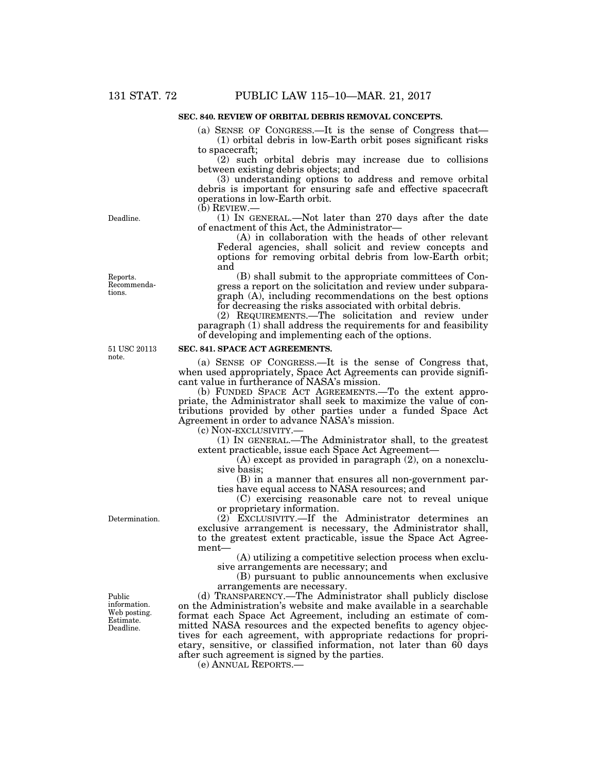# **SEC. 840. REVIEW OF ORBITAL DEBRIS REMOVAL CONCEPTS.**

(a) SENSE OF CONGRESS.—It is the sense of Congress that— (1) orbital debris in low-Earth orbit poses significant risks to spacecraft;

(2) such orbital debris may increase due to collisions between existing debris objects; and

(3) understanding options to address and remove orbital debris is important for ensuring safe and effective spacecraft operations in low-Earth orbit.

(b) REVIEW.—

(1) IN GENERAL.—Not later than 270 days after the date of enactment of this Act, the Administrator—

(A) in collaboration with the heads of other relevant Federal agencies, shall solicit and review concepts and options for removing orbital debris from low-Earth orbit; and

(B) shall submit to the appropriate committees of Congress a report on the solicitation and review under subparagraph (A), including recommendations on the best options for decreasing the risks associated with orbital debris.

(2) REQUIREMENTS.—The solicitation and review under paragraph (1) shall address the requirements for and feasibility of developing and implementing each of the options.

51 USC 20113 note.

## **SEC. 841. SPACE ACT AGREEMENTS.**

(a) SENSE OF CONGRESS.—It is the sense of Congress that, when used appropriately, Space Act Agreements can provide significant value in furtherance of NASA's mission.

(b) FUNDED SPACE ACT AGREEMENTS.—To the extent appropriate, the Administrator shall seek to maximize the value of contributions provided by other parties under a funded Space Act Agreement in order to advance NASA's mission.

(c) NON-EXCLUSIVITY.—

(1) IN GENERAL.—The Administrator shall, to the greatest extent practicable, issue each Space Act Agreement—

(A) except as provided in paragraph (2), on a nonexclusive basis;

(B) in a manner that ensures all non-government parties have equal access to NASA resources; and

(C) exercising reasonable care not to reveal unique or proprietary information.

(2) EXCLUSIVITY.—If the Administrator determines an exclusive arrangement is necessary, the Administrator shall, to the greatest extent practicable, issue the Space Act Agreement—

(A) utilizing a competitive selection process when exclusive arrangements are necessary; and

(B) pursuant to public announcements when exclusive arrangements are necessary.

(d) TRANSPARENCY.—The Administrator shall publicly disclose on the Administration's website and make available in a searchable format each Space Act Agreement, including an estimate of committed NASA resources and the expected benefits to agency objectives for each agreement, with appropriate redactions for proprietary, sensitive, or classified information, not later than 60 days after such agreement is signed by the parties.

(e) ANNUAL REPORTS.—

Determination.

Public information. Web posting. Estimate. Deadline.

Deadline.

Reports. Recommendations.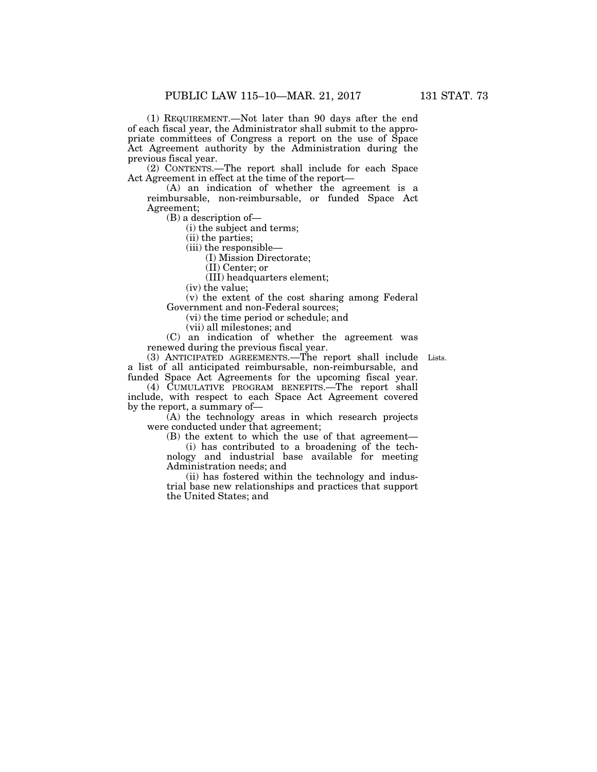(1) REQUIREMENT.—Not later than 90 days after the end of each fiscal year, the Administrator shall submit to the appropriate committees of Congress a report on the use of Space Act Agreement authority by the Administration during the previous fiscal year.

(2) CONTENTS.—The report shall include for each Space Act Agreement in effect at the time of the report—

(A) an indication of whether the agreement is a reimbursable, non-reimbursable, or funded Space Act Agreement;

(B) a description of—

(i) the subject and terms;

(ii) the parties;

(iii) the responsible—

(I) Mission Directorate;

(II) Center; or

(III) headquarters element;

(iv) the value;

(v) the extent of the cost sharing among Federal Government and non-Federal sources;

(vi) the time period or schedule; and

(vii) all milestones; and

(C) an indication of whether the agreement was renewed during the previous fiscal year.

(3) ANTICIPATED AGREEMENTS.—The report shall include Lists. a list of all anticipated reimbursable, non-reimbursable, and funded Space Act Agreements for the upcoming fiscal year.

(4) CUMULATIVE PROGRAM BENEFITS.—The report shall include, with respect to each Space Act Agreement covered by the report, a summary of—

(A) the technology areas in which research projects were conducted under that agreement;

(B) the extent to which the use of that agreement—

(i) has contributed to a broadening of the technology and industrial base available for meeting Administration needs; and

(ii) has fostered within the technology and industrial base new relationships and practices that support the United States; and